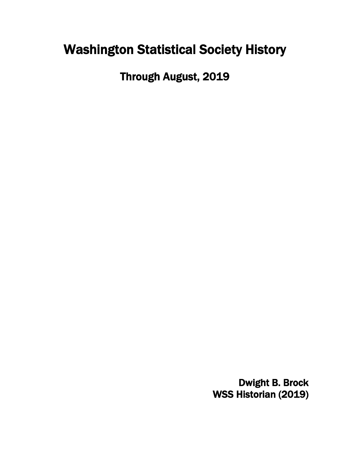# Washington Statistical Society History

Through August, 2019

Dwight B. Brock WSS Historian (2019)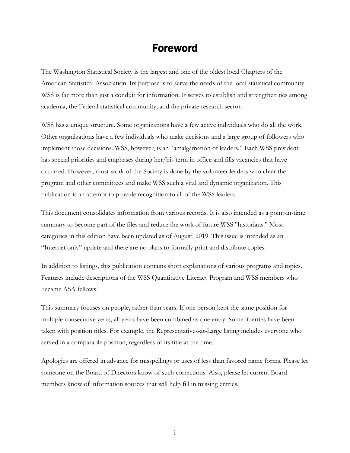### Foreword

<span id="page-1-0"></span>The Washington Statistical Society is the largest and one of the oldest local Chapters of the American Statistical Association. Its purpose is to serve the needs of the local statistical community. WSS is far more than just a conduit for information. It serves to establish and strengthen ties among academia, the Federal statistical community, and the private research sector.

WSS has a unique structure. Some organizations have a few active individuals who do all the work. Other organizations have a few individuals who make decisions and a large group of followers who implement those decisions. WSS, however, is an "amalgamation of leaders." Each WSS president has special priorities and emphases during her/his term in office and fills vacancies that have occurred. However, most work of the Society is done by the volunteer leaders who chair the program and other committees and make WSS such a vital and dynamic organization. This publication is an attempt to provide recognition to all of the WSS leaders.

This document consolidates information from various records. It is also intended as a point-in-time summary to become part of the files and reduce the work of future WSS "historians." Most categories in this edition have been updated as of August, 2019. This issue is intended as an "Internet only" update and there are no plans to formally print and distribute copies.

In addition to listings, this publication contains short explanations of various programs and topics. Features include descriptions of the WSS Quantitative Literacy Program and WSS members who became ASA fellows.

This summary focuses on people, rather than years. If one person kept the same position for multiple consecutive years, all years have been combined as one entry. Some liberties have been taken with position titles. For example, the Representatives-at-Large listing includes everyone who served in a comparable position, regardless of its title at the time.

Apologies are offered in advance for misspellings or uses of less than favored name forms. Please let someone on the Board of Directors know of such corrections. Also, please let current Board members know of information sources that will help fill in missing entries.

i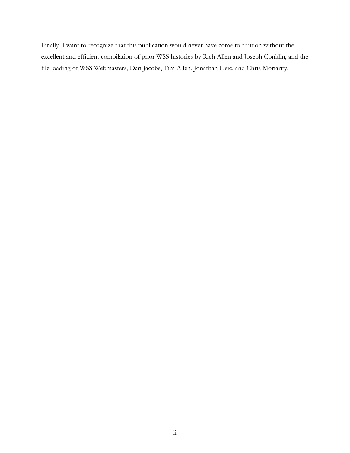Finally, I want to recognize that this publication would never have come to fruition without the excellent and efficient compilation of prior WSS histories by Rich Allen and Joseph Conklin, and the file loading of WSS Webmasters, Dan Jacobs, Tim Allen, Jonathan Lisic, and Chris Moriarity.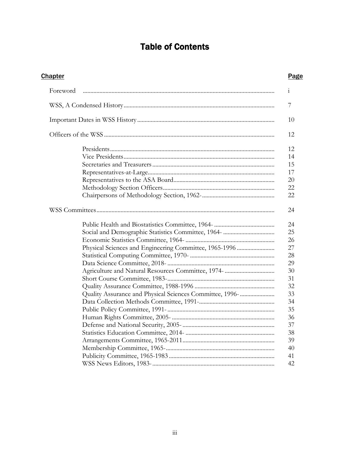# **Table of Contents**

| <b>Chapter</b>                                           | <b>Page</b>  |
|----------------------------------------------------------|--------------|
| Foreword                                                 | $\mathbf{1}$ |
|                                                          | 7            |
|                                                          | 10           |
|                                                          | 12           |
|                                                          | 12           |
|                                                          | 14           |
|                                                          | 15           |
|                                                          | 17           |
|                                                          | 20           |
|                                                          | 22           |
|                                                          | 22           |
|                                                          | 24           |
|                                                          | 24           |
|                                                          | 25           |
|                                                          | 26           |
|                                                          | 27           |
|                                                          | 28           |
|                                                          | 29           |
|                                                          | 30           |
|                                                          | 31           |
|                                                          | 32           |
| Quality Assurance and Physical Sciences Committee, 1996- | 33           |
|                                                          | 34           |
|                                                          | 35           |
|                                                          | 36           |
|                                                          | 37           |
|                                                          | 38           |
|                                                          | 39           |
|                                                          | 40           |
|                                                          | 41           |
|                                                          | 42           |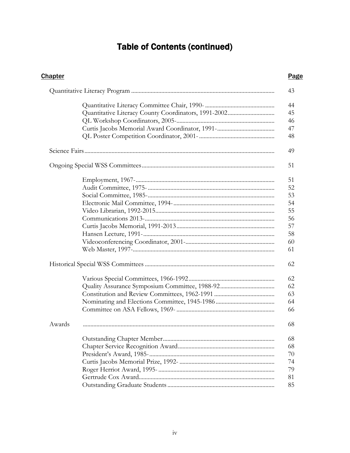# **Table of Contents (continued)**

| <b>Chapter</b> | <b>Page</b> |
|----------------|-------------|
|                | 43          |
|                | 44          |
|                | 45          |
|                | 46          |
|                | 47          |
|                | 48          |
|                |             |
|                | 49          |
|                | 51          |
|                | 51          |
|                | 52          |
|                | 53          |
|                | 54          |
|                | 55          |
|                | 56          |
|                | 57          |
|                | 58          |
|                | 60          |
|                | 61          |
|                | 62          |
|                | 62          |
|                | 62          |
|                | 63          |
|                | 64          |
|                | 66          |
| Awards         | 68          |
|                | 68          |
|                | 68          |
|                | 70          |
|                | 74          |
|                | 79          |
|                | 81          |
|                | 85          |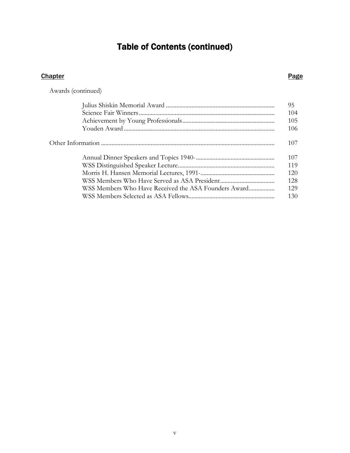# Table of Contents (continued)

#### **Chapter Page 2018**

Awards (continued)

|                                                      | 95  |
|------------------------------------------------------|-----|
|                                                      | 104 |
|                                                      | 105 |
|                                                      | 106 |
|                                                      | 107 |
|                                                      | 107 |
|                                                      | 119 |
|                                                      | 120 |
|                                                      | 128 |
| WSS Members Who Have Received the ASA Founders Award | 129 |
|                                                      | 130 |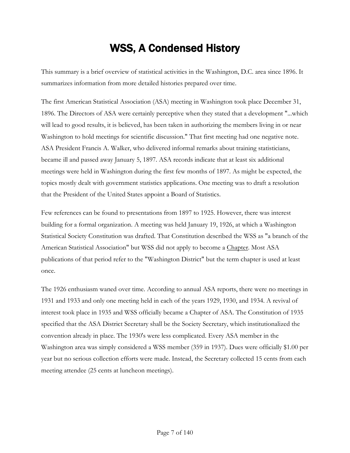# WSS, A Condensed History

<span id="page-6-0"></span>This summary is a brief overview of statistical activities in the Washington, D.C. area since 1896. It summarizes information from more detailed histories prepared over time.

The first American Statistical Association (ASA) meeting in Washington took place December 31, 1896. The Directors of ASA were certainly perceptive when they stated that a development "...which will lead to good results, it is believed, has been taken in authorizing the members living in or near Washington to hold meetings for scientific discussion." That first meeting had one negative note. ASA President Francis A. Walker, who delivered informal remarks about training statisticians, became ill and passed away January 5, 1897. ASA records indicate that at least six additional meetings were held in Washington during the first few months of 1897. As might be expected, the topics mostly dealt with government statistics applications. One meeting was to draft a resolution that the President of the United States appoint a Board of Statistics.

Few references can be found to presentations from 1897 to 1925. However, there was interest building for a formal organization. A meeting was held January 19, 1926, at which a Washington Statistical Society Constitution was drafted. That Constitution described the WSS as "a branch of the American Statistical Association" but WSS did not apply to become a Chapter. Most ASA publications of that period refer to the "Washington District" but the term chapter is used at least once.

The 1926 enthusiasm waned over time. According to annual ASA reports, there were no meetings in 1931 and 1933 and only one meeting held in each of the years 1929, 1930, and 1934. A revival of interest took place in 1935 and WSS officially became a Chapter of ASA. The Constitution of 1935 specified that the ASA District Secretary shall be the Society Secretary, which institutionalized the convention already in place. The 1930's were less complicated. Every ASA member in the Washington area was simply considered a WSS member (359 in 1937). Dues were officially \$1.00 per year but no serious collection efforts were made. Instead, the Secretary collected 15 cents from each meeting attendee (25 cents at luncheon meetings).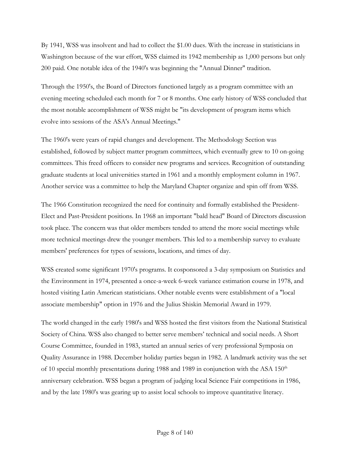By 1941, WSS was insolvent and had to collect the \$1.00 dues. With the increase in statisticians in Washington because of the war effort, WSS claimed its 1942 membership as 1,000 persons but only 200 paid. One notable idea of the 1940's was beginning the "Annual Dinner" tradition.

Through the 1950's, the Board of Directors functioned largely as a program committee with an evening meeting scheduled each month for 7 or 8 months. One early history of WSS concluded that the most notable accomplishment of WSS might be "its development of program items which evolve into sessions of the ASA's Annual Meetings."

The 1960's were years of rapid changes and development. The Methodology Section was established, followed by subject matter program committees, which eventually grew to 10 on-going committees. This freed officers to consider new programs and services. Recognition of outstanding graduate students at local universities started in 1961 and a monthly employment column in 1967. Another service was a committee to help the Maryland Chapter organize and spin off from WSS.

The 1966 Constitution recognized the need for continuity and formally established the President-Elect and Past-President positions. In 1968 an important "bald head" Board of Directors discussion took place. The concern was that older members tended to attend the more social meetings while more technical meetings drew the younger members. This led to a membership survey to evaluate members' preferences for types of sessions, locations, and times of day.

WSS created some significant 1970's programs. It cosponsored a 3-day symposium on Statistics and the Environment in 1974, presented a once-a-week 6-week variance estimation course in 1978, and hosted visiting Latin American statisticians. Other notable events were establishment of a "local associate membership" option in 1976 and the Julius Shiskin Memorial Award in 1979.

The world changed in the early 1980's and WSS hosted the first visitors from the National Statistical Society of China. WSS also changed to better serve members' technical and social needs. A Short Course Committee, founded in 1983, started an annual series of very professional Symposia on Quality Assurance in 1988. December holiday parties began in 1982. A landmark activity was the set of 10 special monthly presentations during 1988 and 1989 in conjunction with the ASA  $150<sup>th</sup>$ anniversary celebration. WSS began a program of judging local Science Fair competitions in 1986, and by the late 1980's was gearing up to assist local schools to improve quantitative literacy.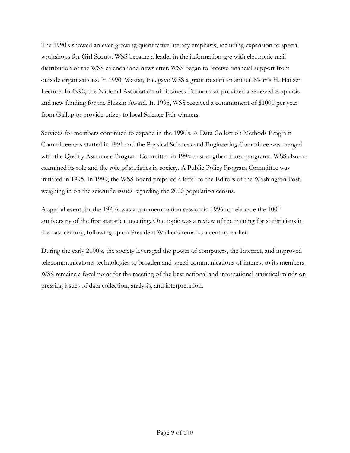The 1990's showed an ever-growing quantitative literacy emphasis, including expansion to special workshops for Girl Scouts. WSS became a leader in the information age with electronic mail distribution of the WSS calendar and newsletter. WSS began to receive financial support from outside organizations. In 1990, Westat, Inc. gave WSS a grant to start an annual Morris H. Hansen Lecture. In 1992, the National Association of Business Economists provided a renewed emphasis and new funding for the Shiskin Award. In 1995, WSS received a commitment of \$1000 per year from Gallup to provide prizes to local Science Fair winners.

Services for members continued to expand in the 1990's. A Data Collection Methods Program Committee was started in 1991 and the Physical Sciences and Engineering Committee was merged with the Quality Assurance Program Committee in 1996 to strengthen those programs. WSS also reexamined its role and the role of statistics in society. A Public Policy Program Committee was initiated in 1995. In 1999, the WSS Board prepared a letter to the Editors of the Washington Post, weighing in on the scientific issues regarding the 2000 population census.

A special event for the 1990's was a commemoration session in 1996 to celebrate the  $100<sup>th</sup>$ anniversary of the first statistical meeting. One topic was a review of the training for statisticians in the past century, following up on President Walker's remarks a century earlier.

During the early 2000's, the society leveraged the power of computers, the Internet, and improved telecommunications technologies to broaden and speed communications of interest to its members. WSS remains a focal point for the meeting of the best national and international statistical minds on pressing issues of data collection, analysis, and interpretation.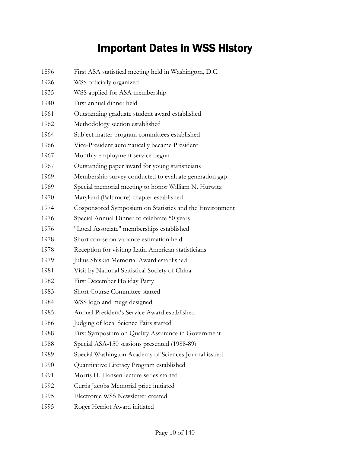# Important Dates in WSS History

<span id="page-9-0"></span>

| 1896 | First ASA statistical meeting held in Washington, D.C.  |
|------|---------------------------------------------------------|
| 1926 | WSS officially organized                                |
| 1935 | WSS applied for ASA membership                          |
| 1940 | First annual dinner held                                |
| 1961 | Outstanding graduate student award established          |
| 1962 | Methodology section established                         |
| 1964 | Subject matter program committees established           |
| 1966 | Vice-President automatically became President           |
| 1967 | Monthly employment service begun                        |
| 1967 | Outstanding paper award for young statisticians         |
| 1969 | Membership survey conducted to evaluate generation gap  |
| 1969 | Special memorial meeting to honor William N. Hurwitz    |
| 1970 | Maryland (Baltimore) chapter established                |
| 1974 | Cosponsored Symposium on Statistics and the Environment |
| 1976 | Special Annual Dinner to celebrate 50 years             |
| 1976 | "Local Associate" memberships established               |
| 1978 | Short course on variance estimation held                |
| 1978 | Reception for visiting Latin American statisticians     |
| 1979 | Julius Shiskin Memorial Award established               |
| 1981 | Visit by National Statistical Society of China          |
| 1982 | First December Holiday Party                            |
| 1983 | <b>Short Course Committee started</b>                   |
| 1984 | WSS logo and mugs designed                              |
| 1985 | Annual President's Service Award established            |
| 1986 | Judging of local Science Fairs started                  |
| 1988 | First Symposium on Quality Assurance in Government      |
| 1988 | Special ASA-150 sessions presented (1988-89)            |
| 1989 | Special Washington Academy of Sciences Journal issued   |
| 1990 | Quantitative Literacy Program established               |
| 1991 | Morris H. Hansen lecture series started                 |
| 1992 | Curtis Jacobs Memorial prize initiated                  |
| 1995 | Electronic WSS Newsletter created                       |
| 1995 | Roger Herriot Award initiated                           |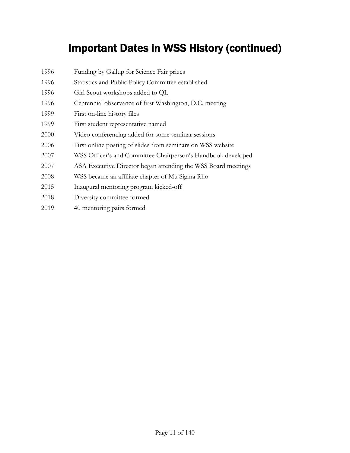# Important Dates in WSS History (continued)

| 1996 | Funding by Gallup for Science Fair prizes                     |
|------|---------------------------------------------------------------|
| 1996 | Statistics and Public Policy Committee established            |
| 1996 | Girl Scout workshops added to QL                              |
| 1996 | Centennial observance of first Washington, D.C. meeting       |
| 1999 | First on-line history files                                   |
| 1999 | First student representative named                            |
| 2000 | Video conferencing added for some seminar sessions            |
| 2006 | First online posting of slides from seminars on WSS website   |
| 2007 | WSS Officer's and Committee Chairperson's Handbook developed  |
| 2007 | ASA Executive Director began attending the WSS Board meetings |
| 2008 | WSS became an affiliate chapter of Mu Sigma Rho               |
| 2015 | Inaugural mentoring program kicked-off                        |
| 2018 | Diversity committee formed                                    |
| 2019 | 40 mentoring pairs formed                                     |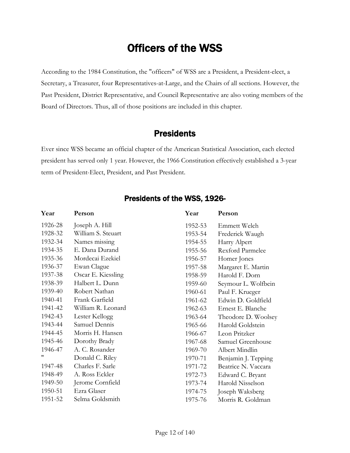# Officers of the WSS

<span id="page-11-0"></span>According to the 1984 Constitution, the "officers" of WSS are a President, a President-elect, a Secretary, a Treasurer, four Representatives-at-Large, and the Chairs of all sections. However, the Past President, District Representative, and Council Representative are also voting members of the Board of Directors. Thus, all of those positions are included in this chapter.

#### **Presidents**

<span id="page-11-1"></span>Ever since WSS became an official chapter of the American Statistical Association, each elected president has served only 1 year. However, the 1966 Constitution effectively established a 3-year term of President-Elect, President, and Past President.

| Year    | Person             | Year    | Person                  |
|---------|--------------------|---------|-------------------------|
| 1926-28 | Joseph A. Hill     | 1952-53 | Emmett Welch            |
| 1928-32 | William S. Steuart | 1953-54 | Frederick Waugh         |
| 1932-34 | Names missing      | 1954-55 | Harry Alpert            |
| 1934-35 | E. Dana Durand     | 1955-56 | <b>Rexford Parmelee</b> |
| 1935-36 | Mordecai Ezekiel   | 1956-57 | Homer Jones             |
| 1936-37 | Ewan Clague        | 1957-58 | Margaret E. Martin      |
| 1937-38 | Oscar E. Kiessling | 1958-59 | Harold F. Dorn          |
| 1938-39 | Halbert L. Dunn    | 1959-60 | Seymour L. Wolfbein     |
| 1939-40 | Robert Nathan      | 1960-61 | Paul F. Krueger         |
| 1940-41 | Frank Garfield     | 1961-62 | Edwin D. Goldfield      |
| 1941-42 | William R. Leonard | 1962-63 | Ernest E. Blanche       |
| 1942-43 | Lester Kellogg     | 1963-64 | Theodore D. Woolsey     |
| 1943-44 | Samuel Dennis      | 1965-66 | Harold Goldstein        |
| 1944-45 | Morris H. Hansen   | 1966-67 | Leon Pritzker           |
| 1945-46 | Dorothy Brady      | 1967-68 | Samuel Greenhouse       |
| 1946-47 | A. C. Rosander     | 1969-70 | Albert Mindlin          |
| "       | Donald C. Riley    | 1970-71 | Benjamin J. Tepping     |
| 1947-48 | Charles F. Sarle   | 1971-72 | Beatrice N. Vaccara     |
| 1948-49 | A. Ross Eckler     | 1972-73 | Edward C. Bryant        |
| 1949-50 | Jerome Cornfield   | 1973-74 | Harold Nisselson        |
| 1950-51 | Ezra Glaser        | 1974-75 | Joseph Waksberg         |
| 1951-52 | Selma Goldsmith    | 1975-76 | Morris R. Goldman       |

#### Presidents of the WSS, 1926-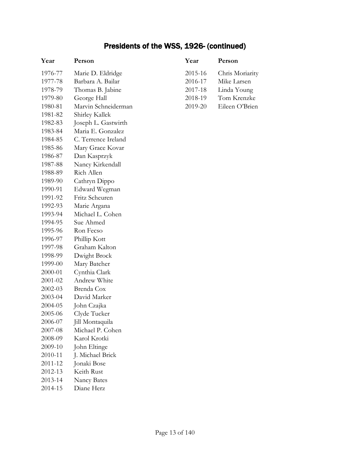### Presidents of the WSS, 1926- (continued)

| Year    | Person              | Year    |
|---------|---------------------|---------|
| 1976-77 | Marie D. Eldridge   | 2015-16 |
| 1977-78 | Barbara A. Bailar   | 2016-17 |
| 1978-79 | Thomas B. Jabine    | 2017-18 |
| 1979-80 | George Hall         | 2018-19 |
| 1980-81 | Marvin Schneiderman | 2019-20 |
| 1981-82 | Shirley Kallek      |         |
| 1982-83 | Joseph L. Gastwirth |         |
| 1983-84 | Maria E. Gonzalez   |         |
| 1984-85 | C. Terrence Ireland |         |
| 1985-86 | Mary Grace Kovar    |         |
| 1986-87 | Dan Kasprzyk        |         |
| 1987-88 | Nancy Kirkendall    |         |
| 1988-89 | Rich Allen          |         |
| 1989-90 | Cathryn Dippo       |         |
| 1990-91 | Edward Wegman       |         |
| 1991-92 | Fritz Scheuren      |         |
| 1992-93 | Marie Argana        |         |
| 1993-94 | Michael L. Cohen    |         |
| 1994-95 | Sue Ahmed           |         |
| 1995-96 | Ron Fecso           |         |
| 1996-97 | Phillip Kott        |         |
| 1997-98 | Graham Kalton       |         |
| 1998-99 | Dwight Brock        |         |
| 1999-00 | Mary Batcher        |         |
| 2000-01 | Cynthia Clark       |         |
| 2001-02 | Andrew White        |         |
| 2002-03 | Brenda Cox          |         |
| 2003-04 | David Marker        |         |
| 2004-05 | John Czajka         |         |
| 2005-06 | Clyde Tucker        |         |
| 2006-07 | Jill Montaquila     |         |
| 2007-08 | Michael P. Cohen    |         |
| 2008-09 | Karol Krotki        |         |
| 2009-10 | John Eltinge        |         |
| 2010-11 | J. Michael Brick    |         |
| 2011-12 | Jonaki Bose         |         |
| 2012-13 | Keith Rust          |         |
| 2013-14 | <b>Nancy Bates</b>  |         |
| 2014-15 | Diane Herz          |         |

| Year    | Person          |
|---------|-----------------|
| 2015-16 | Chris Moriarity |
| 2016-17 | Mike Larsen     |
| 2017-18 | Linda Young     |
| 2018-19 | Tom Krenzke     |
| 2019-20 | Eileen O'Brien  |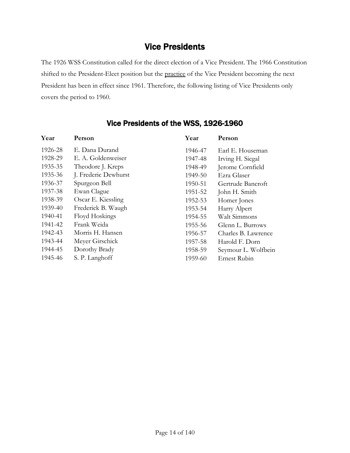#### Vice Presidents

<span id="page-13-0"></span>The 1926 WSS Constitution called for the direct election of a Vice President. The 1966 Constitution shifted to the President-Elect position but the practice of the Vice President becoming the next President has been in effect since 1961. Therefore, the following listing of Vice Presidents only covers the period to 1960.

| Year    | Person               | Year    | Person              |
|---------|----------------------|---------|---------------------|
| 1926-28 | E. Dana Durand       | 1946-47 | Earl E. Houseman    |
| 1928-29 | E. A. Goldenweiser   | 1947-48 | Irving H. Siegal    |
| 1935-35 | Theodore J. Kreps    | 1948-49 | Jerome Cornfield    |
| 1935-36 | J. Frederic Dewhurst | 1949-50 | Ezra Glaser         |
| 1936-37 | Spurgeon Bell        | 1950-51 | Gertrude Bancroft   |
| 1937-38 | Ewan Clague          | 1951-52 | John H. Smith       |
| 1938-39 | Oscar E. Kiessling   | 1952-53 | Homer Jones         |
| 1939-40 | Frederick B. Waugh   | 1953-54 | Harry Alpert        |
| 1940-41 | Floyd Hoskings       | 1954-55 | Walt Simmons        |
| 1941-42 | Frank Weida          | 1955-56 | Glenn L. Burrows    |
| 1942-43 | Morris H. Hansen     | 1956-57 | Charles B. Lawrence |
| 1943-44 | Meyer Girschick      | 1957-58 | Harold F. Dorn      |
| 1944-45 | Dorothy Brady        | 1958-59 | Seymour L. Wolfbein |
| 1945-46 | S. P. Langhoff       | 1959-60 | Ernest Rubin        |

#### Vice Presidents of the WSS, 1926-1960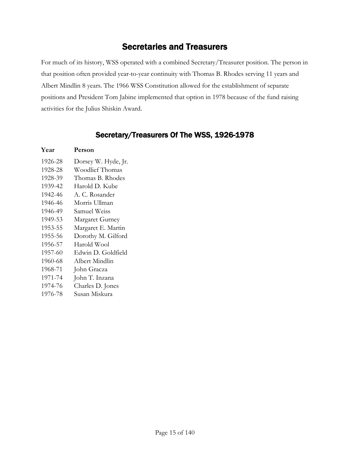### Secretaries and Treasurers

<span id="page-14-0"></span>For much of its history, WSS operated with a combined Secretary/Treasurer position. The person in that position often provided year-to-year continuity with Thomas B. Rhodes serving 11 years and Albert Mindlin 8 years. The 1966 WSS Constitution allowed for the establishment of separate positions and President Tom Jabine implemented that option in 1978 because of the fund raising activities for the Julius Shiskin Award.

#### Secretary/Treasurers Of The WSS, 1926-1978

| Year    | Person              |
|---------|---------------------|
| 1926-28 | Dorsey W. Hyde, Jr. |
| 1928-28 | Woodlief Thomas     |
| 1928-39 | Thomas B. Rhodes    |
| 1939-42 | Harold D. Kube      |
| 1942-46 | A. C. Rosander      |
| 1946-46 | Morris Ullman       |
| 1946-49 | Samuel Weiss        |
| 1949-53 | Margaret Gurney     |
| 1953-55 | Margaret E. Martin  |
| 1955-56 | Dorothy M. Gilford  |
| 1956-57 | Harold Wool         |
| 1957-60 | Edwin D. Goldfield  |
| 1960-68 | Albert Mindlin      |
| 1968-71 | John Gracza         |
| 1971-74 | John T. Inzana      |
| 1974-76 | Charles D. Jones    |
| 1976-78 | Susan Miskura       |
|         |                     |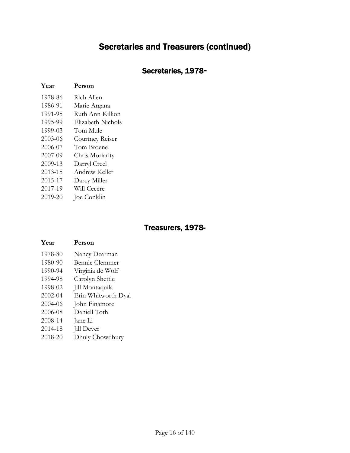### Secretaries and Treasurers (continued)

#### Secretaries, 1978**-**

#### **Year Person**

| 1978-86 | Rich Allen        |
|---------|-------------------|
| 1986-91 | Marie Argana      |
| 1991-95 | Ruth Ann Killion  |
| 1995-99 | Elizabeth Nichols |
| 1999-03 | Tom Mule          |
| 2003-06 | Courtney Reiser   |
| 2006-07 | Tom Broene        |
| 2007-09 | Chris Moriarity   |
| 2009-13 | Darryl Creel      |
| 2013-15 | Andrew Keller     |
| 2015-17 | Darcy Miller      |
| 2017-19 | Will Cecere       |
| 2019-20 | Joe Conklin       |

#### Treasurers, 1978-

#### **Year Person** 1978-80 Nancy Dearman 1980-90 Bennie Clemmer 1990-94 Virginia de Wolf 1994-98 Carolyn Shettle 1998-02 Jill Montaquila 2002-04 Erin Whitworth Dyal 2004-06 John Finamore 2006-08 Daniell Toth 2008-14 Jane Li 2014-18 Jill Dever 2018-20 Dhuly Chowdhury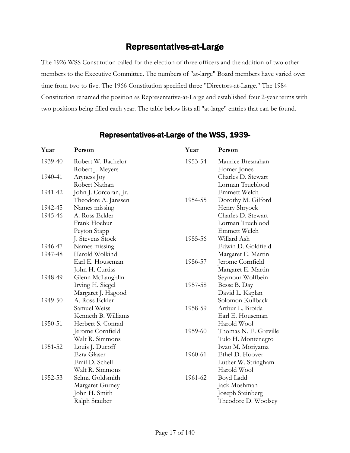### Representatives-at-Large

<span id="page-16-0"></span>The 1926 WSS Constitution called for the election of three officers and the addition of two other members to the Executive Committee. The numbers of "at-large" Board members have varied over time from two to five. The 1966 Constitution specified three "Directors-at-Large." The 1984 Constitution renamed the position as Representative-at-Large and established four 2-year terms with two positions being filled each year. The table below lists all "at-large" entries that can be found.

| Year    | Person                                 | Year    | Person                                 |
|---------|----------------------------------------|---------|----------------------------------------|
| 1939-40 | Robert W. Bachelor<br>Robert J. Meyers | 1953-54 | Maurice Bresnahan<br>Homer Jones       |
| 1940-41 | Aryness Joy<br>Robert Nathan           |         | Charles D. Stewart<br>Lorman Trueblood |
| 1941-42 | John J. Corcoran, Jr.                  |         | Emmett Welch                           |
|         | Theodore A. Janssen                    | 1954-55 | Dorothy M. Gilford                     |
| 1942-45 | Names missing                          |         | Henry Shryock                          |
| 1945-46 | A. Ross Eckler                         |         | Charles D. Stewart                     |
|         | Frank Hoebur                           |         | Lorman Trueblood                       |
|         | Peyton Stapp                           |         | Emmett Welch                           |
|         | J. Stevens Stock                       | 1955-56 | Willard Ash                            |
| 1946-47 | Names missing                          |         | Edwin D. Goldfield                     |
| 1947-48 | Harold Wolkind                         |         | Margaret E. Martin                     |
|         | Earl E. Houseman                       | 1956-57 | Jerome Cornfield                       |
|         | John H. Curtiss                        |         | Margaret E. Martin                     |
| 1948-49 | Glenn McLaughlin                       |         | Seymour Wolfbein                       |
|         | Irving H. Siegel                       | 1957-58 | Besse B. Day                           |
|         | Margaret J. Hagood                     |         | David L. Kaplan                        |
| 1949-50 | A. Ross Eckler                         |         | Solomon Kullback                       |
|         | Samuel Weiss                           | 1958-59 | Arthur L. Broida                       |
|         | Kenneth B. Williams                    |         | Earl E. Houseman                       |
| 1950-51 | Herbert S. Conrad                      |         | Harold Wool                            |
|         | Jerome Cornfield                       | 1959-60 | Thomas N. E. Greville                  |
|         | Walt R. Simmons                        |         | Tulo H. Montenegro                     |
| 1951-52 | Louis J. Ducoff                        |         | Iwao M. Moriyama                       |
|         | Ezra Glaser                            | 1960-61 | Ethel D. Hoover                        |
|         | Emil D. Schell                         |         | Luther W. Stringham                    |
|         | Walt R. Simmons                        |         | Harold Wool                            |
| 1952-53 | Selma Goldsmith                        | 1961-62 | Boyd Ladd                              |
|         | Margaret Gurney                        |         | Jack Moshman                           |
|         | John H. Smith                          |         | Joseph Steinberg                       |
|         | Ralph Stauber                          |         | Theodore D. Woolsey                    |
|         |                                        |         |                                        |

#### Representatives-at-Large of the WSS, 1939-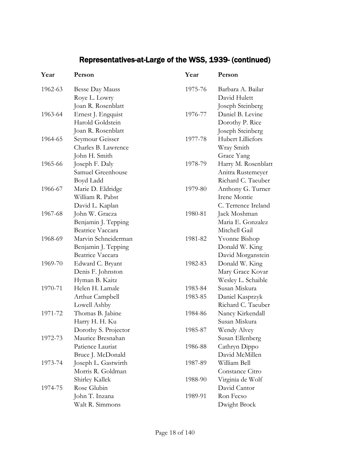### Representatives-at-Large of the WSS, 1939- (continued)

| Year    | Person                  | Year    | Person              |
|---------|-------------------------|---------|---------------------|
| 1962-63 | <b>Besse Day Mauss</b>  | 1975-76 | Barbara A. Bailar   |
|         | Roye L. Lowry           |         | David Hulett        |
|         | Joan R. Rosenblatt      |         | Joseph Steinberg    |
| 1963-64 | Ernest J. Engquist      | 1976-77 | Daniel B. Levine    |
|         | Harold Goldstein        |         | Dorothy P. Rice     |
|         | Joan R. Rosenblatt      |         | Joseph Steinberg    |
| 1964-65 | Seymour Geisser         | 1977-78 | Hubert Lilliefors   |
|         | Charles B. Lawrence     |         | Wray Smith          |
|         | John H. Smith           |         | Grace Yang          |
| 1965-66 | Joseph F. Daly          | 1978-79 | Harry M. Rosenblatt |
|         | Samuel Greenhouse       |         | Anitra Rustemeyer   |
|         | Boyd Ladd               |         | Richard C. Taeuber  |
| 1966-67 | Marie D. Eldridge       | 1979-80 | Anthony G. Turner   |
|         | William R. Pabst        |         | Irene Montie        |
|         | David L. Kaplan         |         | C. Terrence Ireland |
| 1967-68 | John W. Gracza          | 1980-81 | Jack Moshman        |
|         | Benjamin J. Tepping     |         | Maria E. Gonzalez   |
|         | <b>Beatrice Vaccara</b> |         | Mitchell Gail       |
| 1968-69 | Marvin Schneiderman     | 1981-82 | Yvonne Bishop       |
|         | Benjamin J. Tepping     |         | Donald W. King      |
|         | Beatrice Vaccara        |         | David Morganstein   |
| 1969-70 | Edward C. Bryant        | 1982-83 | Donald W. King      |
|         | Denis F. Johnston       |         | Mary Grace Kovar    |
|         | Hyman B. Kaitz          |         | Wesley L. Schaible  |
| 1970-71 | Helen H. Lamale         | 1983-84 | Susan Miskura       |
|         | Arthur Campbell         | 1983-85 | Daniel Kasprzyk     |
|         | Lowell Ashby            |         | Richard C. Taeuber  |
| 1971-72 | Thomas B. Jabine        | 1984-86 | Nancy Kirkendall    |
|         | Harry H. H. Ku          |         | Susan Miskura       |
|         | Dorothy S. Projector    | 1985-87 | Wendy Alvey         |
| 1972-73 | Maurice Bresnahan       |         | Susan Ellenberg     |
|         | Patience Lauriat        | 1986-88 | Cathryn Dippo       |
|         | Bruce J. McDonald       |         | David McMillen      |
| 1973-74 | Joseph L. Gastwirth     | 1987-89 | William Bell        |
|         | Morris R. Goldman       |         | Constance Citro     |
|         | Shirley Kallek          | 1988-90 | Virginia de Wolf    |
| 1974-75 | Rose Glubin             |         | David Cantor        |
|         | John T. Inzana          | 1989-91 | Ron Fecso           |
|         | Walt R. Simmons         |         | Dwight Brock        |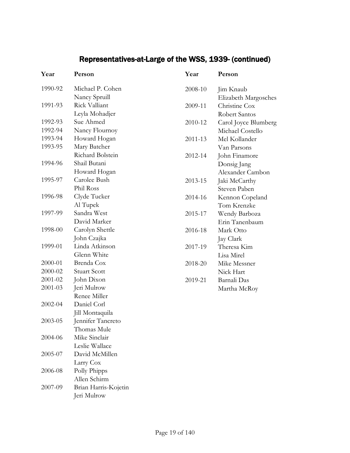### Representatives-at-Large of the WSS, 1939- (continued)

| Year    | Person               | Year    | Person               |
|---------|----------------------|---------|----------------------|
| 1990-92 | Michael P. Cohen     | 2008-10 | Jim Knaub            |
|         | Nancy Spruill        |         | Elizabeth Margosches |
| 1991-93 | Rick Valliant        | 2009-11 | Christine Cox        |
|         | Leyla Mohadjer       |         | Robert Santos        |
| 1992-93 | Sue Ahmed            | 2010-12 | Carol Joyce Blumberg |
| 1992-94 | Nancy Flournoy       |         | Michael Costello     |
| 1993-94 | Howard Hogan         | 2011-13 | Mel Kollander        |
| 1993-95 | Mary Batcher         |         | Van Parsons          |
|         | Richard Bolstein     | 2012-14 | John Finamore        |
| 1994-96 | Shail Butani         |         | Donsig Jang          |
|         | Howard Hogan         |         | Alexander Cambon     |
| 1995-97 | Carolee Bush         | 2013-15 | Jaki McCarthy        |
|         | Phil Ross            |         | Steven Paben         |
| 1996-98 | Clyde Tucker         | 2014-16 | Kennon Copeland      |
|         | Al Tupek             |         | Tom Krenzke          |
| 1997-99 | Sandra West          | 2015-17 | Wendy Barboza        |
|         | David Marker         |         | Erin Tanenbaum       |
| 1998-00 | Carolyn Shettle      | 2016-18 | Mark Otto            |
|         | John Czajka          |         | Jay Clark            |
| 1999-01 | Linda Atkinson       | 2017-19 | Theresa Kim          |
|         | Glenn White          |         | Lisa Mirel           |
| 2000-01 | Brenda Cox           | 2018-20 | Mike Messner         |
| 2000-02 | <b>Stuart Scott</b>  |         | Nick Hart            |
| 2001-02 | John Dixon           | 2019-21 | Barnali Das          |
| 2001-03 | Jeri Mulrow          |         | Martha McRoy         |
|         | Renee Miller         |         |                      |
| 2002-04 | Daniel Corl          |         |                      |
|         | Jill Montaquila      |         |                      |
| 2003-05 | Jennifer Tancreto    |         |                      |
|         | Thomas Mule          |         |                      |
| 2004-06 | Mike Sinclair        |         |                      |
|         | Leslie Wallace       |         |                      |
| 2005-07 | David McMillen       |         |                      |
|         | Larry Cox            |         |                      |
| 2006-08 | Polly Phipps         |         |                      |
|         | Allen Schirm         |         |                      |
| 2007-09 | Brian Harris-Kojetin |         |                      |
|         | Jeri Mulrow          |         |                      |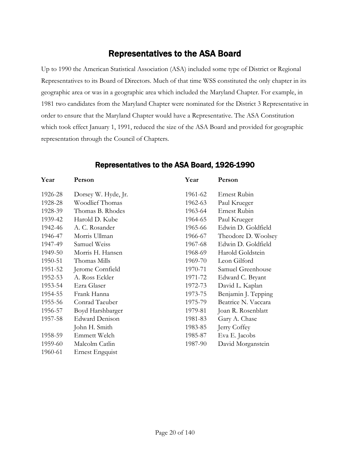### Representatives to the ASA Board

<span id="page-19-0"></span>Up to 1990 the American Statistical Association (ASA) included some type of District or Regional Representatives to its Board of Directors. Much of that time WSS constituted the only chapter in its geographic area or was in a geographic area which included the Maryland Chapter. For example, in 1981 two candidates from the Maryland Chapter were nominated for the District 3 Representative in order to ensure that the Maryland Chapter would have a Representative. The ASA Constitution which took effect January 1, 1991, reduced the size of the ASA Board and provided for geographic representation through the Council of Chapters.

| Year    | Person                | Year    | Person              |
|---------|-----------------------|---------|---------------------|
| 1926-28 | Dorsey W. Hyde, Jr.   | 1961-62 | Ernest Rubin        |
| 1928-28 | Woodlief Thomas       | 1962-63 | Paul Krueger        |
| 1928-39 | Thomas B. Rhodes      | 1963-64 | Ernest Rubin        |
| 1939-42 | Harold D. Kube        | 1964-65 | Paul Krueger        |
| 1942-46 | A. C. Rosander        | 1965-66 | Edwin D. Goldfield  |
| 1946-47 | Morris Ullman         | 1966-67 | Theodore D. Woolsey |
| 1947-49 | Samuel Weiss          | 1967-68 | Edwin D. Goldfield  |
| 1949-50 | Morris H. Hansen      | 1968-69 | Harold Goldstein    |
| 1950-51 | Thomas Mills          | 1969-70 | Leon Gilford        |
| 1951-52 | Jerome Cornfield      | 1970-71 | Samuel Greenhouse   |
| 1952-53 | A. Ross Eckler        | 1971-72 | Edward C. Bryant    |
| 1953-54 | Ezra Glaser           | 1972-73 | David L. Kaplan     |
| 1954-55 | Frank Hanna           | 1973-75 | Benjamin J. Tepping |
| 1955-56 | Conrad Taeuber        | 1975-79 | Beatrice N. Vaccara |
| 1956-57 | Boyd Harshbarger      | 1979-81 | Joan R. Rosenblatt  |
| 1957-58 | <b>Edward Denison</b> | 1981-83 | Gary A. Chase       |
|         | John H. Smith         | 1983-85 | Jerry Coffey        |
| 1958-59 | Emmett Welch          | 1985-87 | Eva E. Jacobs       |
| 1959-60 | Malcolm Catlin        | 1987-90 | David Morganstein   |
| 1960-61 | Ernest Engquist       |         |                     |
|         |                       |         |                     |

#### Representatives to the ASA Board, 1926-1990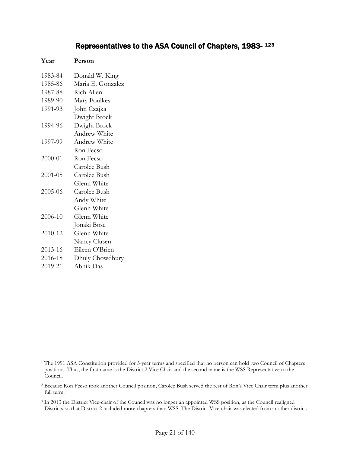#### Representatives to the ASA Council of Chapters, 1983- [1](#page-20-0)[2](#page-20-1)[3](#page-20-2)

| Year    | Person            |
|---------|-------------------|
| 1983-84 | Donald W. King    |
| 1985-86 | Maria E. Gonzalez |
| 1987-88 | Rich Allen        |
| 1989-90 | Mary Foulkes      |
| 1991-93 | John Czajka       |
|         | Dwight Brock      |
| 1994-96 | Dwight Brock      |
|         | Andrew White      |
| 1997-99 | Andrew White      |
|         | Ron Fecso         |
| 2000-01 | Ron Fecso         |
|         | Carolee Bush      |
| 2001-05 | Carolee Bush      |
|         | Glenn White       |
| 2005-06 | Carolee Bush      |
|         | Andy White        |
|         | Glenn White       |
| 2006-10 | Glenn White       |
|         | Jonaki Bose       |
| 2010-12 | Glenn White       |
|         | Nancy Clusen      |
| 2013-16 | Eileen O'Brien    |
| 2016-18 | Dhuly Chowdhury   |
| 2019-21 | Abhik Das         |

 $\overline{a}$ 

<span id="page-20-0"></span><sup>&</sup>lt;sup>1</sup> The 1991 ASA Constitution provided for 3-year terms and specified that no person can hold two Council of Chapters positions. Thus, the first name is the District 2 Vice Chair and the second name is the WSS Representative to the Council.

<span id="page-20-1"></span><sup>2</sup> Because Ron Fecso took another Council position, Carolee Bush served the rest of Ron's Vice Chair term plus another full term.

<span id="page-20-2"></span><sup>&</sup>lt;sup>3</sup> In 2013 the District Vice-chair of the Council was no longer an appointed WSS position, as the Council realigned Districts so that District 2 included more chapters than WSS. The District Vice-chair was elected from another district.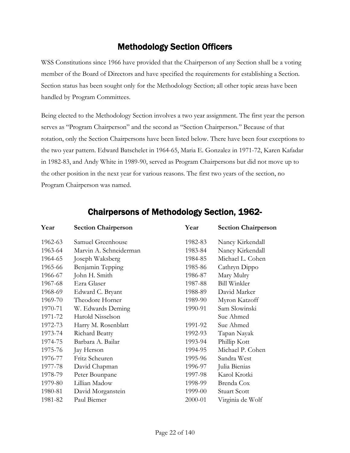### Methodology Section Officers

<span id="page-21-0"></span>WSS Constitutions since 1966 have provided that the Chairperson of any Section shall be a voting member of the Board of Directors and have specified the requirements for establishing a Section. Section status has been sought only for the Methodology Section; all other topic areas have been handled by Program Committees.

Being elected to the Methodology Section involves a two year assignment. The first year the person serves as "Program Chairperson" and the second as "Section Chairperson." Because of that rotation, only the Section Chairpersons have been listed below. There have been four exceptions to the two year pattern. Edward Batschelet in 1964-65, Maria E. Gonzalez in 1971-72, Karen Kafadar in 1982-83, and Andy White in 1989-90, served as Program Chairpersons but did not move up to the other position in the next year for various reasons. The first two years of the section, no Program Chairperson was named.

<span id="page-21-1"></span>

| Year    | <b>Section Chairperson</b> | Year    | <b>Section Chairperson</b> |
|---------|----------------------------|---------|----------------------------|
| 1962-63 | Samuel Greenhouse          | 1982-83 | Nancy Kirkendall           |
| 1963-64 | Marvin A. Schneiderman     | 1983-84 | Nancy Kirkendall           |
| 1964-65 | Joseph Waksberg            | 1984-85 | Michael L. Cohen           |
| 1965-66 | Benjamin Tepping           | 1985-86 | Cathryn Dippo              |
| 1966-67 | John H. Smith              | 1986-87 | Mary Mulry                 |
| 1967-68 | Ezra Glaser                | 1987-88 | <b>Bill Winkler</b>        |
| 1968-69 | Edward C. Bryant           | 1988-89 | David Marker               |
| 1969-70 | Theodore Horner            | 1989-90 | Myron Katzoff              |
| 1970-71 | W. Edwards Deming          | 1990-91 | Sam Slowinski              |
| 1971-72 | Harold Nisselson           |         | Sue Ahmed                  |
| 1972-73 | Harry M. Rosenblatt        | 1991-92 | Sue Ahmed                  |
| 1973-74 | Richard Beatty             | 1992-93 | Tapan Nayak                |
| 1974-75 | Barbara A. Bailar          | 1993-94 | Phillip Kott               |
| 1975-76 | Jay Herson                 | 1994-95 | Michael P. Cohen           |
| 1976-77 | Fritz Scheuren             | 1995-96 | Sandra West                |
| 1977-78 | David Chapman              | 1996-97 | Julia Bienias              |
| 1978-79 | Peter Bounpane             | 1997-98 | Karol Krotki               |
| 1979-80 | Lillian Madow              | 1998-99 | Brenda Cox                 |
| 1980-81 | David Morganstein          | 1999-00 | <b>Stuart Scott</b>        |
| 1981-82 | Paul Biemer                | 2000-01 | Virginia de Wolf           |

### Chairpersons of Methodology Section, 1962-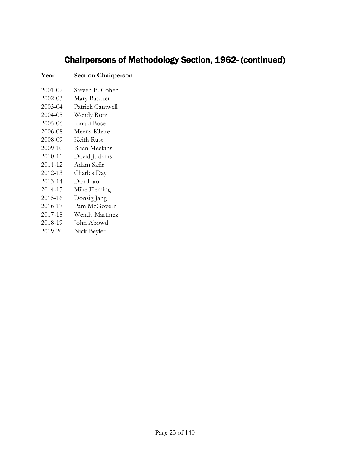# Chairpersons of Methodology Section, 1962- (continued)

#### **Year Section Chairperson**

| 2001-02 | Steven B. Cohen  |
|---------|------------------|
| 2002-03 | Mary Batcher     |
| 2003-04 | Patrick Cantwell |
| 2004-05 | Wendy Rotz       |
| 2005-06 | Jonaki Bose      |
| 2006-08 | Meena Khare      |
| 2008-09 | Keith Rust       |
| 2009-10 | Brian Meekins    |
| 2010-11 | David Judkins    |
| 2011-12 | Adam Safir       |
| 2012-13 | Charles Day      |
| 2013-14 | Dan Liao         |
| 2014-15 | Mike Fleming     |
| 2015-16 | Donsig Jang      |
| 2016-17 | Pam McGovern     |
| 2017-18 | Wendy Martinez   |
| 2018-19 | John Abowd       |
| 2019-20 | Nick Beyler      |
|         |                  |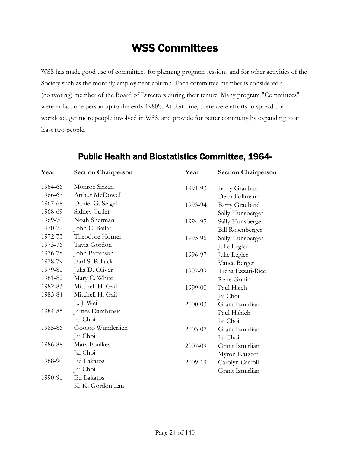# WSS Committees

<span id="page-23-0"></span>WSS has made good use of committees for planning program sessions and for other activities of the Society such as the monthly employment column. Each committee member is considered a (nonvoting) member of the Board of Directors during their tenure. Many program "Committees" were in fact one person up to the early 1980's. At that time, there were efforts to spread the workload, get more people involved in WSS, and provide for better continuity by expanding to at least two people.

<span id="page-23-1"></span>

| Year    | <b>Section Chairperson</b> | Year    | <b>Section Chairperson</b> |
|---------|----------------------------|---------|----------------------------|
| 1964-66 | Monroe Sirken              | 1991-93 | Barry Graubard             |
| 1966-67 | Arthur McDowell            |         | Dean Follmann              |
| 1967-68 | Daniel G. Seigel           | 1993-94 | Barry Graubard             |
| 1968-69 | Sidney Cutler              |         | Sally Hunsberger           |
| 1969-70 | Noah Sherman               | 1994-95 | Sally Hunsberger           |
| 1970-72 | John C. Bailar             |         | <b>Bill Rosenberger</b>    |
| 1972-73 | Theodore Horner            | 1995-96 | Sally Hunsberger           |
| 1973-76 | Tavia Gordon               |         | Julie Legler               |
| 1976-78 | John Patterson             | 1996-97 | Julie Legler               |
| 1978-79 | Earl S. Pollack            |         | Vance Berger               |
| 1979-81 | Julia D. Oliver            | 1997-99 | Trena Ezzati-Rice          |
| 1981-82 | Mary C. White              |         | Rene Gonin                 |
| 1982-83 | Mitchell H. Gail           | 1999-00 | Paul Hsieh                 |
| 1983-84 | Mitchell H. Gail           |         | Jai Choi                   |
|         | L. J. Wei                  | 2000-03 | Grant Izmirlian            |
| 1984-85 | James Dambrosia            |         | Paul Hshieh                |
|         | Jai Choi                   |         | Jai Choi                   |
| 1985-86 | Gooloo Wunderlich          | 2003-07 | Grant Izmirlian            |
|         | Jai Choi                   |         | Jai Choi                   |
| 1986-88 | Mary Foulkes               | 2007-09 | Grant Izmirlian            |
|         | Jai Choi                   |         | Myron Katzoff              |
| 1988-90 | <b>Ed Lakatos</b>          | 2009-19 | Carolyn Carroll            |
|         | Jai Choi                   |         | Grant Izmirlian            |
| 1990-91 | Ed Lakatos                 |         |                            |
|         | K. K. Gordon Lan           |         |                            |

#### Public Health and Biostatistics Committee, 1964-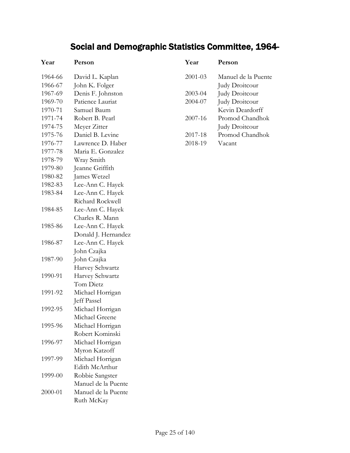# Social and Demographic Statistics Committee, 1964-

<span id="page-24-0"></span>

| Year    | Person              |
|---------|---------------------|
| 1964-66 | David L. Kaplan     |
| 1966-67 | John K. Folger      |
| 1967-69 | Denis F. Johnston   |
| 1969-70 | Patience Lauriat    |
| 1970-71 | Samuel Baum         |
| 1971-74 | Robert B. Pearl     |
| 1974-75 | Meyer Zitter        |
| 1975-76 | Daniel B. Levine    |
| 1976-77 | Lawrence D. Haber   |
| 1977-78 | Maria E. Gonzalez   |
| 1978-79 | Wray Smith          |
| 1979-80 | Jeanne Griffith     |
| 1980-82 | James Wetzel        |
| 1982-83 | Lee-Ann C. Hayek    |
| 1983-84 | Lee-Ann C. Hayek    |
|         | Richard Rockwell    |
| 1984-85 | Lee-Ann C. Hayek    |
|         | Charles R. Mann     |
| 1985-86 | Lee-Ann C. Hayek    |
|         | Donald J. Hernandez |
| 1986-87 | Lee-Ann C. Hayek    |
|         | John Czajka         |
| 1987-90 | John Czajka         |
|         | Harvey Schwartz     |
| 1990-91 | Harvey Schwartz     |
|         | Tom Dietz           |
| 1991-92 | Michael Horrigan    |
|         | Jeff Passel         |
| 1992-95 | Michael Horrigan    |
|         | Michael Greene      |
| 1995-96 | Michael Horrigan    |
|         | Robert Kominski     |
| 1996-97 | Michael Horrigan    |
|         | Myron Katzoff       |
| 1997-99 | Michael Horrigan    |
|         | Edith McArthur      |
| 1999-00 | Robbie Sangster     |
|         | Manuel de la Puente |
| 2000-01 | Manuel de la Puente |
|         | Ruth McKay          |

| Year        | Person              |
|-------------|---------------------|
| 2001-03     | Manuel de la Puente |
|             | Judy Droitcour      |
| $2003 - 04$ | Judy Droitcour      |
| 2004-07     | Judy Droitcour      |
|             | Kevin Deardorff     |
| 2007-16     | Promod Chandhok     |
|             | Judy Droitcour      |
| 2017-18     | Promod Chandhok     |
| 2018-19     | Vacant              |
|             |                     |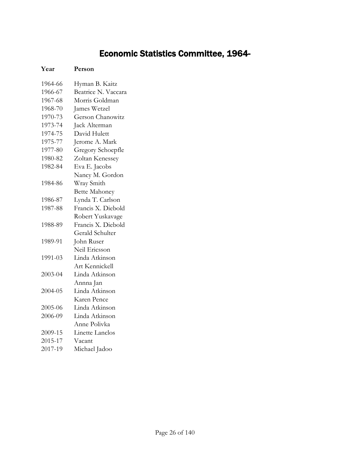# Economic Statistics Committee, 1964-

| 1964-66 | Hyman B. Kaitz       |
|---------|----------------------|
| 1966-67 | Beatrice N. Vaccara  |
| 1967-68 | Morris Goldman       |
| 1968-70 | James Wetzel         |
| 1970-73 | Gerson Chanowitz     |
| 1973-74 | Jack Alterman        |
| 1974-75 | David Hulett         |
| 1975-77 | Jerome A. Mark       |
| 1977-80 | Gregory Schoepfle    |
| 1980-82 | Zoltan Kenessey      |
| 1982-84 | Eva E. Jacobs        |
|         | Nancy M. Gordon      |
| 1984-86 | Wray Smith           |
|         | <b>Bette Mahoney</b> |
| 1986-87 | Lynda T. Carlson     |
| 1987-88 | Francis X. Diebold   |
|         | Robert Yuskavage     |
| 1988-89 | Francis X. Diebold   |
|         | Gerald Schulter      |
| 1989-91 | John Ruser           |
|         | Neil Ericsson        |
| 1991-03 | Linda Atkinson       |
|         | Art Kennickell       |
| 2003-04 | Linda Atkinson       |
|         | Annna Jan            |
| 2004-05 | Linda Atkinson       |
|         | Karen Pence          |
| 2005-06 | Linda Atkinson       |
| 2006-09 | Linda Atkinson       |
|         | Anne Polivka         |
| 2009-15 | Linette Lanclos      |
| 2015-17 | Vacant               |
| 2017-19 | Michael Jadoo        |

<span id="page-25-0"></span>**Year Person**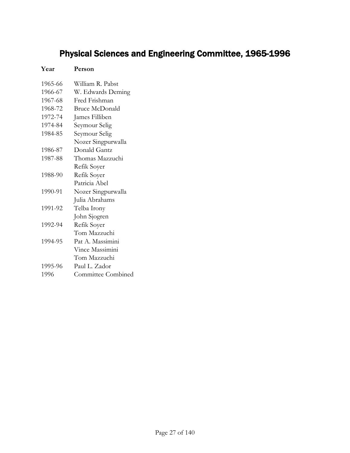# <span id="page-26-0"></span>Physical Sciences and Engineering Committee, 1965-1996

| Year    | Person                |
|---------|-----------------------|
| 1965-66 | William R. Pabst      |
| 1966-67 | W. Edwards Deming     |
| 1967-68 | Fred Frishman         |
| 1968-72 | <b>Bruce McDonald</b> |
| 1972-74 | James Filliben        |
| 1974-84 | Seymour Selig         |
| 1984-85 | Seymour Selig         |
|         | Nozer Singpurwalla    |
| 1986-87 | Donald Gantz          |
| 1987-88 | Thomas Mazzuchi       |
|         | Refik Soyer           |
| 1988-90 | Refik Soyer           |
|         | Patricia Abel         |
| 1990-91 | Nozer Singpurwalla    |
|         | Julia Abrahams        |
| 1991-92 | Telba Irony           |
|         | John Sjogren          |
| 1992-94 | Refik Soyer           |
|         | Tom Mazzuchi          |
| 1994-95 | Pat A. Massimini      |
|         | Vince Massimini       |
|         | Tom Mazzuchi          |
| 1995-96 | Paul L. Zador         |
| 1996    | Committee Combined    |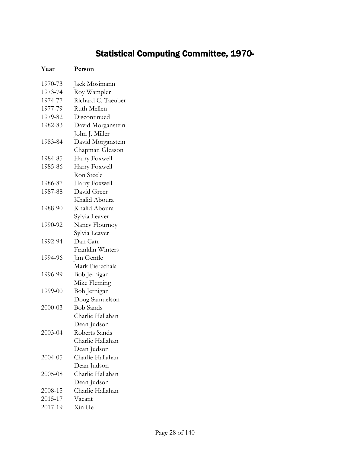# Statistical Computing Committee, 1970-

<span id="page-27-0"></span>

| Year    | Person             |
|---------|--------------------|
| 1970-73 | Jack Mosimann      |
| 1973-74 | Roy Wampler        |
| 1974-77 | Richard C. Taeuber |
| 1977-79 | Ruth Mellen        |
| 1979-82 | Discontinued       |
| 1982-83 | David Morganstein  |
|         | John J. Miller     |
| 1983-84 | David Morganstein  |
|         | Chapman Gleason    |
| 1984-85 | Harry Foxwell      |
| 1985-86 | Harry Foxwell      |
|         | Ron Steele         |
| 1986-87 | Harry Foxwell      |
| 1987-88 | David Greer        |
|         | Khalid Aboura      |
| 1988-90 | Khalid Aboura      |
|         | Sylvia Leaver      |
| 1990-92 | Nancy Flournoy     |
|         | Sylvia Leaver      |
| 1992-94 | Dan Carr           |
|         | Franklin Winters   |
| 1994-96 | Jim Gentle         |
|         | Mark Pierzchala    |
| 1996-99 | Bob Jernigan       |
|         | Mike Fleming       |
| 1999-00 | Bob Jernigan       |
|         | Doug Samuelson     |
| 2000-03 | <b>Bob Sands</b>   |
|         | Charlie Hallahan   |
|         | Dean Judson        |
| 2003-04 | Roberts Sands      |
|         | Charlie Hallahan   |
|         | Dean Judson        |
| 2004-05 | Charlie Hallahan   |
|         | Dean Judson        |
| 2005-08 | Charlie Hallahan   |
|         | Dean Judson        |
| 2008-15 | Charlie Hallahan   |
| 2015-17 | Vacant             |
| 2017-19 | Xin He             |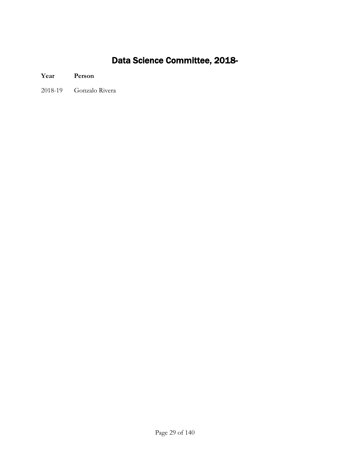# Data Science Committee, 2018-

#### <span id="page-28-0"></span>**Year Person**

2018-19 Gonzalo Rivera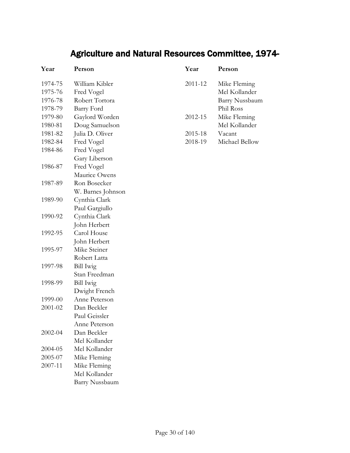# Agriculture and Natural Resources Committee, 1974-

<span id="page-29-0"></span>

| Year    | Person                |
|---------|-----------------------|
| 1974-75 | William Kibler        |
| 1975-76 | Fred Vogel            |
| 1976-78 | Robert Tortora        |
| 1978-79 | Barry Ford            |
| 1979-80 | Gaylord Worden        |
| 1980-81 | Doug Samuelson        |
| 1981-82 | Julia D. Oliver       |
| 1982-84 | Fred Vogel            |
| 1984-86 | Fred Vogel            |
|         | Gary Liberson         |
| 1986-87 | Fred Vogel            |
|         | Maurice Owens         |
| 1987-89 | Ron Bosecker          |
|         | W. Barnes Johnson     |
| 1989-90 | Cynthia Clark         |
|         | Paul Gargiullo        |
| 1990-92 | Cynthia Clark         |
|         | John Herbert          |
| 1992-95 | Carol House           |
|         | John Herbert          |
| 1995-97 | Mike Steiner          |
|         | Robert Latta          |
| 1997-98 | <b>Bill Iwig</b>      |
|         | Stan Freedman         |
| 1998-99 | Bill Iwig             |
|         | Dwight French         |
| 1999-00 | Anne Peterson         |
| 2001-02 | Dan Beckler           |
|         | Paul Geissler         |
|         | Anne Peterson         |
| 2002-04 | Dan Beckler           |
|         | Mel Kollander         |
| 2004-05 | Mel Kollander         |
| 2005-07 | Mike Fleming          |
| 2007-11 | Mike Fleming          |
|         | Mel Kollander         |
|         | <b>Barry Nussbaum</b> |

| Year    | Person         |
|---------|----------------|
| 2011-12 | Mike Fleming   |
|         | Mel Kollander  |
|         | Barry Nussbaum |
|         | Phil Ross      |
| 2012-15 | Mike Fleming   |
|         | Mel Kollander  |
| 2015-18 | Vacant         |
| 2018-19 | Michael Bellow |
|         |                |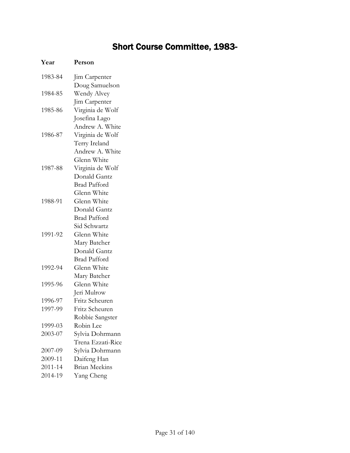## Short Course Committee, 1983-

<span id="page-30-0"></span>

| Year    | Person               |
|---------|----------------------|
| 1983-84 | Jim Carpenter        |
|         | Doug Samuelson       |
| 1984-85 | Wendy Alvey          |
|         | Jim Carpenter        |
| 1985-86 | Virginia de Wolf     |
|         | Josefina Lago        |
|         | Andrew A. White      |
| 1986-87 | Virginia de Wolf     |
|         | Terry Ireland        |
|         | Andrew A. White      |
|         | Glenn White          |
| 1987-88 | Virginia de Wolf     |
|         | Donald Gantz         |
|         | <b>Brad Pafford</b>  |
|         | Glenn White          |
| 1988-91 | Glenn White          |
|         | Donald Gantz         |
|         | <b>Brad Pafford</b>  |
|         | Sid Schwartz         |
| 1991-92 | Glenn White          |
|         | Mary Batcher         |
|         | Donald Gantz         |
|         | <b>Brad Pafford</b>  |
| 1992-94 | Glenn White          |
|         | Mary Batcher         |
| 1995-96 | Glenn White          |
|         | Jeri Mulrow          |
| 1996-97 | Fritz Scheuren       |
| 1997-99 | Fritz Scheuren       |
|         | Robbie Sangster      |
| 1999-03 | Robin Lee            |
| 2003-07 | Sylvia Dohrmann      |
|         | Trena Ezzati-Rice    |
| 2007-09 | Sylvia Dohrmann      |
| 2009-11 | Daifeng Han          |
| 2011-14 | <b>Brian Meekins</b> |
| 2014-19 | Yang Cheng           |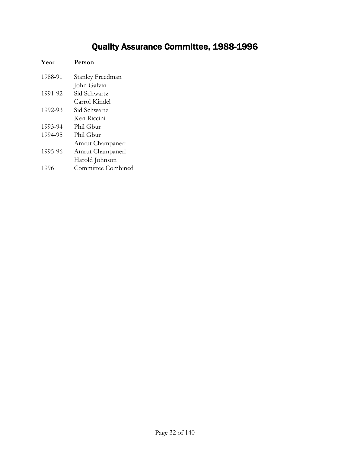# Quality Assurance Committee, 1988-1996

<span id="page-31-0"></span>

| Year    | Person                    |
|---------|---------------------------|
| 1988-91 | Stanley Freedman          |
|         | John Galvin               |
| 1991-92 | Sid Schwartz              |
|         | Carrol Kindel             |
| 1992-93 | Sid Schwartz              |
|         | Ken Riccini               |
| 1993-94 | Phil Gbur                 |
| 1994-95 | Phil Ghur                 |
|         | Amrut Champaneri          |
| 1995-96 | Amrut Champaneri          |
|         | Harold Johnson            |
| 1996    | <b>Committee Combined</b> |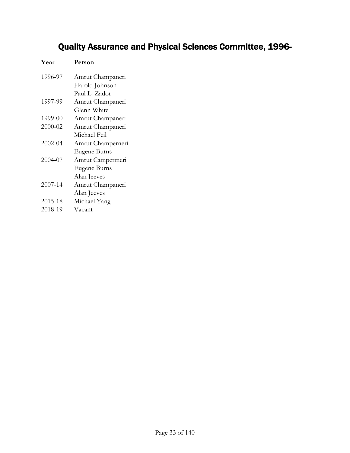# <span id="page-32-0"></span>Quality Assurance and Physical Sciences Committee, 1996-

| Year    | Person            |
|---------|-------------------|
| 1996-97 | Amrut Champaneri  |
|         | Harold Johnson    |
|         | Paul L. Zador     |
| 1997-99 | Amrut Champaneri  |
|         | Glenn White       |
| 1999-00 | Amrut Champaneri  |
| 2000-02 | Amrut Champaneri  |
|         | Michael Feil      |
| 2002-04 | Amrut Champerneri |
|         | Eugene Burns      |
| 2004-07 | Amrut Campermeri  |
|         | Eugene Burns      |
|         | Alan Jeeves       |
| 2007-14 | Amrut Champaneri  |
|         | Alan Jeeves       |
| 2015-18 | Michael Yang      |
| 2018-19 | Vacant            |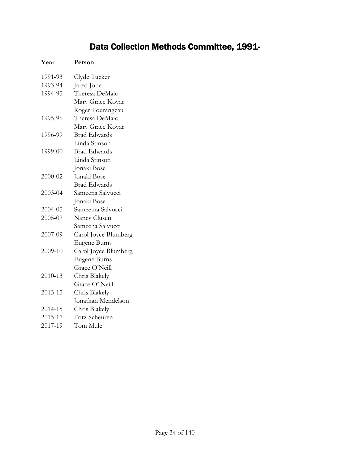## Data Collection Methods Committee, 1991-

<span id="page-33-0"></span>

| Year    | Person               |
|---------|----------------------|
| 1991-93 | Clyde Tucker         |
| 1993-94 | Jared Jobe           |
| 1994-95 | Theresa DeMaio       |
|         | Mary Grace Kovar     |
|         | Roger Tourangeau     |
| 1995-96 | Theresa DeMaio       |
|         | Mary Grace Kovar     |
| 1996-99 | <b>Brad Edwards</b>  |
|         | Linda Stinson        |
| 1999-00 | <b>Brad Edwards</b>  |
|         | Linda Stinson        |
|         | Jonaki Bose          |
| 2000-02 | Jonaki Bose          |
|         | <b>Brad Edwards</b>  |
| 2003-04 | Sameena Salvucci     |
|         | Jonaki Bose          |
| 2004-05 | Sameema Salvucci     |
| 2005-07 | Nancy Clusen         |
|         | Sameena Salvucci     |
| 2007-09 | Carol Joyce Blumberg |
|         | <b>Eugene Burns</b>  |
| 2009-10 | Carol Joyce Blumberg |
|         | <b>Eugene Burns</b>  |
|         | Grace O'Neill        |
| 2010-13 | Chris Blakely        |
|         | Grace O' Neill       |
| 2013-15 | Chris Blakely        |
|         | Jonathan Mendelson   |
| 2014-15 | Chris Blakely        |
| 2015-17 | Fritz Scheuren       |
| 2017-19 | Tom Mule             |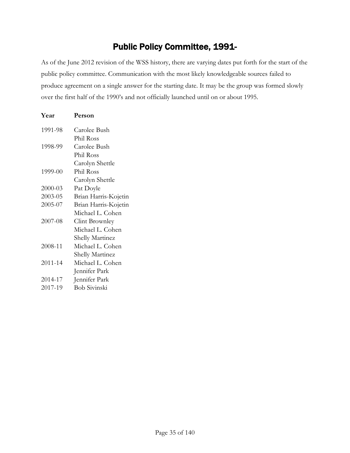### Public Policy Committee, 1991-

<span id="page-34-0"></span>As of the June 2012 revision of the WSS history, there are varying dates put forth for the start of the public policy committee. Communication with the most likely knowledgeable sources failed to produce agreement on a single answer for the starting date. It may be the group was formed slowly over the first half of the 1990's and not officially launched until on or about 1995.

| Year    | Person                 |
|---------|------------------------|
| 1991-98 | Carolee Bush           |
|         | Phil Ross              |
| 1998-99 | Carolee Bush           |
|         | Phil Ross              |
|         | Carolyn Shettle        |
| 1999-00 | Phil Ross              |
|         | Carolyn Shettle        |
| 2000-03 | Pat Doyle              |
| 2003-05 | Brian Harris-Kojetin   |
| 2005-07 | Brian Harris-Kojetin   |
|         | Michael L. Cohen       |
| 2007-08 | Clint Brownley         |
|         | Michael L. Cohen       |
|         | <b>Shelly Martinez</b> |
| 2008-11 | Michael L. Cohen       |
|         | Shelly Martinez        |
| 2011-14 | Michael L. Cohen       |
|         | Jennifer Park          |
| 2014-17 | Jennifer Park          |
| 2017-19 | <b>Bob Sivinski</b>    |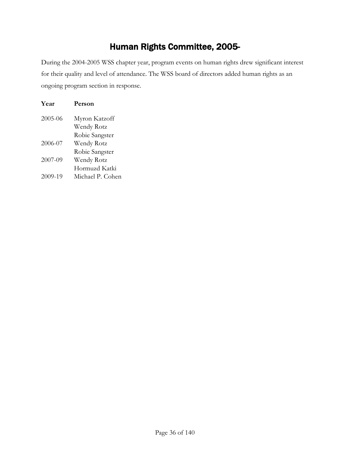# Human Rights Committee, 2005-

<span id="page-35-0"></span>During the 2004-2005 WSS chapter year, program events on human rights drew significant interest for their quality and level of attendance. The WSS board of directors added human rights as an ongoing program section in response.

| Year    | Person           |
|---------|------------------|
| 2005-06 | Myron Katzoff    |
|         | Wendy Rotz       |
|         | Robie Sangster   |
| 2006-07 | Wendy Rotz       |
|         | Robie Sangster   |
| 2007-09 | Wendy Rotz       |
|         | Hormuzd Katki    |
| 2009-19 | Michael P. Cohen |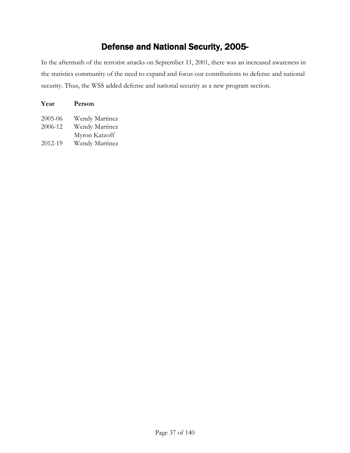## Defense and National Security, 2005-

In the aftermath of the terrorist attacks on September 11, 2001, there was an increased awareness in the statistics community of the need to expand and focus our contributions to defense and national security. Thus, the WSS added defense and national security as a new program section.

| Year    | Person         |
|---------|----------------|
| 2005-06 | Wendy Martinez |
| 2006-12 | Wendy Martinez |
|         | Myron Katzoff  |
| 2012-19 | Wendy Martinez |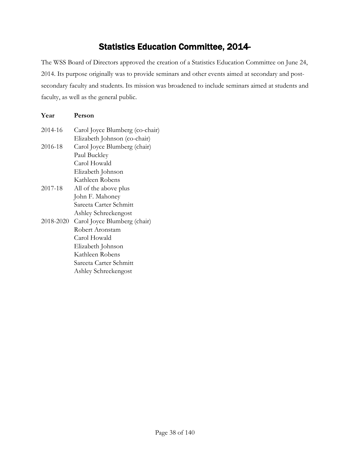#### Statistics Education Committee, 2014-

The WSS Board of Directors approved the creation of a Statistics Education Committee on June 24, 2014. Its purpose originally was to provide seminars and other events aimed at secondary and postsecondary faculty and students. Its mission was broadened to include seminars aimed at students and faculty, as well as the general public.

#### **Year Person** 2014-16 Carol Joyce Blumberg (co-chair) Elizabeth Johnson (co-chair) 2016-18 Carol Joyce Blumberg (chair) Paul Buckley Carol Howald Elizabeth Johnson Kathleen Robens 2017-18 All of the above plus John F. Mahoney Sareeta Carter Schmitt Ashley Schreckengost 2018-2020 Carol Joyce Blumberg (chair) Robert Aronstam Carol Howald Elizabeth Johnson Kathleen Robens Sareeta Carter Schmitt Ashley Schreckengost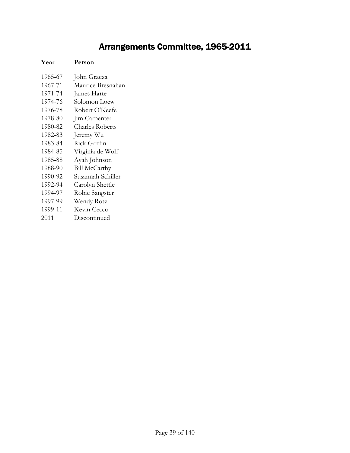## Arrangements Committee, 1965-2011

#### **Year Person**

| 1965-67 | John Gracza            |
|---------|------------------------|
| 1967-71 | Maurice Bresnahan      |
| 1971-74 | James Harte            |
| 1974-76 | Solomon Loew           |
| 1976-78 | Robert O'Keefe         |
| 1978-80 | Jim Carpenter          |
| 1980-82 | <b>Charles Roberts</b> |
| 1982-83 | Jeremy Wu              |
| 1983-84 | Rick Griffin           |
| 1984-85 | Virginia de Wolf       |
| 1985-88 | Ayah Johnson           |
| 1988-90 | <b>Bill McCarthy</b>   |
| 1990-92 | Susannah Schiller      |
| 1992-94 | Carolyn Shettle        |
| 1994-97 | Robie Sangster         |
| 1997-99 | Wendy Rotz             |
| 1999-11 | Kevin Cecco            |
| 2011    | Discontinued           |
|         |                        |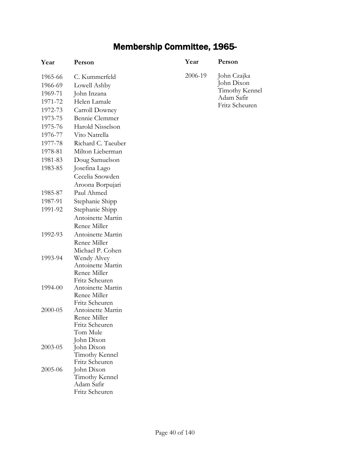## Membership Committee, 1965-

| Year    | Person                              | Year    | Person         |
|---------|-------------------------------------|---------|----------------|
| 1965-66 | C. Kummerfeld                       | 2006-19 | John Czajka    |
| 1966-69 | Lowell Ashby                        |         | John Dixon     |
| 1969-71 | John Inzana                         |         | Timothy Kennel |
| 1971-72 | Helen Lamale                        |         | Adam Safir     |
| 1972-73 | Carroll Downey                      |         | Fritz Scheuren |
| 1973-75 | Bennie Clemmer                      |         |                |
| 1975-76 | Harold Nisselson                    |         |                |
| 1976-77 | Vito Natrella                       |         |                |
| 1977-78 | Richard C. Taeuber                  |         |                |
| 1978-81 | Milton Lieberman                    |         |                |
| 1981-83 | Doug Samuelson                      |         |                |
| 1983-85 | Josefina Lago                       |         |                |
|         | Cecelia Snowden                     |         |                |
|         | Aroona Borpujari                    |         |                |
| 1985-87 | Paul Ahmed                          |         |                |
| 1987-91 | Stephanie Shipp                     |         |                |
| 1991-92 | Stephanie Shipp                     |         |                |
|         | Antoinette Martin                   |         |                |
|         | Renee Miller                        |         |                |
| 1992-93 | Antoinette Martin                   |         |                |
|         | Renee Miller                        |         |                |
|         | Michael P. Cohen                    |         |                |
| 1993-94 | Wendy Alvey                         |         |                |
|         | Antoinette Martin                   |         |                |
|         | Renee Miller                        |         |                |
| 1994-00 | Fritz Scheuren<br>Antoinette Martin |         |                |
|         | Renee Miller                        |         |                |
|         | Fritz Scheuren                      |         |                |
| 2000-05 | Antoinette Martin                   |         |                |
|         | Renee Miller                        |         |                |
|         | Fritz Scheuren                      |         |                |
|         | Tom Mule                            |         |                |
|         | John Dixon                          |         |                |
| 2003-05 | John Dixon<br>Timothy Kennel        |         |                |
|         | Fritz Scheuren                      |         |                |
| 2005-06 | John Dixon                          |         |                |
|         | Timothy Kennel                      |         |                |
|         | Adam Safir                          |         |                |
|         | Fritz Scheuren                      |         |                |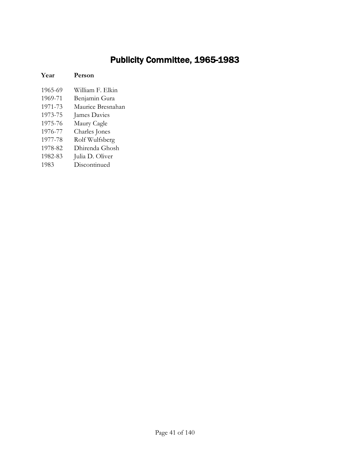### Publicity Committee, 1965-1983

#### **Year Person**

- 1965-69 William F. Elkin
- 1969-71 Benjamin Gura
- 1971-73 Maurice Bresnahan
- 1973-75 James Davies
- 1975-76 Maury Cagle
- 1976-77 Charles Jones
- 1977-78 Rolf Wulfsberg
- 1978-82 Dhirenda Ghosh
- 1982-83 Julia D. Oliver
- 1983 Discontinued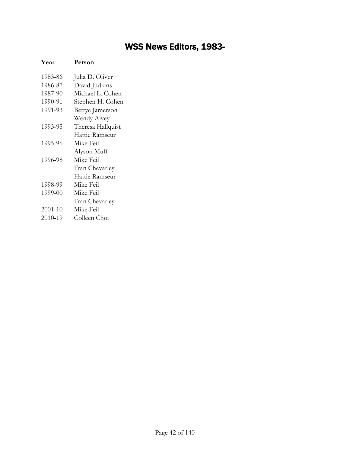## WSS News Editors, 1983-

| Year    | Person            |
|---------|-------------------|
| 1983-86 | Julia D. Oliver   |
| 1986-87 | David Judkins     |
| 1987-90 | Michael L. Cohen  |
| 1990-91 | Stephen H. Cohen  |
| 1991-93 | Bettye Jamerson   |
|         | Wendy Alvey       |
| 1993-95 | Theresa Hallquist |
|         | Hattie Ramseur    |
| 1995-96 | Mike Feil         |
|         | Alyson Muff       |
| 1996-98 | Mike Feil         |
|         | Fran Chevarley    |
|         | Hattie Ramseur    |
| 1998-99 | Mike Feil         |
| 1999-00 | Mike Feil         |
|         | Fran Chevarley    |
| 2001-10 | Mike Feil         |
| 2010-19 | Colleen Choi      |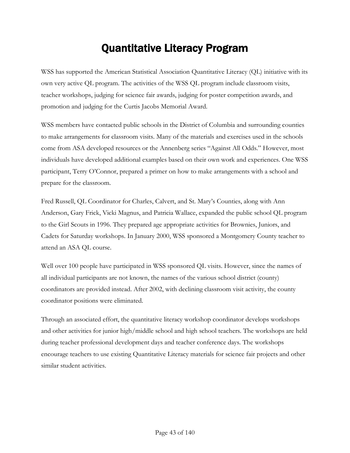## Quantitative Literacy Program

WSS has supported the American Statistical Association Quantitative Literacy (QL) initiative with its own very active QL program. The activities of the WSS QL program include classroom visits, teacher workshops, judging for science fair awards, judging for poster competition awards, and promotion and judging for the Curtis Jacobs Memorial Award.

WSS members have contacted public schools in the District of Columbia and surrounding counties to make arrangements for classroom visits. Many of the materials and exercises used in the schools come from ASA developed resources or the Annenberg series "Against All Odds." However, most individuals have developed additional examples based on their own work and experiences. One WSS participant, Terry O'Connor, prepared a primer on how to make arrangements with a school and prepare for the classroom.

Fred Russell, QL Coordinator for Charles, Calvert, and St. Mary's Counties, along with Ann Anderson, Gary Frick, Vicki Magnus, and Patricia Wallace, expanded the public school QL program to the Girl Scouts in 1996. They prepared age appropriate activities for Brownies, Juniors, and Cadets for Saturday workshops. In January 2000, WSS sponsored a Montgomery County teacher to attend an ASA QL course.

Well over 100 people have participated in WSS sponsored QL visits. However, since the names of all individual participants are not known, the names of the various school district (county) coordinators are provided instead. After 2002, with declining classroom visit activity, the county coordinator positions were eliminated.

Through an associated effort, the quantitative literacy workshop coordinator develops workshops and other activities for junior high/middle school and high school teachers. The workshops are held during teacher professional development days and teacher conference days. The workshops encourage teachers to use existing Quantitative Literacy materials for science fair projects and other similar student activities.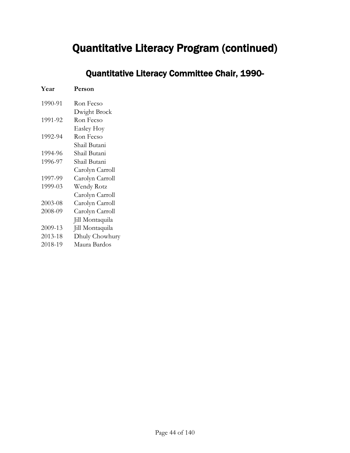### Quantitative Literacy Committee Chair, 1990-

| Year    | Person            |
|---------|-------------------|
| 1990-91 | Ron Fecso         |
|         | Dwight Brock      |
| 1991-92 | Ron Fecso         |
|         | <b>Easley Hoy</b> |
| 1992-94 | Ron Fecso         |
|         | Shail Butani      |
| 1994-96 | Shail Butani      |
| 1996-97 | Shail Butani      |
|         | Carolyn Carroll   |
| 1997-99 | Carolyn Carroll   |
| 1999-03 | Wendy Rotz        |
|         | Carolyn Carroll   |
| 2003-08 | Carolyn Carroll   |
| 2008-09 | Carolyn Carroll   |
|         | Jill Montaquila   |
| 2009-13 | Jill Montaquila   |
| 2013-18 | Dhuly Chowhury    |
| 2018-19 | Maura Bardos      |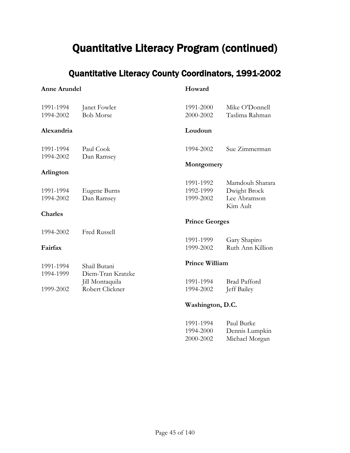### Quantitative Literacy County Coordinators, 1991-2002

#### **Anne Arundel**

#### **Howard**

| 1991-1994<br>1994-2002 | Janet Fowler<br><b>Bob Morse</b> | 1991-2000<br>2000-2002 | Mike O'Donnell<br>Taslima Rahman |
|------------------------|----------------------------------|------------------------|----------------------------------|
| Alexandria             |                                  | Loudoun                |                                  |
| 1991-1994              | Paul Cook                        | 1994-2002              | Sue Zimmerman                    |
| 1994-2002              | Dan Ramsey                       | Montgomery             |                                  |
| Arlington              |                                  |                        |                                  |
|                        |                                  | 1991-1992              | Mamdouh Sharara                  |
| 1991-1994              | Eugene Burns                     | 1992-1999              | Dwight Brock                     |
| 1994-2002              | Dan Ramsey                       | 1999-2002              | Lee Abramson<br>Kim Ault         |
| <b>Charles</b>         |                                  |                        |                                  |
|                        |                                  | <b>Prince Georges</b>  |                                  |
| 1994-2002              | <b>Fred Russell</b>              |                        |                                  |
|                        |                                  | 1991-1999              | Gary Shapiro                     |
| Fairfax                |                                  | 1999-2002              | Ruth Ann Killion                 |
| 1991-1994              | Shail Butani                     | <b>Prince William</b>  |                                  |
| 1994-1999              | Diem-Tran Kratzke                |                        |                                  |
|                        | Jill Montaquila                  | 1991-1994              | <b>Brad Pafford</b>              |
| 1999-2002              | Robert Clickner                  | 1994-2002              | Jeff Bailey                      |
|                        |                                  | Washington, D.C.       |                                  |

#### 1991-1994 Paul Burke 1994-2000 Dennis Lumpkin 2000-2002 Michael Morgan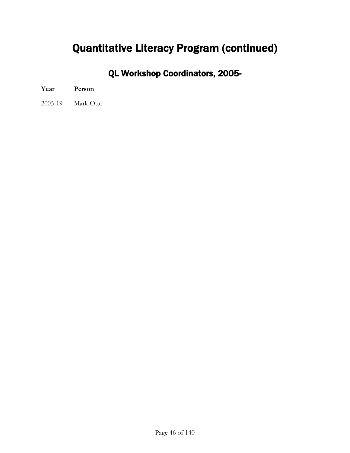QL Workshop Coordinators, 2005-

2005-19 Mark Otto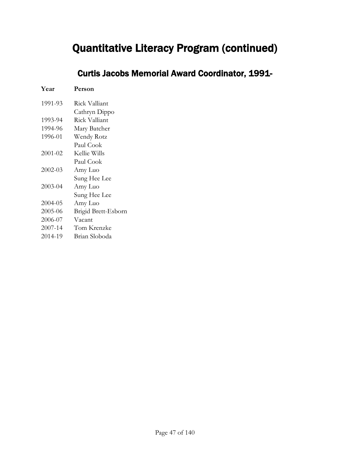### Curtis Jacobs Memorial Award Coordinator, 1991-

| Year    | Person              |
|---------|---------------------|
| 1991-93 | Rick Valliant       |
|         | Cathryn Dippo       |
| 1993-94 | Rick Valliant       |
| 1994-96 | Mary Batcher        |
| 1996-01 | Wendy Rotz          |
|         | Paul Cook           |
| 2001-02 | Kellie Wills        |
|         | Paul Cook           |
| 2002-03 | Amy Luo             |
|         | Sung Hee Lee        |
| 2003-04 | Amy Luo             |
|         | Sung Hee Lee        |
| 2004-05 | Amy Luo             |
| 2005-06 | Brigid Brett-Esborn |
| 2006-07 | Vacant              |
| 2007-14 | Tom Krenzke         |
| 2014-19 | Brian Sloboda       |
|         |                     |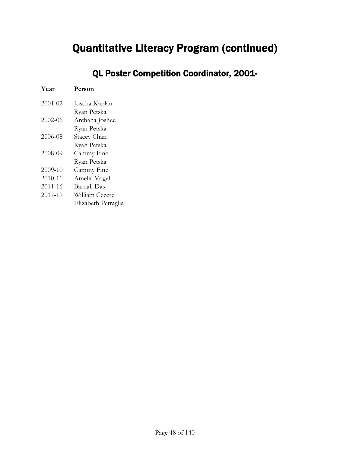QL Poster Competition Coordinator, 2001-

| Year    | Person              |
|---------|---------------------|
| 2001-02 | Joscha Kaplan       |
|         | Ryan Petska         |
| 2002-06 | Archana Joshee      |
|         | Ryan Petska         |
| 2006-08 | Stacey Chan         |
|         | Ryan Petska         |
| 2008-09 | Cammy Fine          |
|         | Ryan Petska         |
| 2009-10 | Cammy Fine          |
| 2010-11 | Amelia Vogel        |
| 2011-16 | Barnali Das         |
| 2017-19 | William Cecere      |
|         | Elizabeth Petraglia |
|         |                     |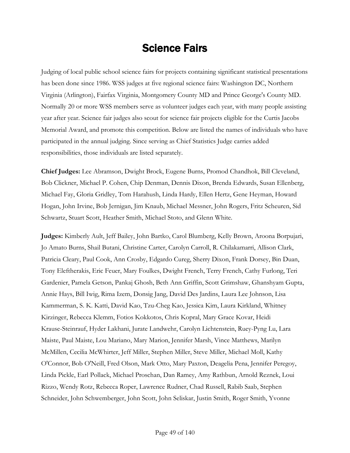## Science Fairs

Judging of local public school science fairs for projects containing significant statistical presentations has been done since 1986. WSS judges at five regional science fairs: Washington DC, Northern Virginia (Arlington), Fairfax Virginia, Montgomery County MD and Prince George's County MD. Normally 20 or more WSS members serve as volunteer judges each year, with many people assisting year after year. Science fair judges also scout for science fair projects eligible for the Curtis Jacobs Memorial Award, and promote this competition. Below are listed the names of individuals who have participated in the annual judging. Since serving as Chief Statistics Judge carries added responsibilities, those individuals are listed separately.

**Chief Judges:** Lee Abramson, Dwight Brock, Eugene Burns, Promod Chandhok, Bill Cleveland, Bob Clickner, Michael P. Cohen, Chip Denman, Dennis Dixon, Brenda Edwards, Susan Ellenberg, Michael Fay, Gloria Gridley, Tom Harahush, Linda Hardy, Ellen Hertz, Gene Heyman, Howard Hogan, John Irvine, Bob Jernigan, Jim Knaub, Michael Messner, John Rogers, Fritz Scheuren, Sid Schwartz, Stuart Scott, Heather Smith, Michael Stoto, and Glenn White.

**Judges:** Kimberly Ault, Jeff Bailey, John Bartko, Carol Blumberg, Kelly Brown, Aroona Borpujari, Jo Amato Burns, Shail Butani, Christine Carter, Carolyn Carroll, R. Chilakamarri, Allison Clark, Patricia Cleary, Paul Cook, Ann Crosby, Edgardo Cureg, Sherry Dixon, Frank Dorsey, Bin Duan, Tony Eleftherakis, Eric Feuer, Mary Foulkes, Dwight French, Terry French, Cathy Furlong, Teri Gardenier, Pamela Getson, Pankaj Ghosh, Beth Ann Griffin, Scott Grimshaw, Ghanshyam Gupta, Annie Hays, Bill Iwig, Rima Izem, Donsig Jang, David Des Jardins, Laura Lee Johnson, Lisa Kammerman, S. K. Katti, David Kao, Tzu-Cheg Kao, Jessica Kim, Laura Kirkland, Whitney Kirzinger, Rebecca Klemm, Fotios Kokkotos, Chris Kopral, Mary Grace Kovar, Heidi Krause-Steinrauf, Hyder Lakhani, Jurate Landwehr, Carolyn Lichtenstein, Ruey-Pyng Lu, Lara Maiste, Paul Maiste, Lou Mariano, Mary Marion, Jennifer Marsh, Vince Matthews, Marilyn McMillen, Cecilia McWhirter, Jeff Miller, Stephen Miller, Steve Miller, Michael Moll, Kathy O'Connor, Bob O'Neill, Fred Olson, Mark Otto, Mary Paxton, Deagelia Pena, Jennifer Peregoy, Linda Pickle, Earl Pollack, Michael Proschan, Dan Ramey, Amy Rathbun, Arnold Reznek, Loui Rizzo, Wendy Rotz, Rebecca Roper, Lawrence Rudner, Chad Russell, Rabib Saab, Stephen Schneider, John Schwemberger, John Scott, John Seliskar, Justin Smith, Roger Smith, Yvonne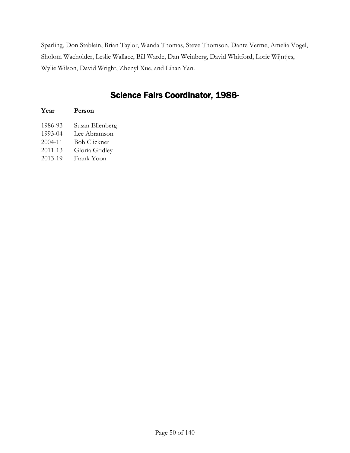Sparling, Don Stablein, Brian Taylor, Wanda Thomas, Steve Thomson, Dante Verme, Amelia Vogel, Sholom Wacholder, Leslie Wallace, Bill Warde, Dan Weinberg, David Whitford, Lorie Wijntjes, Wylie Wilson, David Wright, Zhenyl Xue, and Lihan Yan.

### Science Fairs Coordinator, 1986-

| Year    | Person              |
|---------|---------------------|
| 1986-93 | Susan Ellenberg     |
| 1993-04 | Lee Abramson        |
| 2004-11 | <b>Bob Clickner</b> |
| 2011-13 | Gloria Gridley      |
| 2013-19 | Frank Yoon          |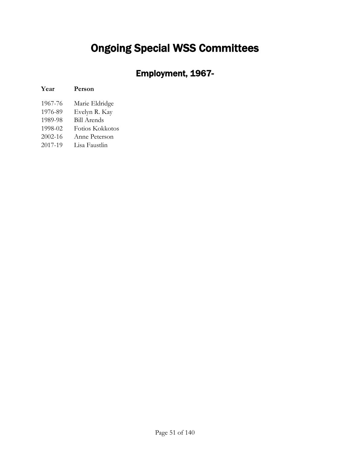# Ongoing Special WSS Committees

## Employment, 1967-

#### **Year Person**

| 1967-76 | Marie Eldridge     |
|---------|--------------------|
| 1976-89 | Evelyn R. Kay      |
| 1989-98 | <b>Bill Arends</b> |
| 1998-02 | Fotios Kokkotos    |
| 2002-16 | Anne Peterson      |
| 2017-19 | Lisa Faustlin      |
|         |                    |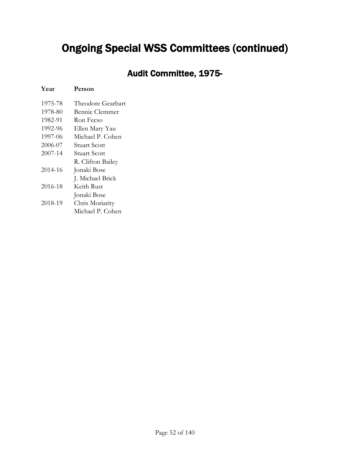### Audit Committee, 1975-

#### **Year Person**

| 1975-78 | Theodore Gearhart   |
|---------|---------------------|
| 1978-80 | Bennie Clemmer      |
| 1982-91 | Ron Fecso           |
| 1992-96 | Ellen Mary Yau      |
| 1997-06 | Michael P. Cohen    |
| 2006-07 | Stuart Scott        |
| 2007-14 | <b>Stuart Scott</b> |
|         | R. Clifton Bailey   |
| 2014-16 | Jonaki Bose         |
|         | J. Michael Brick    |
| 2016-18 | Keith Rust          |
|         | Jonaki Bose         |
| 2018-19 | Chris Moriarity     |
|         | Michael P. Cohen    |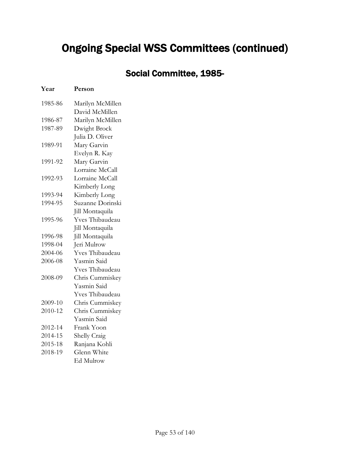## Social Committee, 1985-

| Year    | Person           |
|---------|------------------|
| 1985-86 | Marilyn McMillen |
|         | David McMillen   |
| 1986-87 | Marilyn McMillen |
| 1987-89 | Dwight Brock     |
|         | Julia D. Oliver  |
| 1989-91 | Mary Garvin      |
|         | Evelyn R. Kay    |
| 1991-92 | Mary Garvin      |
|         | Lorraine McCall  |
| 1992-93 | Lorraine McCall  |
|         | Kimberly Long    |
| 1993-94 | Kimberly Long    |
| 1994-95 | Suzanne Dorinski |
|         | Jill Montaquila  |
| 1995-96 | Yves Thibaudeau  |
|         | Jill Montaquila  |
| 1996-98 | Jill Montaquila  |
| 1998-04 | Jeri Mulrow      |
| 2004-06 | Yves Thibaudeau  |
| 2006-08 | Yasmin Said      |
|         | Yves Thibaudeau  |
| 2008-09 | Chris Cummiskey  |
|         | Yasmin Said      |
|         | Yves Thibaudeau  |
| 2009-10 | Chris Cummiskey  |
| 2010-12 | Chris Cummiskey  |
|         | Yasmin Said      |
| 2012-14 | Frank Yoon       |
| 2014-15 | Shelly Craig     |
| 2015-18 | Ranjana Kohli    |
| 2018-19 | Glenn White      |
|         | Ed Mulrow        |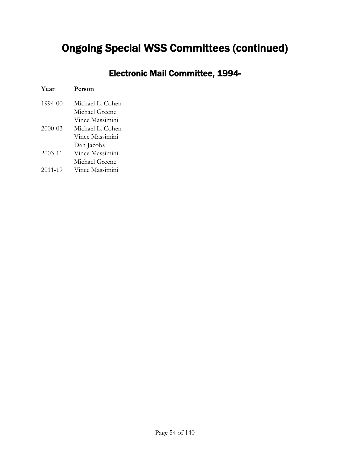## Electronic Mail Committee, 1994-

| Year        | Person           |
|-------------|------------------|
| 1994-00     | Michael L. Cohen |
|             | Michael Greene   |
|             | Vince Massimini  |
| 2000-03     | Michael L. Cohen |
|             | Vince Massimini  |
|             | Dan Jacobs       |
| $2003 - 11$ | Vince Massimini  |
|             | Michael Greene   |
| 2011-19     | Vince Massimini  |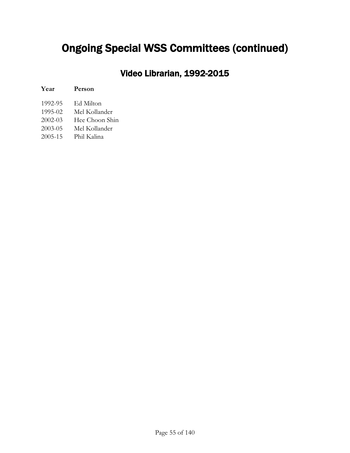### Video Librarian, 1992-2015

| Year        | Person         |
|-------------|----------------|
| 1992-95     | Ed Milton      |
| 1995-02     | Mel Kollander  |
| $2002 - 03$ | Hee Choon Shin |
| 2003-05     | Mel Kollander  |
| 2005-15     | Phil Kalina    |
|             |                |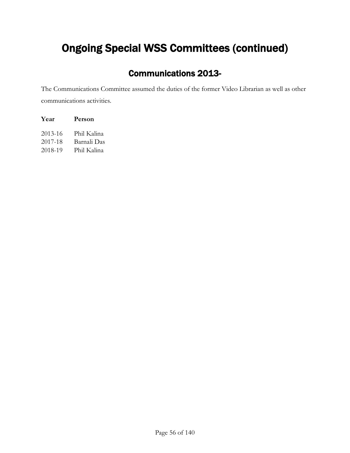### Communications 2013-

The Communications Committee assumed the duties of the former Video Librarian as well as other communications activities.

| Year    | Person      |
|---------|-------------|
| 2013-16 | Phil Kalina |
| 2017-18 | Barnali Das |
| 2018-19 | Phil Kalina |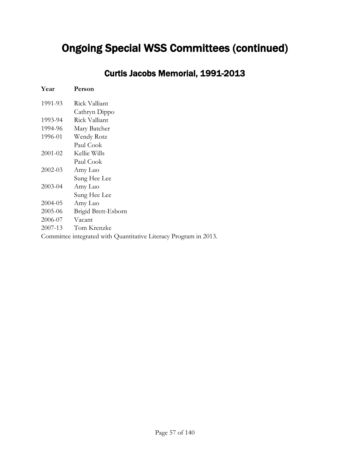Curtis Jacobs Memorial, 1991-2013

| Year        | Person                                                           |
|-------------|------------------------------------------------------------------|
| 1991-93     | Rick Valliant                                                    |
|             | Cathryn Dippo                                                    |
| 1993-94     | Rick Valliant                                                    |
| 1994-96     | Mary Batcher                                                     |
| 1996-01     | Wendy Rotz                                                       |
|             | Paul Cook                                                        |
| 2001-02     | Kellie Wills                                                     |
|             | Paul Cook                                                        |
| $2002 - 03$ | Amy Luo                                                          |
|             | Sung Hee Lee                                                     |
| $2003 - 04$ | Amy Luo                                                          |
|             | Sung Hee Lee                                                     |
| 2004-05     | Amy Luo                                                          |
| 2005-06     | Brigid Brett-Esborn                                              |
| 2006-07     | Vacant                                                           |
| 2007-13     | Tom Krenzke                                                      |
|             | Committee integrated with Quantitative Literacy Program in 2013. |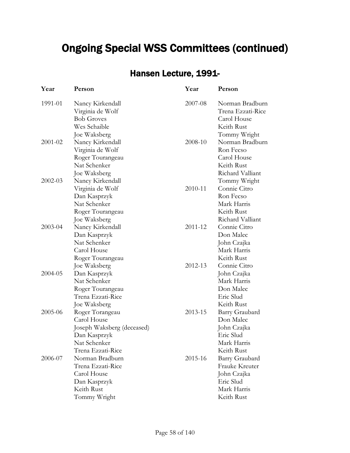### Hansen Lecture, 1991-

| Year    | Person                                                                                                            | Year    | Person                                                                                        |
|---------|-------------------------------------------------------------------------------------------------------------------|---------|-----------------------------------------------------------------------------------------------|
| 1991-01 | Nancy Kirkendall<br>Virginia de Wolf<br><b>Bob Groves</b><br>Wes Schaible                                         | 2007-08 | Norman Bradburn<br>Trena Ezzati-Rice<br>Carol House<br>Keith Rust                             |
| 2001-02 | Joe Waksberg<br>Nancy Kirkendall<br>Virginia de Wolf<br>Roger Tourangeau<br>Nat Schenker<br>Joe Waksberg          | 2008-10 | Tommy Wright<br>Norman Bradburn<br>Ron Fecso<br>Carol House<br>Keith Rust<br>Richard Valliant |
| 2002-03 | Nancy Kirkendall<br>Virginia de Wolf<br>Dan Kasprzyk<br>Nat Schenker<br>Roger Tourangeau                          | 2010-11 | Tommy Wright<br>Connie Citro<br>Ron Fecso<br>Mark Harris<br>Keith Rust                        |
| 2003-04 | Joe Waksberg<br>Nancy Kirkendall<br>Dan Kasprzyk<br>Nat Schenker<br>Carol House<br>Roger Tourangeau               | 2011-12 | Richard Valliant<br>Connie Citro<br>Don Malec<br>John Czajka<br>Mark Harris<br>Keith Rust     |
| 2004-05 | Joe Waksberg<br>Dan Kasprzyk<br>Nat Schenker<br>Roger Tourangeau<br>Trena Ezzati-Rice<br>Joe Waksberg             | 2012-13 | Connie Citro<br>John Czajka<br>Mark Harris<br>Don Malec<br>Eric Slud<br>Keith Rust            |
| 2005-06 | Roger Torangeau<br>Carol House<br>Joseph Waksberg (deceased)<br>Dan Kasprzyk<br>Nat Schenker<br>Trena Ezzati-Rice | 2013-15 | Barry Graubard<br>Don Malec<br>John Czajka<br>Eric Slud<br>Mark Harris<br>Keith Rust          |
| 2006-07 | Norman Bradburn<br>Trena Ezzati-Rice<br>Carol House<br>Dan Kasprzyk<br>Keith Rust<br>Tommy Wright                 | 2015-16 | Barry Graubard<br>Frauke Kreuter<br>John Czajka<br>Eric Slud<br>Mark Harris<br>Keith Rust     |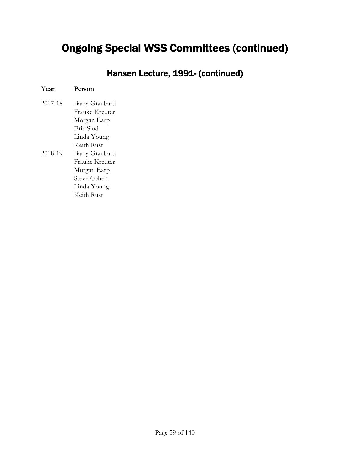Hansen Lecture, 1991- (continued)

## **Year Person**

| 2017-18 | Barry Graubard |
|---------|----------------|
|         | Frauke Kreuter |
|         | Morgan Earp    |
|         | Eric Slud      |
|         | Linda Young    |
|         | Keith Rust     |
| 2018-19 | Barry Graubard |
|         | Franke Krenter |
|         | Morgan Earp    |
|         | Steve Cohen    |
|         | Linda Young    |
|         | Keith Rust     |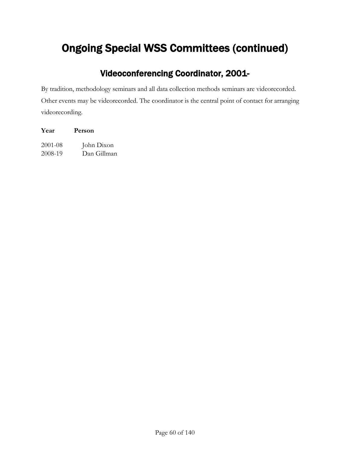### Videoconferencing Coordinator, 2001-

By tradition, methodology seminars and all data collection methods seminars are videorecorded. Other events may be videorecorded. The coordinator is the central point of contact for arranging videorecording.

| Year    | Person      |  |
|---------|-------------|--|
| 2001-08 | John Dixon  |  |
| 2008-19 | Dan Gillman |  |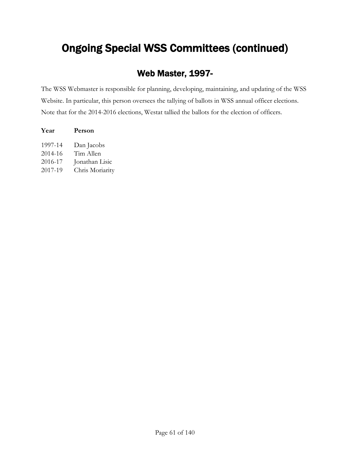### Web Master, 1997-

The WSS Webmaster is responsible for planning, developing, maintaining, and updating of the WSS Website. In particular, this person oversees the tallying of ballots in WSS annual officer elections. Note that for the 2014-2016 elections, Westat tallied the ballots for the election of officers.

| Year                                     | Person                                                       |
|------------------------------------------|--------------------------------------------------------------|
| 1997-14<br>2014-16<br>2016-17<br>2017-19 | Dan Jacobs<br>Tim Allen<br>Jonathan Lisic<br>Chris Moriarity |
|                                          |                                                              |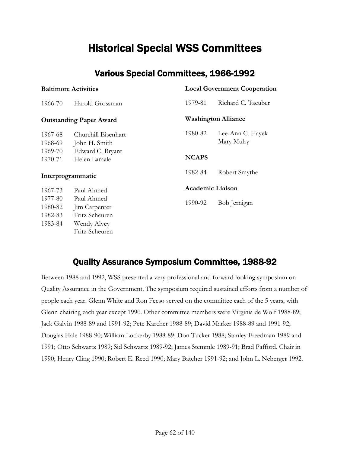## Historical Special WSS Committees

#### Various Special Committees, 1966-1992

| <b>Baltimore Activities</b> |                                |                         | <b>Local Government Cooperation</b> |  |
|-----------------------------|--------------------------------|-------------------------|-------------------------------------|--|
| 1966-70                     | Harold Grossman                | 1979-81                 | Richard C. Taeuber                  |  |
|                             | <b>Outstanding Paper Award</b> |                         | <b>Washington Alliance</b>          |  |
| 1967-68                     | Churchill Eisenhart            | 1980-82                 | Lee-Ann C. Hayek                    |  |
| 1968-69                     | John H. Smith                  |                         | Mary Mulry                          |  |
| 1969-70                     | Edward C. Bryant               |                         |                                     |  |
| 1970-71                     | Helen Lamale                   | <b>NCAPS</b>            |                                     |  |
|                             | Interprogrammatic              | 1982-84                 | Robert Smythe                       |  |
| 1967-73                     | Paul Ahmed                     | <b>Academic Liaison</b> |                                     |  |
| 1977-80                     | Paul Ahmed                     |                         |                                     |  |
| 1980-82                     | Jim Carpenter                  | 1990-92                 | Bob Jernigan                        |  |
| 1982-83                     | Fritz Scheuren                 |                         |                                     |  |
| 1983-84                     | Wendy Alvey                    |                         |                                     |  |
|                             | Fritz Scheuren                 |                         |                                     |  |

### Quality Assurance Symposium Committee, 1988-92

Between 1988 and 1992, WSS presented a very professional and forward looking symposium on Quality Assurance in the Government. The symposium required sustained efforts from a number of people each year. Glenn White and Ron Fecso served on the committee each of the 5 years, with Glenn chairing each year except 1990. Other committee members were Virginia de Wolf 1988-89; Jack Galvin 1988-89 and 1991-92; Pete Karcher 1988-89; David Marker 1988-89 and 1991-92; Douglas Hale 1988-90; William Lockerby 1988-89; Don Tucker 1988; Stanley Freedman 1989 and 1991; Otto Schwartz 1989; Sid Schwartz 1989-92; James Stemmle 1989-91; Brad Pafford, Chair in 1990; Henry Cling 1990; Robert E. Reed 1990; Mary Batcher 1991-92; and John L. Neberger 1992.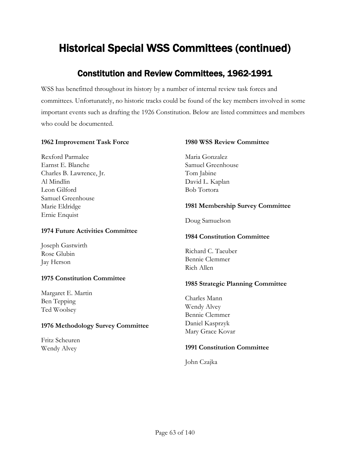### Constitution and Review Committees, 1962-1991

WSS has benefitted throughout its history by a number of internal review task forces and committees. Unfortunately, no historic tracks could be found of the key members involved in some important events such as drafting the 1926 Constitution. Below are listed committees and members who could be documented.

#### **1962 Improvement Task Force**

Rexford Parmalee Earnst E. Blanche Charles B. Lawrence, Jr. Al Mindlin Leon Gilford Samuel Greenhouse Marie Eldridge Ernie Enquist

#### **1974 Future Activities Committee**

Joseph Gastwirth Rose Glubin Jay Herson

#### **1975 Constitution Committee**

Margaret E. Martin Ben Tepping Ted Woolsey

#### **1976 Methodology Survey Committee**

Fritz Scheuren Wendy Alvey

#### **1980 WSS Review Committee**

Maria Gonzalez Samuel Greenhouse Tom Jabine David L. Kaplan Bob Tortora

#### **1981 Membership Survey Committee**

Doug Samuelson

#### **1984 Constitution Committee**

Richard C. Taeuber Bennie Clemmer Rich Allen

#### **1985 Strategic Planning Committee**

Charles Mann Wendy Alvey Bennie Clemmer Daniel Kasprzyk Mary Grace Kovar

#### **1991 Constitution Committee**

John Czajka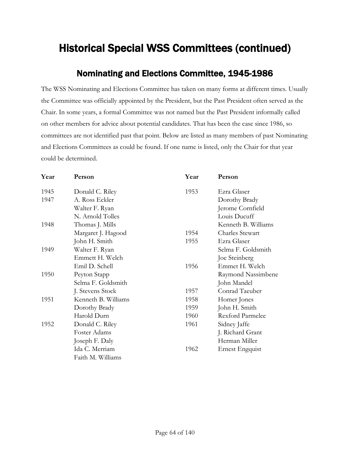### Nominating and Elections Committee, 1945-1986

The WSS Nominating and Elections Committee has taken on many forms at different times. Usually the Committee was officially appointed by the President, but the Past President often served as the Chair. In some years, a formal Committee was not named but the Past President informally called on other members for advice about potential candidates. That has been the case since 1986, so committees are not identified past that point. Below are listed as many members of past Nominating and Elections Committees as could be found. If one name is listed, only the Chair for that year could be determined.

| Year | Person              | Year | Person                 |
|------|---------------------|------|------------------------|
| 1945 | Donald C. Riley     | 1953 | Ezra Glaser            |
| 1947 | A. Ross Eckler      |      | Dorothy Brady          |
|      | Walter F. Ryan      |      | Jerome Cornfield       |
|      | N. Arnold Tolles    |      | Louis Ducuff           |
| 1948 | Thomas J. Mills     |      | Kenneth B. Williams    |
|      | Margaret J. Hagood  | 1954 | <b>Charles Stewart</b> |
|      | John H. Smith       | 1955 | Ezra Glaser            |
| 1949 | Walter F. Ryan      |      | Selma F. Goldsmith     |
|      | Emmett H. Welch     |      | Joe Steinberg          |
|      | Emil D. Schell      | 1956 | Emmet H. Welch         |
| 1950 | Peyton Stapp        |      | Raymond Nassimbene     |
|      | Selma F. Goldsmith  |      | John Mandel            |
|      | J. Stevens Stock    | 1957 | Conrad Taeuber         |
| 1951 | Kenneth B. Williams | 1958 | Homer Jones            |
|      | Dorothy Brady       | 1959 | John H. Smith          |
|      | Harold Durn         | 1960 | Rexford Parmelee       |
| 1952 | Donald C. Riley     | 1961 | Sidney Jaffe           |
|      | Foster Adams        |      | J. Richard Grant       |
|      | Joseph F. Daly      |      | Herman Miller          |
|      | Ida C. Merriam      | 1962 | Ernest Engquist        |
|      | Faith M. Williams   |      |                        |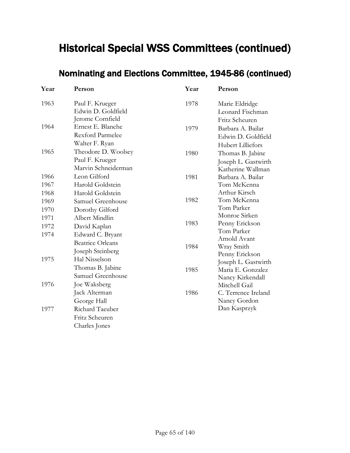### Nominating and Elections Committee, 1945-86 (continued)

| Year                 | Person                                                          | Year | Person                                                                         |
|----------------------|-----------------------------------------------------------------|------|--------------------------------------------------------------------------------|
| 1963                 | Paul F. Krueger<br>Edwin D. Goldfield<br>Jerome Cornfield       | 1978 | Marie Eldridge<br>Leonard Fischman                                             |
| 1964                 | Ernest E. Blanche<br><b>Rexford Parmelee</b><br>Walter F. Ryan  | 1979 | Fritz Scheuren<br>Barbara A. Bailar<br>Edwin D. Goldfield<br>Hubert Lilliefors |
| 1965                 | Theodore D. Woolsey<br>Paul F. Krueger<br>Marvin Schneiderman   | 1980 | Thomas B. Jabine<br>Joseph L. Gastwirth<br>Katherine Wallman                   |
| 1966<br>1967         | Leon Gilford<br>Harold Goldstein                                | 1981 | Barbara A. Bailar<br>Tom McKenna                                               |
| 1968<br>1969<br>1970 | Harold Goldstein<br>Samuel Greenhouse<br>Dorothy Gilford        | 1982 | Arthur Kirsch<br>Tom McKenna<br>Tom Parker                                     |
| 1971<br>1972         | Albert Mindlin<br>David Kaplan                                  | 1983 | Monroe Sirken<br>Penny Erickson<br>Tom Parker                                  |
| 1974                 | Edward C. Bryant<br><b>Beatrice Orleans</b><br>Joseph Steinberg | 1984 | Arnold Avant<br>Wray Smith<br>Penny Erickson                                   |
| 1975                 | Hal Nisselson<br>Thomas B. Jabine<br>Samuel Greenhouse          | 1985 | Joseph L. Gastwirth<br>Maria E. Gonzalez<br>Nancy Kirkendall                   |
| 1976                 | Joe Waksberg<br>Jack Alterman<br>George Hall                    | 1986 | Mitchell Gail<br>C. Terrence Ireland<br>Nancy Gordon                           |
| 1977                 | Richard Taeuber<br>Fritz Scheuren<br>Charles Jones              |      | Dan Kasprzyk                                                                   |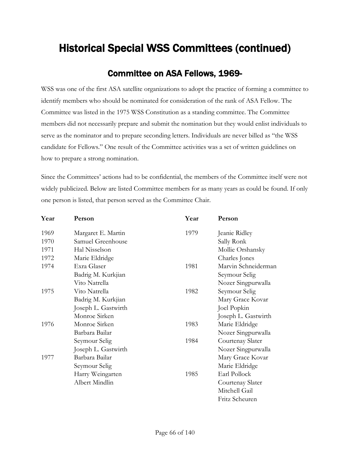#### Committee on ASA Fellows, 1969-

WSS was one of the first ASA satellite organizations to adopt the practice of forming a committee to identify members who should be nominated for consideration of the rank of ASA Fellow. The Committee was listed in the 1975 WSS Constitution as a standing committee. The Committee members did not necessarily prepare and submit the nomination but they would enlist individuals to serve as the nominator and to prepare seconding letters. Individuals are never billed as "the WSS candidate for Fellows." One result of the Committee activities was a set of written guidelines on how to prepare a strong nomination.

Since the Committees' actions had to be confidential, the members of the Committee itself were not widely publicized. Below are listed Committee members for as many years as could be found. If only one person is listed, that person served as the Committee Chair.

| Year | Person              | Year | Person              |
|------|---------------------|------|---------------------|
| 1969 | Margaret E. Martin  | 1979 | Jeanie Ridley       |
| 1970 | Samuel Greenhouse   |      | Sally Ronk          |
| 1971 | Hal Nisselson       |      | Mollie Orshansky    |
| 1972 | Marie Eldridge      |      | Charles Jones       |
| 1974 | Exra Glaser         | 1981 | Marvin Schneiderman |
|      | Badrig M. Kurkjian  |      | Seymour Selig       |
|      | Vito Natrella       |      | Nozer Singpurwalla  |
| 1975 | Vito Natrella       | 1982 | Seymour Selig       |
|      | Badrig M. Kurkjian  |      | Mary Grace Kovar    |
|      | Joseph L. Gastwirth |      | Joel Popkin         |
|      | Monroe Sirken       |      | Joseph L. Gastwirth |
| 1976 | Monroe Sirken       | 1983 | Marie Eldridge      |
|      | Barbara Bailar      |      | Nozer Singpurwalla  |
|      | Seymour Selig       | 1984 | Courtenay Slater    |
|      | Joseph L. Gastwirth |      | Nozer Singpurwalla  |
| 1977 | Barbara Bailar      |      | Mary Grace Kovar    |
|      | Seymour Selig       |      | Marie Eldridge      |
|      | Harry Weingarten    | 1985 | Earl Pollock        |
|      | Albert Mindlin      |      | Courtenay Slater    |
|      |                     |      | Mitchell Gail       |
|      |                     |      | Fritz Scheuren      |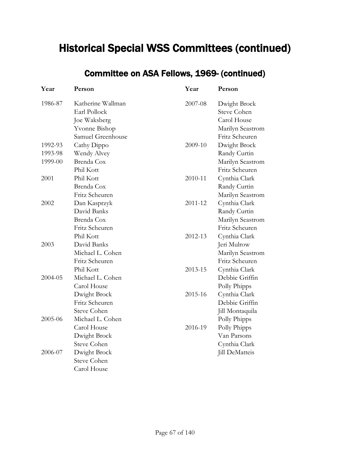### Committee on ASA Fellows, 1969- (continued)

| Year    | Person             | Year    | Person             |
|---------|--------------------|---------|--------------------|
| 1986-87 | Katherine Wallman  | 2007-08 | Dwight Brock       |
|         | Earl Pollock       |         | <b>Steve Cohen</b> |
|         | Joe Waksberg       |         | Carol House        |
|         | Yvonne Bishop      |         | Marilyn Seastrom   |
|         | Samuel Greenhouse  |         | Fritz Scheuren     |
| 1992-93 | Cathy Dippo        | 2009-10 | Dwight Brock       |
| 1993-98 | Wendy Alvey        |         | Randy Curtin       |
| 1999-00 | Brenda Cox         |         | Marilyn Seastrom   |
|         | Phil Kott          |         | Fritz Scheuren     |
| 2001    | Phil Kott          | 2010-11 | Cynthia Clark      |
|         | Brenda Cox         |         | Randy Curtin       |
|         | Fritz Scheuren     |         | Marilyn Seastrom   |
| 2002    | Dan Kasprzyk       | 2011-12 | Cynthia Clark      |
|         | David Banks        |         | Randy Curtin       |
|         | Brenda Cox         |         | Marilyn Seastrom   |
|         | Fritz Scheuren     |         | Fritz Scheuren     |
|         | Phil Kott          | 2012-13 | Cynthia Clark      |
| 2003    | David Banks        |         | Jeri Mulrow        |
|         | Michael L. Cohen   |         | Marilyn Seastrom   |
|         | Fritz Scheuren     |         | Fritz Scheuren     |
|         | Phil Kott          | 2013-15 | Cynthia Clark      |
| 2004-05 | Michael L. Cohen   |         | Debbie Griffin     |
|         | Carol House        |         | Polly Phipps       |
|         | Dwight Brock       | 2015-16 | Cynthia Clark      |
|         | Fritz Scheuren     |         | Debbie Griffin     |
|         | <b>Steve Cohen</b> |         | Jill Montaquila    |
| 2005-06 | Michael L. Cohen   |         | Polly Phipps       |
|         | Carol House        | 2016-19 | Polly Phipps       |
|         | Dwight Brock       |         | Van Parsons        |
|         | <b>Steve Cohen</b> |         | Cynthia Clark      |
| 2006-07 | Dwight Brock       |         | Jill DeMatteis     |
|         | <b>Steve Cohen</b> |         |                    |
|         | Carol House        |         |                    |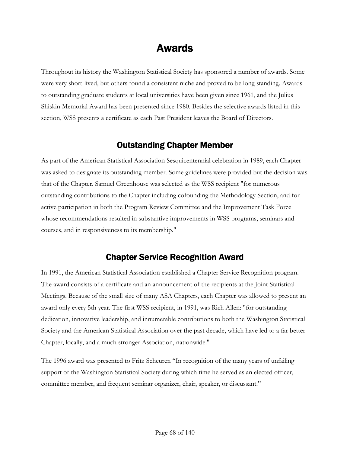## Awards

Throughout its history the Washington Statistical Society has sponsored a number of awards. Some were very short-lived, but others found a consistent niche and proved to be long standing. Awards to outstanding graduate students at local universities have been given since 1961, and the Julius Shiskin Memorial Award has been presented since 1980. Besides the selective awards listed in this section, WSS presents a certificate as each Past President leaves the Board of Directors.

#### Outstanding Chapter Member

As part of the American Statistical Association Sesquicentennial celebration in 1989, each Chapter was asked to designate its outstanding member. Some guidelines were provided but the decision was that of the Chapter. Samuel Greenhouse was selected as the WSS recipient "for numerous outstanding contributions to the Chapter including cofounding the Methodology Section, and for active participation in both the Program Review Committee and the Improvement Task Force whose recommendations resulted in substantive improvements in WSS programs, seminars and courses, and in responsiveness to its membership."

#### Chapter Service Recognition Award

In 1991, the American Statistical Association established a Chapter Service Recognition program. The award consists of a certificate and an announcement of the recipients at the Joint Statistical Meetings. Because of the small size of many ASA Chapters, each Chapter was allowed to present an award only every 5th year. The first WSS recipient, in 1991, was Rich Allen: "for outstanding dedication, innovative leadership, and innumerable contributions to both the Washington Statistical Society and the American Statistical Association over the past decade, which have led to a far better Chapter, locally, and a much stronger Association, nationwide."

The 1996 award was presented to Fritz Scheuren "In recognition of the many years of unfailing support of the Washington Statistical Society during which time he served as an elected officer, committee member, and frequent seminar organizer, chair, speaker, or discussant."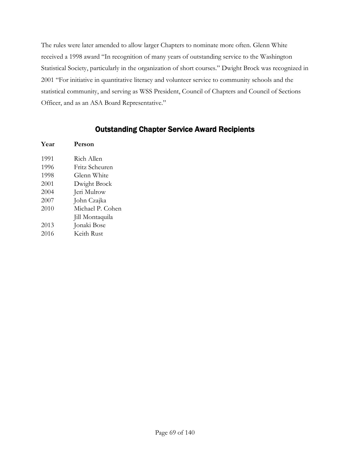The rules were later amended to allow larger Chapters to nominate more often. Glenn White received a 1998 award "In recognition of many years of outstanding service to the Washington Statistical Society, particularly in the organization of short courses." Dwight Brock was recognized in 2001 "For initiative in quantitative literacy and volunteer service to community schools and the statistical community, and serving as WSS President, Council of Chapters and Council of Sections Officer, and as an ASA Board Representative."

#### Outstanding Chapter Service Award Recipients

| Year | Person           |
|------|------------------|
| 1991 | Rich Allen       |
| 1996 | Fritz Scheuren   |
| 1998 | Glenn White      |
| 2001 | Dwight Brock     |
| 2004 | Jeri Mulrow      |
| 2007 | John Czajka      |
| 2010 | Michael P. Cohen |
|      | Jill Montaquila  |
| 2013 | Jonaki Bose      |
| 2016 | Keith Rust       |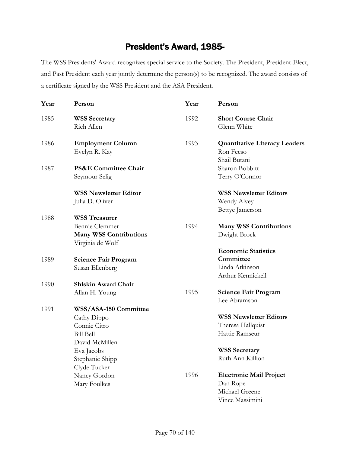#### President's Award, 1985-

The WSS Presidents' Award recognizes special service to the Society. The President, President-Elect, and Past President each year jointly determine the person(s) to be recognized. The award consists of a certificate signed by the WSS President and the ASA President.

| Year | Person                                            | Year | Person                                            |
|------|---------------------------------------------------|------|---------------------------------------------------|
| 1985 | <b>WSS Secretary</b><br>Rich Allen                | 1992 | <b>Short Course Chair</b><br>Glenn White          |
| 1986 | <b>Employment Column</b><br>Evelyn R. Kay         | 1993 | <b>Quantitative Literacy Leaders</b><br>Ron Fecso |
| 1987 | <b>PS&amp;E Committee Chair</b>                   |      | Shail Butani<br>Sharon Bobbitt                    |
|      | Seymour Selig                                     |      | Terry O'Connor                                    |
|      | <b>WSS Newsletter Editor</b>                      |      | <b>WSS Newsletter Editors</b>                     |
|      | Julia D. Oliver                                   |      | Wendy Alvey<br>Bettye Jamerson                    |
| 1988 | <b>WSS Treasurer</b>                              |      |                                                   |
|      | Bennie Clemmer                                    | 1994 | <b>Many WSS Contributions</b>                     |
|      | <b>Many WSS Contributions</b><br>Virginia de Wolf |      | Dwight Brock                                      |
| 1989 | <b>Science Fair Program</b>                       |      | <b>Economic Statistics</b><br>Committee           |
|      | Susan Ellenberg                                   |      | Linda Atkinson<br>Arthur Kennickell               |
| 1990 | Shiskin Award Chair                               |      |                                                   |
|      | Allan H. Young                                    | 1995 | <b>Science Fair Program</b><br>Lee Abramson       |
| 1991 | WSS/ASA-150 Committee                             |      |                                                   |
|      | Cathy Dippo                                       |      | <b>WSS Newsletter Editors</b>                     |
|      | Connie Citro                                      |      | Theresa Hallquist                                 |
|      | <b>Bill Bell</b><br>David McMillen                |      | Hattie Ramseur                                    |
|      | Eva Jacobs                                        |      | <b>WSS Secretary</b>                              |
|      | Stephanie Shipp<br>Clyde Tucker                   |      | Ruth Ann Killion                                  |
|      | Nancy Gordon                                      | 1996 | <b>Electronic Mail Project</b>                    |
|      | Mary Foulkes                                      |      | Dan Rope                                          |
|      |                                                   |      | Michael Greene                                    |
|      |                                                   |      | Vince Massimini                                   |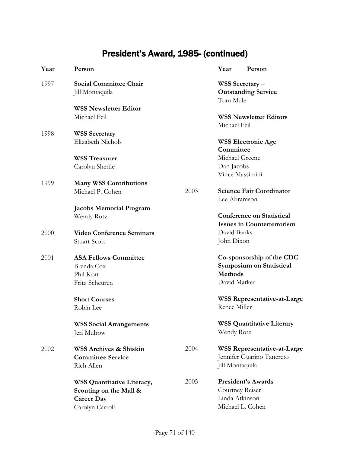## President's Award, 1985- (continued)

| Year | Person                                                                                       |      | Year<br>Person                                                                          |
|------|----------------------------------------------------------------------------------------------|------|-----------------------------------------------------------------------------------------|
| 1997 | <b>Social Committee Chair</b><br>Jill Montaquila                                             |      | WSS Secretary -<br><b>Outstanding Service</b><br>Tom Mule                               |
|      | <b>WSS Newsletter Editor</b><br>Michael Feil                                                 |      | <b>WSS Newsletter Editors</b><br>Michael Feil                                           |
| 1998 | <b>WSS Secretary</b><br>Elizabeth Nichols                                                    |      | <b>WSS Electronic Age</b>                                                               |
|      | <b>WSS Treasurer</b>                                                                         |      | Committee<br>Michael Greene                                                             |
|      | Carolyn Shettle                                                                              |      | Dan Jacobs<br>Vince Massimini                                                           |
| 1999 | <b>Many WSS Contributions</b><br>Michael P. Cohen                                            | 2003 | <b>Science Fair Coordinator</b><br>Lee Abramson                                         |
|      | <b>Jacobs Memorial Program</b><br>Wendy Rotz                                                 |      | <b>Conference on Statistical</b><br><b>Issues in Counterterrorism</b>                   |
| 2000 | <b>Video Conference Seminars</b><br><b>Stuart Scott</b>                                      |      | David Banks<br>John Dixon                                                               |
| 2001 | <b>ASA Fellows Committee</b><br>Brenda Cox<br>Phil Kott<br>Fritz Scheuren                    |      | Co-sponsorship of the CDC<br>Symposium on Statistical<br><b>Methods</b><br>David Marker |
|      | <b>Short Courses</b><br>Robin Lee                                                            |      | <b>WSS Representative-at-Large</b><br>Renee Miller                                      |
|      | <b>WSS Social Arrangements</b><br>Jeri Mulrow                                                |      | <b>WSS Quantitative Literary</b><br>Wendy Rotz                                          |
| 2002 | <b>WSS Archives &amp; Shiskin</b><br><b>Committee Service</b><br>Rich Allen                  | 2004 | <b>WSS Representative-at-Large</b><br>Jennifer Guarino Tancreto<br>Jill Montaquila      |
|      | WSS Quantitative Literacy,<br>Scouting on the Mall &<br><b>Career Day</b><br>Carolyn Carroll | 2005 | <b>President's Awards</b><br>Courtney Reiser<br>Linda Atkinson<br>Michael L. Cohen      |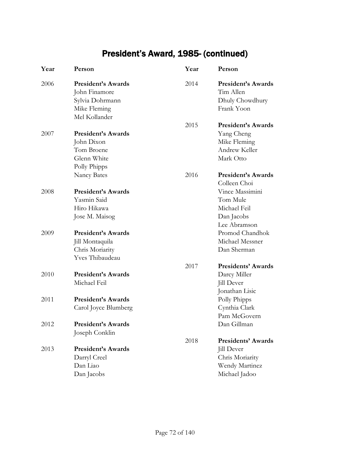## President's Award, 1985- (continued)

| Year | Person                                                                                         | Year | Person                                                                                        |
|------|------------------------------------------------------------------------------------------------|------|-----------------------------------------------------------------------------------------------|
| 2006 | <b>President's Awards</b><br>John Finamore<br>Sylvia Dohrmann<br>Mike Fleming<br>Mel Kollander | 2014 | <b>President's Awards</b><br>Tim Allen<br>Dhuly Chowdhury<br>Frank Yoon                       |
| 2007 | <b>President's Awards</b>                                                                      | 2015 | <b>President's Awards</b>                                                                     |
|      | John Dixon<br>Tom Broene<br>Glenn White<br>Polly Phipps                                        |      | Yang Cheng<br>Mike Fleming<br>Andrew Keller<br>Mark Otto                                      |
|      | <b>Nancy Bates</b>                                                                             | 2016 | President's Awards<br>Colleen Choi                                                            |
| 2008 | <b>President's Awards</b><br>Yasmin Said<br>Hiro Hikawa<br>Jose M. Maisog                      |      | Vince Massimini<br>Tom Mule<br>Michael Feil<br>Dan Jacobs<br>Lee Abramson                     |
| 2009 | <b>President's Awards</b><br>Jill Montaquila<br>Chris Moriarity<br>Yves Thibaudeau             |      | Promod Chandhok<br>Michael Messner<br>Dan Sherman                                             |
|      |                                                                                                | 2017 | <b>Presidents' Awards</b>                                                                     |
| 2010 | <b>President's Awards</b><br>Michael Feil                                                      |      | Darcy Miller<br><b>Jill Dever</b><br>Jonathan Lisic                                           |
| 2011 | <b>President's Awards</b><br>Carol Joyce Blumberg                                              |      | Polly Phipps<br>Cynthia Clark<br>Pam McGovern                                                 |
| 2012 | <b>President's Awards</b><br>Joseph Conklin                                                    |      | Dan Gillman                                                                                   |
| 2013 | <b>President's Awards</b><br>Darryl Creel<br>Dan Liao<br>Dan Jacobs                            | 2018 | <b>Presidents' Awards</b><br>Jill Dever<br>Chris Moriarity<br>Wendy Martinez<br>Michael Jadoo |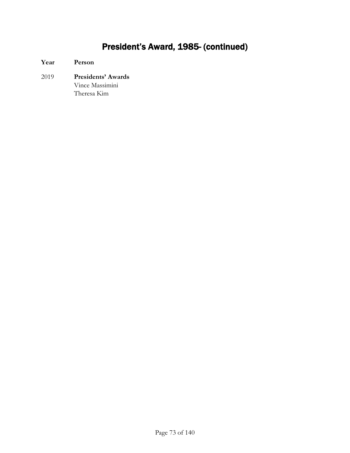# President's Award, 1985- (continued)

**Year Person** 2019 **Presidents' Awards** Vince Massimini Theresa Kim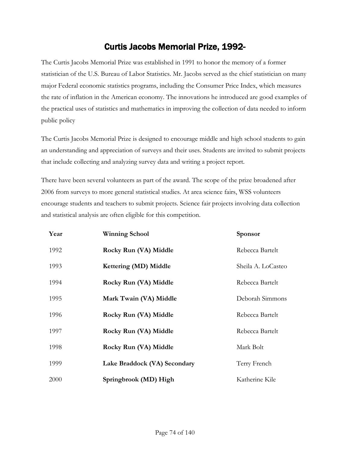### Curtis Jacobs Memorial Prize, 1992-

The Curtis Jacobs Memorial Prize was established in 1991 to honor the memory of a former statistician of the U.S. Bureau of Labor Statistics. Mr. Jacobs served as the chief statistician on many major Federal economic statistics programs, including the Consumer Price Index, which measures the rate of inflation in the American economy. The innovations he introduced are good examples of the practical uses of statistics and mathematics in improving the collection of data needed to inform public policy

The Curtis Jacobs Memorial Prize is designed to encourage middle and high school students to gain an understanding and appreciation of surveys and their uses. Students are invited to submit projects that include collecting and analyzing survey data and writing a project report.

There have been several volunteers as part of the award. The scope of the prize broadened after 2006 from surveys to more general statistical studies. At area science fairs, WSS volunteers encourage students and teachers to submit projects. Science fair projects involving data collection and statistical analysis are often eligible for this competition.

| Year | <b>Winning School</b>        | <b>Sponsor</b>     |
|------|------------------------------|--------------------|
| 1992 | Rocky Run (VA) Middle        | Rebecca Bartelt    |
| 1993 | Kettering (MD) Middle        | Sheila A. LoCasteo |
| 1994 | Rocky Run (VA) Middle        | Rebecca Bartelt    |
| 1995 | Mark Twain (VA) Middle       | Deborah Simmons    |
| 1996 | Rocky Run (VA) Middle        | Rebecca Bartelt    |
| 1997 | Rocky Run (VA) Middle        | Rebecca Bartelt    |
| 1998 | Rocky Run (VA) Middle        | Mark Bolt          |
| 1999 | Lake Braddock (VA) Secondary | Terry French       |
| 2000 | Springbrook (MD) High        | Katherine Kile     |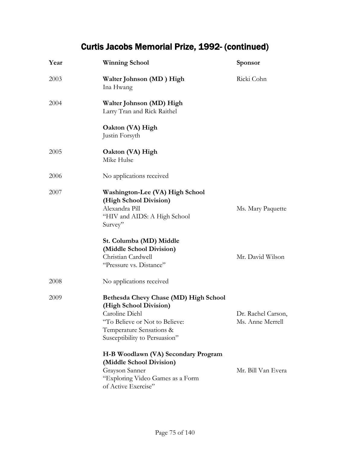| Year | <b>Winning School</b>                                                                                                                                                            | <b>Sponsor</b>                         |
|------|----------------------------------------------------------------------------------------------------------------------------------------------------------------------------------|----------------------------------------|
| 2003 | Walter Johnson (MD) High<br>Ina Hwang                                                                                                                                            | Ricki Cohn                             |
| 2004 | Walter Johnson (MD) High<br>Larry Tran and Rick Raithel                                                                                                                          |                                        |
|      | Oakton (VA) High<br>Justin Forsyth                                                                                                                                               |                                        |
| 2005 | Oakton (VA) High<br>Mike Hulse                                                                                                                                                   |                                        |
| 2006 | No applications received                                                                                                                                                         |                                        |
| 2007 | Washington-Lee (VA) High School<br>(High School Division)<br>Alexandra Pill<br>"HIV and AIDS: A High School<br>Survey"                                                           | Ms. Mary Paquette                      |
|      | St. Columba (MD) Middle<br>(Middle School Division)<br>Christian Cardwell<br>"Pressure vs. Distance"                                                                             | Mr. David Wilson                       |
| 2008 | No applications received                                                                                                                                                         |                                        |
| 2009 | Bethesda Chevy Chase (MD) High School<br>(High School Division)<br>Caroline Diehl<br>"To Believe or Not to Believe:<br>Temperature Sensations &<br>Susceptibility to Persuasion" | Dr. Rachel Carson,<br>Ms. Anne Merrell |
|      | H-B Woodlawn (VA) Secondary Program<br>(Middle School Division)<br>Grayson Sanner<br>"Exploring Video Games as a Form<br>of Active Exercise"                                     | Mr. Bill Van Evera                     |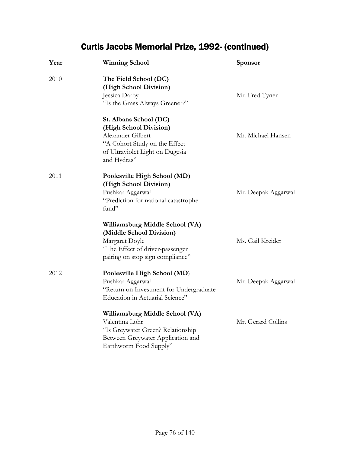| Year | <b>Winning School</b>                                                                                                                                    | Sponsor             |
|------|----------------------------------------------------------------------------------------------------------------------------------------------------------|---------------------|
| 2010 | The Field School (DC)<br>(High School Division)<br>Jessica Darby<br>"Is the Grass Always Greener?"                                                       | Mr. Fred Tyner      |
|      | St. Albans School (DC)<br>(High School Division)<br>Alexander Gilbert<br>"A Cohort Study on the Effect<br>of Ultraviolet Light on Dugesia<br>and Hydras" | Mr. Michael Hansen  |
| 2011 | Poolesville High School (MD)<br>(High School Division)<br>Pushkar Aggarwal<br>"Prediction for national catastrophe<br>fund"                              | Mr. Deepak Aggarwal |
|      | Williamsburg Middle School (VA)<br>(Middle School Division)<br>Margaret Doyle<br>"The Effect of driver-passenger<br>pairing on stop sign compliance"     | Ms. Gail Kreider    |
| 2012 | Poolesville High School (MD)<br>Pushkar Aggarwal<br>"Return on Investment for Undergraduate<br>Education in Actuarial Science"                           | Mr. Deepak Aggarwal |
|      | Williamsburg Middle School (VA)<br>Valentina Lohr<br>"Is Greywater Green? Relationship<br>Between Greywater Application and<br>Earthworm Food Supply"    | Mr. Gerard Collins  |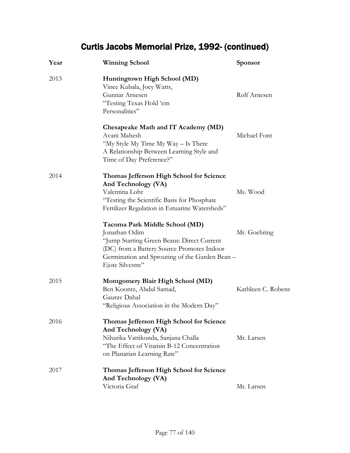| Year | <b>Winning School</b>                                                                                                                                                                                             | Sponsor            |
|------|-------------------------------------------------------------------------------------------------------------------------------------------------------------------------------------------------------------------|--------------------|
| 2013 | Huntingtown High School (MD)<br>Vince Kubala, Joey Watts,<br>Gunnar Arnesen<br>"Testing Texas Hold 'em<br>Personalities"                                                                                          | Rolf Arnesen       |
|      | Chesapeake Math and IT Academy (MD)<br>Avani Mahesh<br>"My Style My Time My Way – Is There<br>A Relationship Between Learning Style and<br>Time of Day Preference?"                                               | Michael Font       |
| 2014 | Thomas Jefferson High School for Science<br>And Technology (VA)<br>Valentina Lohr<br>"Testing the Scientific Basis for Phosphate<br>Fertilizer Regulation in Estuarine Watersheds"                                | Ms. Wood           |
|      | Tacoma Park Middle School (MD)<br>Jonathan Odim<br>"Jump Starting Green Beans: Direct Current<br>(DC) from a Battery Source Promotes Indoor<br>Germination and Sprouting of the Garden Bean -<br>Ejote Silvestre" | Mr. Goehring       |
| 2015 | <b>Montgomery Blair High School (MD)</b><br>Ben Koontz, Abdul Samad,<br>Gauray Dahal<br>"Religious Association in the Modern Day"                                                                                 | Kathleen C. Robens |
| 2016 | Thomas Jefferson High School for Science<br>And Technology (VA)<br>Niharika Vattikonda, Sanjana Challa<br>"The Effect of Vitamin B-12 Concentration<br>on Planarian Learning Rate"                                | Mr. Larsen         |
| 2017 | Thomas Jefferson High School for Science<br>And Technology (VA)<br>Victoria Graf                                                                                                                                  | Mr. Larsen         |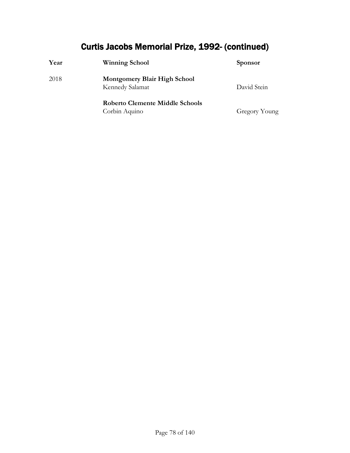| Year | <b>Winning School</b>                                  | <b>Sponsor</b> |
|------|--------------------------------------------------------|----------------|
| 2018 | <b>Montgomery Blair High School</b><br>Kennedy Salamat | David Stein    |
|      | Roberto Clemente Middle Schools<br>Corbin Aquino       | Gregory Young  |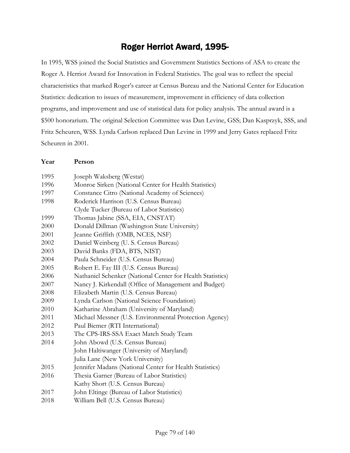### Roger Herriot Award, 1995-

In 1995, WSS joined the Social Statistics and Government Statistics Sections of ASA to create the Roger A. Herriot Award for Innovation in Federal Statistics. The goal was to reflect the special characteristics that marked Roger's career at Census Bureau and the National Center for Education Statistics: dedication to issues of measurement, improvement in efficiency of data collection programs, and improvement and use of statistical data for policy analysis. The annual award is a \$500 honorarium. The original Selection Committee was Dan Levine, GSS; Dan Kasprzyk, SSS, and Fritz Scheuren, WSS. Lynda Carlson replaced Dan Levine in 1999 and Jerry Gates replaced Fritz Scheuren in 2001.

| 1995 | Joseph Waksberg (Westat)                                   |
|------|------------------------------------------------------------|
| 1996 | Monroe Sirken (National Center for Health Statistics)      |
| 1997 | Constance Citro (National Academy of Sciences)             |
| 1998 | Roderick Harrison (U.S. Census Bureau)                     |
|      | Clyde Tucker (Bureau of Labor Statistics)                  |
| 1999 | Thomas Jabine (SSA, EIA, CNSTAT)                           |
| 2000 | Donald Dillman (Washington State University)               |
| 2001 | Jeanne Griffith (OMB, NCES, NSF)                           |
| 2002 | Daniel Weinberg (U. S. Census Bureau)                      |
| 2003 | David Banks (FDA, BTS, NIST)                               |
| 2004 | Paula Schneider (U.S. Census Bureau)                       |
| 2005 | Robert E. Fay III (U.S. Census Bureau)                     |
| 2006 | Nathaniel Schenker (National Center for Health Statistics) |
| 2007 | Nancy J. Kirkendall (Office of Management and Budget)      |
| 2008 | Elizabeth Martin (U.S. Census Bureau)                      |
| 2009 | Lynda Carlson (National Science Foundation)                |
| 2010 | Katharine Abraham (University of Maryland)                 |
| 2011 | Michael Messner (U.S. Environmental Protection Agency)     |
| 2012 | Paul Biemer (RTI International)                            |
| 2013 | The CPS-IRS-SSA Exact Match Study Team                     |
| 2014 | John Abowd (U.S. Census Bureau)                            |
|      | John Haltiwanger (University of Maryland)                  |
|      | Julia Lane (New York University)                           |
| 2015 | Jennifer Madans (National Center for Health Statistics)    |
| 2016 | Thesia Garner (Bureau of Labor Statistics)                 |
|      | Kathy Short (U.S. Census Bureau)                           |
| 2017 | John Eltinge (Bureau of Labor Statistics)                  |
| 2018 | William Bell (U.S. Census Bureau)                          |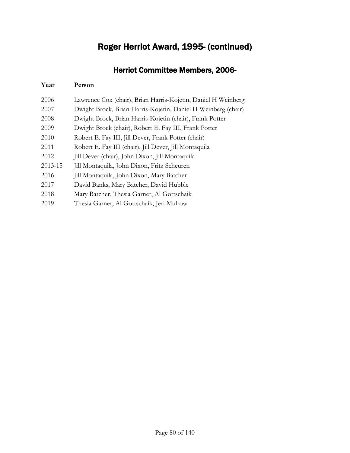## Roger Herriot Award, 1995- (continued)

### Herriot Committee Members, 2006-

| Lawrence Cox (chair), Brian Harris-Kojetin, Daniel H Weinberg |
|---------------------------------------------------------------|
| Dwight Brock, Brian Harris-Kojetin, Daniel H Weinberg (chair) |
| Dwight Brock, Brian Harris-Kojetin (chair), Frank Potter      |
| Dwight Brock (chair), Robert E. Fay III, Frank Potter         |
| Robert E. Fay III, Jill Dever, Frank Potter (chair)           |
| Robert E. Fay III (chair), Jill Dever, Jill Montaquila        |
| Jill Dever (chair), John Dixon, Jill Montaquila               |
| Jill Montaquila, John Dixon, Fritz Scheuren                   |
| Jill Montaquila, John Dixon, Mary Batcher                     |
| David Banks, Mary Batcher, David Hubble                       |
| Mary Batcher, Thesia Garner, Al Gottschaik                    |
| Thesia Garner, Al Gottschaik, Jeri Mulrow                     |
|                                                               |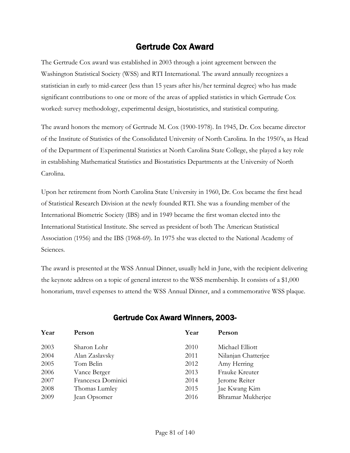### Gertrude Cox Award

The Gertrude Cox award was established in 2003 through a joint agreement between the Washington Statistical Society (WSS) and RTI International. The award annually recognizes a statistician in early to mid-career (less than 15 years after his/her terminal degree) who has made significant contributions to one or more of the areas of applied statistics in which Gertrude Cox worked: survey methodology, experimental design, biostatistics, and statistical computing.

The award honors the memory of Gertrude M. Cox (1900-1978). In 1945, Dr. Cox became director of the Institute of Statistics of the Consolidated University of North Carolina. In the 1950's, as Head of the Department of Experimental Statistics at North Carolina State College, she played a key role in establishing Mathematical Statistics and Biostatistics Departments at the University of North Carolina.

Upon her retirement from North Carolina State University in 1960, Dr. Cox became the first head of Statistical Research Division at the newly founded RTI. She was a founding member of the International Biometric Society (IBS) and in 1949 became the first woman elected into the International Statistical Institute. She served as president of both The American Statistical Association (1956) and the IBS (1968-69). In 1975 she was elected to the National Academy of Sciences.

The award is presented at the WSS Annual Dinner, usually held in June, with the recipient delivering the keynote address on a topic of general interest to the WSS membership. It consists of a \$1,000 honorarium, travel expenses to attend the WSS Annual Dinner, and a commemorative WSS plaque.

| Year | Person             | Year | Person              |
|------|--------------------|------|---------------------|
| 2003 | Sharon Lohr        | 2010 | Michael Elliott     |
| 2004 | Alan Zaslavsky     | 2011 | Nilanjan Chatterjee |
| 2005 | Tom Belin          | 2012 | Amy Herring         |
| 2006 | Vance Berger       | 2013 | Frauke Kreuter      |
| 2007 | Francesca Dominici | 2014 | Jerome Reiter       |
| 2008 | Thomas Lumley      | 2015 | Jae Kwang Kim       |
| 2009 | Jean Opsomer       | 2016 | Bhramar Mukherjee   |
|      |                    |      |                     |

#### Gertrude Cox Award Winners, 2003-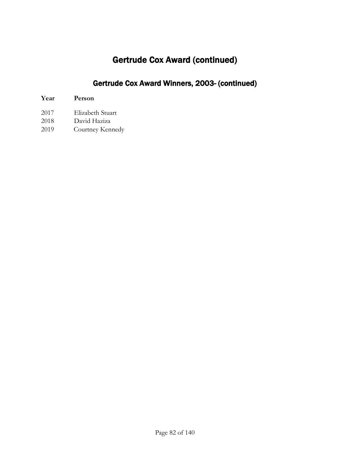## Gertrude Cox Award (continued)

### Gertrude Cox Award Winners, 2003- (continued)

- 
- 2017 Elizabeth Stuart David Haziza
- 2019 Courtney Kennedy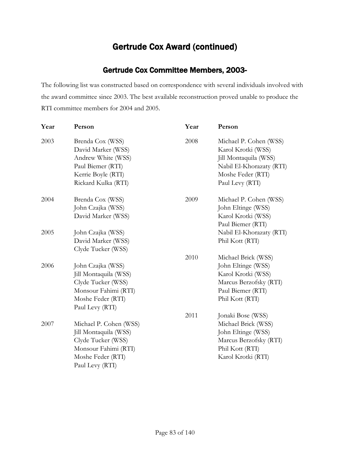### Gertrude Cox Award (continued)

#### Gertrude Cox Committee Members, 2003-

The following list was constructed based on correspondence with several individuals involved with the award committee since 2003. The best available reconstruction proved unable to produce the RTI committee members for 2004 and 2005.

| Year | Person                 | Year | Person                   |
|------|------------------------|------|--------------------------|
| 2003 | Brenda Cox (WSS)       | 2008 | Michael P. Cohen (WSS)   |
|      | David Marker (WSS)     |      | Karol Krotki (WSS)       |
|      | Andrew White (WSS)     |      | Jill Montaquila (WSS)    |
|      | Paul Biemer (RTI)      |      | Nabil El-Khorazaty (RTI) |
|      | Kerrie Boyle (RTI)     |      | Moshe Feder (RTI)        |
|      | Rickard Kulka (RTI)    |      | Paul Levy (RTI)          |
| 2004 | Brenda Cox (WSS)       | 2009 | Michael P. Cohen (WSS)   |
|      | John Czajka (WSS)      |      | John Eltinge (WSS)       |
|      | David Marker (WSS)     |      | Karol Krotki (WSS)       |
|      |                        |      | Paul Biemer (RTI)        |
| 2005 | John Czajka (WSS)      |      | Nabil El-Khorazaty (RTI) |
|      | David Marker (WSS)     |      | Phil Kott (RTI)          |
|      | Clyde Tucker (WSS)     |      |                          |
|      |                        | 2010 | Michael Brick (WSS)      |
| 2006 | John Czajka (WSS)      |      | John Eltinge (WSS)       |
|      | Jill Montaquila (WSS)  |      | Karol Krotki (WSS)       |
|      | Clyde Tucker (WSS)     |      | Marcus Berzofsky (RTI)   |
|      | Monsour Fahimi (RTI)   |      | Paul Biemer (RTI)        |
|      | Moshe Feder (RTI)      |      | Phil Kott (RTI)          |
|      | Paul Levy (RTI)        |      |                          |
|      |                        | 2011 | Jonaki Bose (WSS)        |
| 2007 | Michael P. Cohen (WSS) |      | Michael Brick (WSS)      |
|      | Jill Montaquila (WSS)  |      | John Eltinge (WSS)       |
|      | Clyde Tucker (WSS)     |      | Marcus Berzofsky (RTI)   |
|      | Monsour Fahimi (RTI)   |      | Phil Kott (RTI)          |
|      | Moshe Feder (RTI)      |      | Karol Krotki (RTI)       |
|      | Paul Levy (RTI)        |      |                          |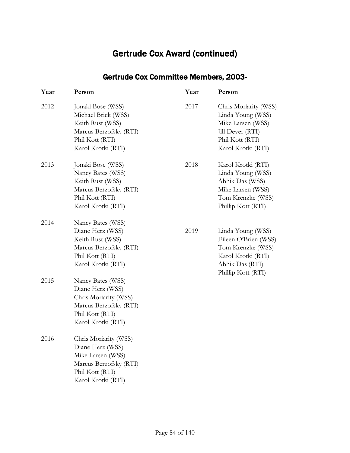## Gertrude Cox Award (continued)

### Gertrude Cox Committee Members, 2003-

| Year | Person                                                                                                                            | Year | Person                                                                                                                        |
|------|-----------------------------------------------------------------------------------------------------------------------------------|------|-------------------------------------------------------------------------------------------------------------------------------|
| 2012 | Jonaki Bose (WSS)<br>Michael Brick (WSS)<br>Keith Rust (WSS)<br>Marcus Berzofsky (RTI)<br>Phil Kott (RTI)<br>Karol Krotki (RTI)   | 2017 | Chris Moriarity (WSS)<br>Linda Young (WSS)<br>Mike Larsen (WSS)<br>Jill Dever (RTI)<br>Phil Kott (RTI)<br>Karol Krotki (RTI)  |
| 2013 | Jonaki Bose (WSS)<br>Nancy Bates (WSS)<br>Keith Rust (WSS)<br>Marcus Berzofsky (RTI)<br>Phil Kott (RTI)<br>Karol Krotki (RTI)     | 2018 | Karol Krotki (RTI)<br>Linda Young (WSS)<br>Abhik Das (WSS)<br>Mike Larsen (WSS)<br>Tom Krenzke (WSS)<br>Phillip Kott (RTI)    |
| 2014 | Nancy Bates (WSS)<br>Diane Herz (WSS)<br>Keith Rust (WSS)<br>Marcus Berzofsky (RTI)<br>Phil Kott (RTI)<br>Karol Krotki (RTI)      | 2019 | Linda Young (WSS)<br>Eileen O'Brien (WSS)<br>Tom Krenzke (WSS)<br>Karol Krotki (RTI)<br>Abhik Das (RTI)<br>Phillip Kott (RTI) |
| 2015 | Nancy Bates (WSS)<br>Diane Herz (WSS)<br>Chris Moriarity (WSS)<br>Marcus Berzofsky (RTI)<br>Phil Kott (RTI)<br>Karol Krotki (RTI) |      |                                                                                                                               |
| 2016 | Chris Moriarity (WSS)<br>Diane Herz (WSS)<br>Mike Larsen (WSS)<br>Marcus Berzofsky (RTI)<br>Phil Kott (RTI)<br>Karol Krotki (RTI) |      |                                                                                                                               |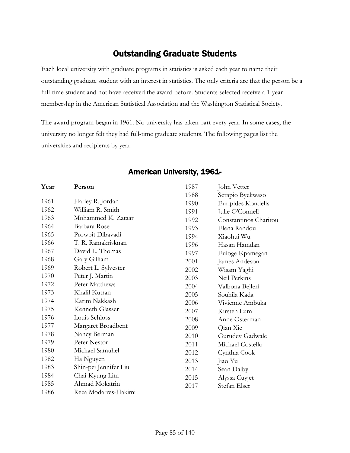### Outstanding Graduate Students

Each local university with graduate programs in statistics is asked each year to name their outstanding graduate student with an interest in statistics. The only criteria are that the person be a full-time student and not have received the award before. Students selected receive a 1-year membership in the American Statistical Association and the Washington Statistical Society.

The award program began in 1961. No university has taken part every year. In some cases, the university no longer felt they had full-time graduate students. The following pages list the universities and recipients by year.

| Year | Person                | 1987 | John Vetter           |
|------|-----------------------|------|-----------------------|
|      |                       | 1988 | Serapio Byekwaso      |
| 1961 | Harley R. Jordan      | 1990 | Euripides Kondelis    |
| 1962 | William R. Smith      | 1991 | Julie O'Connell       |
| 1963 | Mohammed K. Zataar    | 1992 | Constantinos Charitou |
| 1964 | Barbara Rose          | 1993 | Elena Randou          |
| 1965 | Prowpit Dibavadi      | 1994 | Xiaohui Wu            |
| 1966 | T. R. Ramakrisknan    | 1996 | Hasan Hamdan          |
| 1967 | David L. Thomas       | 1997 | Euloge Kpamegan       |
| 1968 | Gary Gilliam          | 2001 | James Andeson         |
| 1969 | Robert L. Sylvester   | 2002 | Wisam Yaghi           |
| 1970 | Peter J. Martin       | 2003 | Neil Perkins          |
| 1972 | Peter Matthews        | 2004 | Valbona Bejleri       |
| 1973 | Khalil Kutran         | 2005 | Souhila Kada          |
| 1974 | Karim Nakkash         | 2006 | Vivienne Ambuka       |
| 1975 | Kenneth Glasser       | 2007 | Kirsten Lum           |
| 1976 | Louis Schloss         | 2008 | Anne Osterman         |
| 1977 | Margaret Broadbent    | 2009 | Qian Xie              |
| 1978 | Nancy Berman          | 2010 | Gurudey Gadwale       |
| 1979 | Peter Nestor          | 2011 | Michael Costello      |
| 1980 | Michael Samuhel       | 2012 | Cynthia Cook          |
| 1982 | Ha Nguyen             | 2013 | Jiao Yu               |
| 1983 | Shin-pei Jennifer Liu | 2014 | Sean Dalby            |
| 1984 | Chai-Kyung Lim        | 2015 | Alyssa Cuyjet         |
| 1985 | Ahmad Mokatrin        | 2017 | Stefan Elser          |
| 1986 | Reza Modarres-Hakimi  |      |                       |

#### American University, 1961-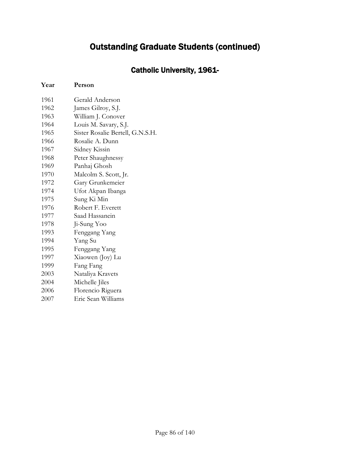### Catholic University, 1961-

| Gerald Anderson                  |
|----------------------------------|
| James Gilroy, S.J.               |
| William J. Conover               |
| Louis M. Savary, S.J.            |
| Sister Rosalie Bertell, G.N.S.H. |
| Rosalie A. Dunn                  |
| Sidney Kissin                    |
| Peter Shaughnessy                |
| Panhaj Ghosh                     |
| Malcolm S. Scott, Jr.            |
| Gary Grunkemeier                 |
| Ufot Akpan Ibanga                |
| Sung Ki Min                      |
| Robert F. Everett                |
| Saad Hassanein                   |
| Ji-Sung Yoo                      |
| Fenggang Yang                    |
| Yang Su                          |
| Fenggang Yang                    |
| Xiaowen (Joy) Lu                 |
| Fang Fang                        |
| Nataliya Kravets                 |
| Michelle Jiles                   |
| Florencio Riguera                |
| Eric Sean Williams               |
|                                  |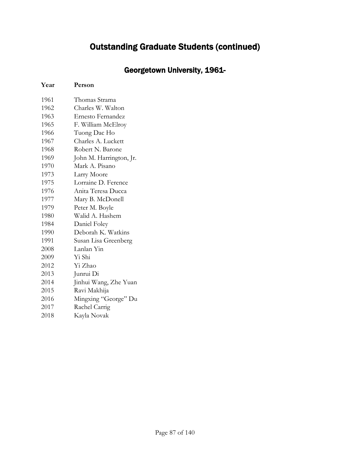### Georgetown University, 1961-

| 1961 | Thomas Strama           |
|------|-------------------------|
| 1962 | Charles W. Walton       |
| 1963 | Ernesto Fernandez       |
| 1965 | F. William McElroy      |
| 1966 | Tuong Dac Ho            |
| 1967 | Charles A. Luckett      |
| 1968 | Robert N. Barone        |
| 1969 | John M. Harrington, Jr. |
| 1970 | Mark A. Pisano          |
| 1973 | Larry Moore             |
| 1975 | Lorraine D. Ference     |
| 1976 | Anita Teresa Ducca      |
| 1977 | Mary B. McDonell        |
| 1979 | Peter M. Boyle          |
| 1980 | Walid A. Hashem         |
| 1984 | Daniel Foley            |
| 1990 | Deborah K. Watkins      |
| 1991 | Susan Lisa Greenberg    |
| 2008 | Lanlan Yin              |
| 2009 | Yi Shi                  |
| 2012 | Yi Zhao                 |
| 2013 | Junrui Di               |
| 2014 | Jinhui Wang, Zhe Yuan   |
| 2015 | Ravi Makhija            |
| 2016 | Mingxing "George" Du    |
| 2017 | Rachel Carrig           |
| 2018 | Kayla Novak             |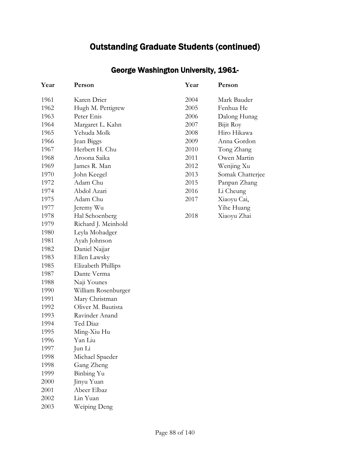| Year | Person              | Year | Person           |
|------|---------------------|------|------------------|
| 1961 | Karen Drier         | 2004 | Mark Bauder      |
| 1962 | Hugh M. Pettigrew   | 2005 | Fenhua He        |
| 1963 | Peter Enis          | 2006 | Dalong Hunag     |
| 1964 | Margaret L. Kahn    | 2007 | Bijit Roy        |
| 1965 | Yehuda Molk         | 2008 | Hiro Hikawa      |
| 1966 | Jean Biggs          | 2009 | Anna Gordon      |
| 1967 | Herbert H. Chu      | 2010 | Tong Zhang       |
| 1968 | Aroona Saika        | 2011 | Owen Martin      |
| 1969 | James R. Man        | 2012 | Wenjing Xu       |
| 1970 | John Keegel         | 2013 | Somak Chatterjee |
| 1972 | Adam Chu            | 2015 | Panpan Zhang     |
| 1974 | Abdol Azari         | 2016 | Li Cheung        |
| 1975 | Adam Chu            | 2017 | Xiaoyu Cai,      |
| 1977 | Jeremy Wu           |      | Yihe Huang       |
| 1978 | Hal Schoenberg      | 2018 | Xiaoyu Zhai      |
| 1979 | Richard J. Meinhold |      |                  |
| 1980 | Leyla Mohadger      |      |                  |
| 1981 | Ayah Johnson        |      |                  |
| 1982 | Daniel Najjar       |      |                  |
| 1983 | Ellen Lawsky        |      |                  |
| 1985 | Elizabeth Phillips  |      |                  |
| 1987 | Dante Verma         |      |                  |
| 1988 | Naji Younes         |      |                  |
| 1990 | William Rosenburger |      |                  |
| 1991 | Mary Christman      |      |                  |
| 1992 | Oliver M. Bautista  |      |                  |
| 1993 | Ravinder Anand      |      |                  |
| 1994 | Ted Diaz            |      |                  |
| 1995 | Ming-Xiu Hu         |      |                  |
| 1996 | Yan Liu             |      |                  |
| 1997 | Jun Li              |      |                  |
| 1998 | Michael Spaeder     |      |                  |
| 1998 | Gang Zheng          |      |                  |
| 1999 | Binbing Yu          |      |                  |
| 2000 | Jinyu Yuan          |      |                  |

 Abeer Elbaz Lin Yuan Weiping Deng

### George Washington University, 1961-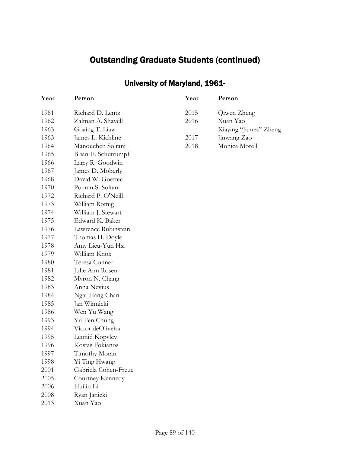## University of Maryland, 1961-

| Year | Person               | Year | Person                |
|------|----------------------|------|-----------------------|
| 1961 | Richard D. Lentz     | 2015 | Qiwen Zheng           |
| 1962 | Zalman A. Shavell    | 2016 | Xuan Yao              |
| 1963 | Goaing T. Liaw       |      | Xiaying "James" Zheng |
| 1963 | James L. Kichline    | 2017 | Jinwang Zao           |
| 1964 | Manoucheh Soltani    | 2018 | Monica Morell         |
| 1965 | Brian E. Schutrumpf  |      |                       |
| 1966 | Larry R. Goodwin     |      |                       |
| 1967 | James D. Moberly     |      |                       |
| 1968 | David W. Goettee     |      |                       |
| 1970 | Pouran S. Soltani    |      |                       |
| 1972 | Richard P. O'Neill   |      |                       |
| 1973 | William Romig        |      |                       |
| 1974 | William J. Stewart   |      |                       |
| 1975 | Edward K. Baker      |      |                       |
| 1976 | Lawrence Rubinstein  |      |                       |
| 1977 | Thomas H. Doyle      |      |                       |
| 1978 | Amy Lieu-Yun Hsi     |      |                       |
| 1979 | William Knox         |      |                       |
| 1980 | Teresa Conner        |      |                       |
| 1981 | Julie Ann Rosen      |      |                       |
| 1982 | Myron N. Chang       |      |                       |
| 1983 | Anna Nevius          |      |                       |
| 1984 | Ngai-Hang Chan       |      |                       |
| 1985 | Jan Winnicki         |      |                       |
| 1986 | Wen Yu Wang          |      |                       |
| 1993 | Yu-Fen Chung         |      |                       |
| 1994 | Victor deOliveira    |      |                       |
| 1995 | Leonid Kopylev       |      |                       |
| 1996 | Kostas Fokianos      |      |                       |
| 1997 | Timothy Moran        |      |                       |
| 1998 | Yi Ting Hwang        |      |                       |
| 2001 | Gabriela Cohen-Freue |      |                       |
| 2005 | Courtney Kennedy     |      |                       |
| 2006 | Huilin Li            |      |                       |
| 2008 | Ryan Janicki         |      |                       |
| 2013 | Xuan Yao             |      |                       |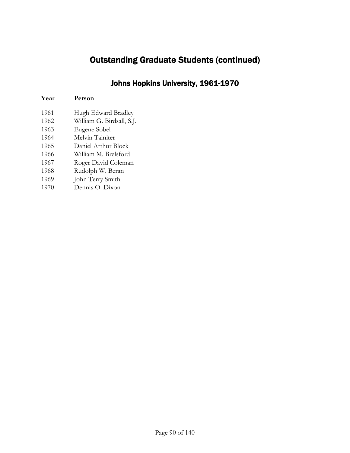#### Johns Hopkins University, 1961-1970

- Hugh Edward Bradley
- William G. Birdsall, S.J.
- Eugene Sobel
- Melvin Tainiter
- Daniel Arthur Block
- William M. Brelsford
- Roger David Coleman
- Rudolph W. Beran
- John Terry Smith
- Dennis O. Dixon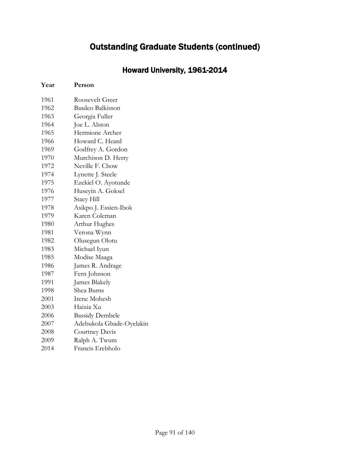### Howard University, 1961-2014

| 1961 | Roosevelt Greer          |
|------|--------------------------|
| 1962 | <b>Basdeo Balkisson</b>  |
| 1963 | Georgia Fuller           |
| 1964 | Joe L. Alston            |
| 1965 | Hermione Archer          |
| 1966 | Howard C. Heard          |
| 1969 | Godfrey A. Gordon        |
| 1970 | Murchison D. Herry       |
| 1972 | Neville F. Chow          |
| 1974 | Lynette J. Steele        |
| 1975 | Ezekiel O. Ayotunde      |
| 1976 | Huseyin A. Goksel        |
| 1977 | <b>Stacy Hill</b>        |
| 1978 | Asikpo J. Essien-Ibok    |
| 1979 | Karen Coleman            |
| 1980 | Arthur Hughes            |
| 1981 | Verona Wynn              |
| 1982 | Olusegun Olotu           |
| 1983 | Michael Iyun             |
| 1985 | Modise Maaga             |
| 1986 | James R. Andrage         |
| 1987 | Fern Johnson             |
| 1991 | James Blakely            |
| 1998 | Shea Burns               |
| 2001 | Irene Mohesh             |
| 2003 | Haixia Xu                |
| 2006 | <b>Bassidy Dembele</b>   |
| 2007 | Adebukola Gbade-Oyelakin |
| 2008 | Courtney Davis           |
| 2009 | Ralph A. Twum            |
| 2014 | Francis Erebholo         |
|      |                          |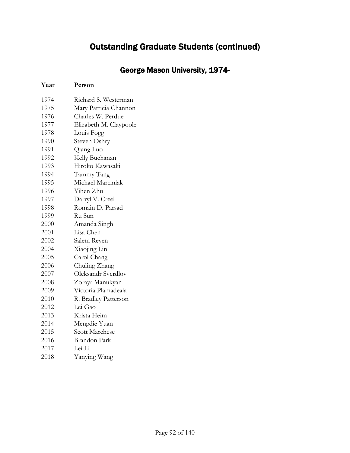### George Mason University, 1974-

| 1974 | Richard S. Westerman   |
|------|------------------------|
| 1975 | Mary Patricia Channon  |
| 1976 | Charles W. Perdue      |
| 1977 | Elizabeth M. Claypoole |
| 1978 | Louis Fogg             |
| 1990 | Steven Oshry           |
| 1991 | Qiang Luo              |
| 1992 | Kelly Buchanan         |
| 1993 | Hiroko Kawasaki        |
| 1994 | Tammy Tang             |
| 1995 | Michael Marciniak      |
| 1996 | Yihen Zhu              |
| 1997 | Darryl V. Creel        |
| 1998 | Romain D. Parsad       |
| 1999 | Ru Sun                 |
| 2000 | Amanda Singh           |
| 2001 | Lisa Chen              |
| 2002 | Salem Reyen            |
| 2004 | Xiaojing Lin           |
| 2005 | Carol Chang            |
| 2006 | Chuling Zhang          |
| 2007 | Oleksandr Sverdlov     |
| 2008 | Zorayr Manukyan        |
| 2009 | Victoria Plamadeala    |
| 2010 | R. Bradley Patterson   |
| 2012 | Lei Gao                |
| 2013 | Krista Heim            |
| 2014 | Mengdie Yuan           |
| 2015 | <b>Scott Marchese</b>  |
| 2016 | Brandon Park           |
| 2017 | Lei Li                 |
| 2018 | Yanying Wang           |
|      |                        |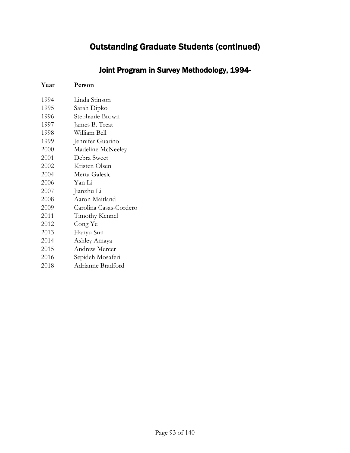### Joint Program in Survey Methodology, 1994-

| 1994 | Linda Stinson          |
|------|------------------------|
| 1995 | Sarah Dipko            |
| 1996 | Stephanie Brown        |
| 1997 | James B. Treat         |
| 1998 | William Bell           |
| 1999 | Jennifer Guarino       |
| 2000 | Madeline McNeeley      |
| 2001 | Debra Sweet            |
| 2002 | Kristen Olsen          |
| 2004 | Merta Galesic          |
| 2006 | Yan Li                 |
| 2007 | Jianzhu Li             |
| 2008 | Aaron Maitland         |
| 2009 | Carolina Casas-Cordero |
| 2011 | Timothy Kennel         |
| 2012 | Cong Ye                |
| 2013 | Hanyu Sun              |
| 2014 | Ashley Amaya           |
| 2015 | Andrew Mercer          |
| 2016 | Sepideh Mosaferi       |
| 2018 | Adrianne Bradford      |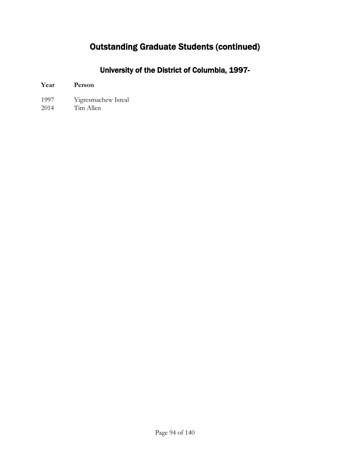### University of the District of Columbia, 1997-

| Year | Person |
|------|--------|
|      |        |

- 1997 Yigresmachew Isreal
- 2014 Tim Allen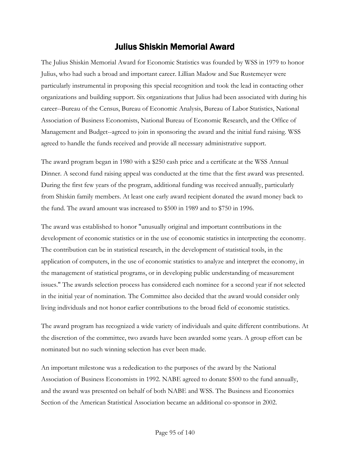### Julius Shiskin Memorial Award

The Julius Shiskin Memorial Award for Economic Statistics was founded by WSS in 1979 to honor Julius, who had such a broad and important career. Lillian Madow and Sue Rustemeyer were particularly instrumental in proposing this special recognition and took the lead in contacting other organizations and building support. Six organizations that Julius had been associated with during his career--Bureau of the Census, Bureau of Economic Analysis, Bureau of Labor Statistics, National Association of Business Economists, National Bureau of Economic Research, and the Office of Management and Budget--agreed to join in sponsoring the award and the initial fund raising. WSS agreed to handle the funds received and provide all necessary administrative support.

The award program began in 1980 with a \$250 cash price and a certificate at the WSS Annual Dinner. A second fund raising appeal was conducted at the time that the first award was presented. During the first few years of the program, additional funding was received annually, particularly from Shiskin family members. At least one early award recipient donated the award money back to the fund. The award amount was increased to \$500 in 1989 and to \$750 in 1996.

The award was established to honor "unusually original and important contributions in the development of economic statistics or in the use of economic statistics in interpreting the economy. The contribution can be in statistical research, in the development of statistical tools, in the application of computers, in the use of economic statistics to analyze and interpret the economy, in the management of statistical programs, or in developing public understanding of measurement issues." The awards selection process has considered each nominee for a second year if not selected in the initial year of nomination. The Committee also decided that the award would consider only living individuals and not honor earlier contributions to the broad field of economic statistics.

The award program has recognized a wide variety of individuals and quite different contributions. At the discretion of the committee, two awards have been awarded some years. A group effort can be nominated but no such winning selection has ever been made.

An important milestone was a rededication to the purposes of the award by the National Association of Business Economists in 1992. NABE agreed to donate \$500 to the fund annually, and the award was presented on behalf of both NABE and WSS. The Business and Economics Section of the American Statistical Association became an additional co-sponsor in 2002.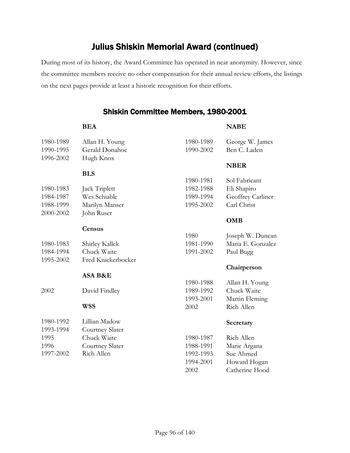During most of its history, the Award Committee has operated in near anonymity. However, since the committee members receive no other compensation for their annual review efforts, the listings on the next pages provide at least a historic recognition for their efforts.

#### Shiskin Committee Members, 1980-2001

|           | <b>BEA</b>         |           | <b>NABE</b>       |
|-----------|--------------------|-----------|-------------------|
| 1980-1989 | Allan H. Young     | 1980-1989 | George W. James   |
| 1990-1995 | Gerald Donahoe     | 1990-2002 | Ben C. Laden      |
| 1996-2002 | Hugh Knox          |           |                   |
|           |                    |           | <b>NBER</b>       |
|           | <b>BLS</b>         |           |                   |
|           |                    | 1980-1981 | Sol Fabricant     |
| 1980-1983 | Jack Triplett      | 1982-1988 | Eli Shapiro       |
| 1984-1987 | Wes Schiable       | 1989-1994 | Geoffrey Carliner |
| 1988-1999 | Marilyn Manser     | 1995-2002 | Carl Christ       |
| 2000-2002 | John Ruser         |           |                   |
|           |                    |           | <b>OMB</b>        |
|           | Census             |           |                   |
|           |                    | 1980      | Joseph W. Duncan  |
| 1980-1983 | Shirley Kallek     | 1981-1990 | Maria E. Gonzalez |
| 1984-1994 | Chuck Waite        | 1991-2002 | Paul Bugg         |
| 1995-2002 | Fred Knickerbocker |           |                   |
|           |                    |           | Chairperson       |
|           | ASA B&E            |           |                   |
|           |                    | 1980-1988 | Allan H. Young    |
| 2002      | David Findley      | 1989-1992 | Chuck Waite       |
|           |                    | 1993-2001 | Martin Fleming    |
|           | WSS                | 2002      | Rich Allen        |
| 1980-1992 | Lillian Madow      |           | Secretary         |
| 1993-1994 | Courtney Slater    |           |                   |
| 1995      | Chuck Waite        | 1980-1987 | Rich Allen        |
| 1996      | Courtney Slater    | 1988-1991 | Marie Argana      |
| 1997-2002 | Rich Allen         | 1992-1993 | Sue Ahmed         |
|           |                    | 1994-2001 | Howard Hogan      |
|           |                    | 2002      | Catherine Hood    |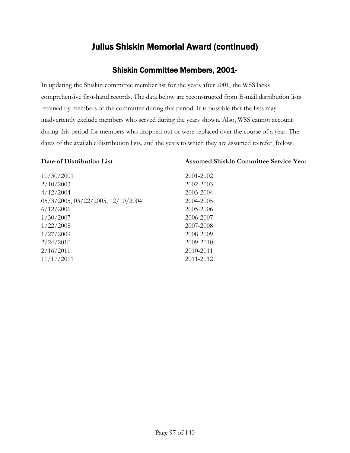#### Shiskin Committee Members, 2001-

In updating the Shiskin committee member list for the years after 2001, the WSS lacks comprehensive first-hand records. The data below are reconstructed from E-mail distribution lists retained by members of the committee during this period. It is possible that the lists may inadvertently exclude members who served during the years shown. Also, WSS cannot account during this period for members who dropped out or were replaced over the course of a year. The dates of the available distribution lists, and the years to which they are assumed to refer, follow.

#### **Date of Distribution List**

#### **Assumed Shiskin Committee Service Year**

| 10/30/2001                        | 2001-2002 |
|-----------------------------------|-----------|
| 2/10/2003                         | 2002-2003 |
| 4/12/2004                         | 2003-2004 |
| 05/3/2005, 03/22/2005, 12/10/2004 | 2004-2005 |
| 6/12/2006                         | 2005-2006 |
| 1/30/2007                         | 2006-2007 |
| 1/22/2008                         | 2007-2008 |
| 1/27/2009                         | 2008-2009 |
| 2/24/2010                         | 2009-2010 |
| 2/16/2011                         | 2010-2011 |
| 11/17/2011                        | 2011-2012 |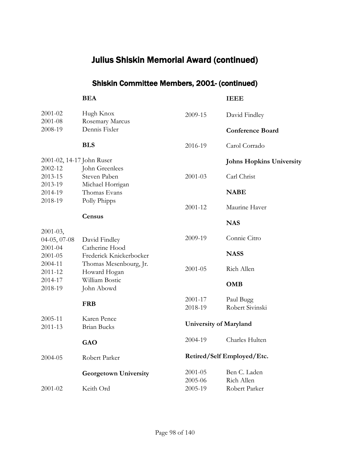### Shiskin Committee Members, 2001- (continued)

|                           | <b>BEA</b>                   |             | <b>IEEE</b>                     |
|---------------------------|------------------------------|-------------|---------------------------------|
| 2001-02<br>2001-08        | Hugh Knox<br>Rosemary Marcus | 2009-15     | David Findley                   |
| 2008-19                   | Dennis Fixler                |             | <b>Conference Board</b>         |
|                           | <b>BLS</b>                   | 2016-19     | Carol Corrado                   |
| 2001-02, 14-17 John Ruser |                              |             | <b>Johns Hopkins University</b> |
| 2002-12                   | John Greenlees               |             |                                 |
| 2013-15                   | Steven Paben                 | 2001-03     | Carl Christ                     |
| 2013-19                   | Michael Horrigan             |             | <b>NABE</b>                     |
| 2014-19<br>2018-19        | Thomas Evans<br>Polly Phipps |             |                                 |
|                           |                              | 2001-12     | Maurine Haver                   |
|                           | Census                       |             | <b>NAS</b>                      |
| $2001 - 03$ ,             |                              |             |                                 |
| 04-05, 07-08              | David Findley                | 2009-19     | Connie Citro                    |
| $2001 - 04$               | Catherine Hood               |             |                                 |
| 2001-05                   | Frederick Knickerbocker      |             | <b>NASS</b>                     |
| 2004-11                   | Thomas Mesenbourg, Jr.       | $2001 - 05$ | Rich Allen                      |
| 2011-12                   | Howard Hogan                 |             |                                 |
| 2014-17<br>2018-19        | William Bostic               |             | <b>OMB</b>                      |
|                           | John Abowd                   |             |                                 |
|                           | <b>FRB</b>                   | 2001-17     | Paul Bugg                       |
|                           |                              | 2018-19     | Robert Sivinski                 |
| 2005-11                   | Karen Pence                  |             |                                 |
| 2011-13                   | <b>Brian Bucks</b>           |             | <b>University of Maryland</b>   |
|                           | GAO                          | 2004-19     | Charles Hulten                  |
| 2004-05                   | Robert Parker                |             | Retired/Self Employed/Etc.      |
|                           | <b>Georgetown University</b> | 2001-05     | Ben C. Laden                    |
|                           |                              | 2005-06     | Rich Allen                      |
| 2001-02                   | Keith Ord                    | 2005-19     | Robert Parker                   |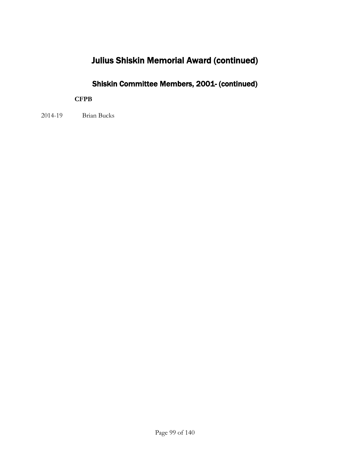### Shiskin Committee Members, 2001- (continued)

#### **CFPB**

2014-19 Brian Bucks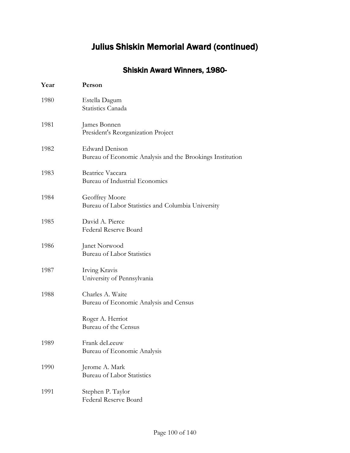### Shiskin Award Winners, 1980-

| Year | Person                                                                             |
|------|------------------------------------------------------------------------------------|
| 1980 | Estella Dagum<br>Statistics Canada                                                 |
| 1981 | James Bonnen<br>President's Reorganization Project                                 |
| 1982 | <b>Edward Denison</b><br>Bureau of Economic Analysis and the Brookings Institution |
| 1983 | Beatrice Vaccara<br>Bureau of Industrial Economics                                 |
| 1984 | Geoffrey Moore<br>Bureau of Labor Statistics and Columbia University               |
| 1985 | David A. Pierce<br><b>Federal Reserve Board</b>                                    |
| 1986 | Janet Norwood<br><b>Bureau of Labor Statistics</b>                                 |
| 1987 | Irving Kravis<br>University of Pennsylvania                                        |
| 1988 | Charles A. Waite<br>Bureau of Economic Analysis and Census                         |
|      | Roger A. Herriot<br>Bureau of the Census                                           |
| 1989 | Frank deLeeuw<br>Bureau of Economic Analysis                                       |
| 1990 | Jerome A. Mark<br><b>Bureau of Labor Statistics</b>                                |
| 1991 | Stephen P. Taylor<br>Federal Reserve Board                                         |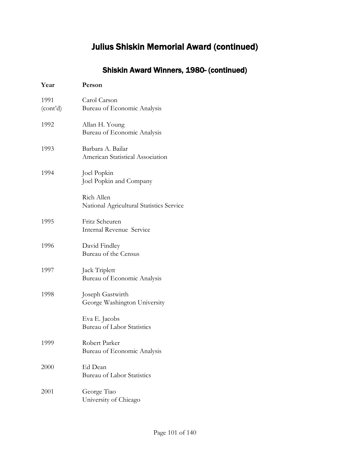### Shiskin Award Winners, 1980- (continued)

| Year                          | Person                                                 |
|-------------------------------|--------------------------------------------------------|
| 1991<br>(cont <sup>2</sup> d) | Carol Carson<br>Bureau of Economic Analysis            |
| 1992                          | Allan H. Young<br>Bureau of Economic Analysis          |
| 1993                          | Barbara A. Bailar<br>American Statistical Association  |
| 1994                          | Joel Popkin<br>Joel Popkin and Company                 |
|                               | Rich Allen<br>National Agricultural Statistics Service |
| 1995                          | Fritz Scheuren<br>Internal Revenue Service             |
| 1996                          | David Findley<br>Bureau of the Census                  |
| 1997                          | Jack Triplett<br>Bureau of Economic Analysis           |
| 1998                          | Joseph Gastwirth<br>George Washington University       |
|                               | Eva E. Jacobs<br><b>Bureau of Labor Statistics</b>     |
| 1999                          | Robert Parker<br>Bureau of Economic Analysis           |
| 2000                          | Ed Dean<br>Bureau of Labor Statistics                  |
| 2001                          | George Tiao<br>University of Chicago                   |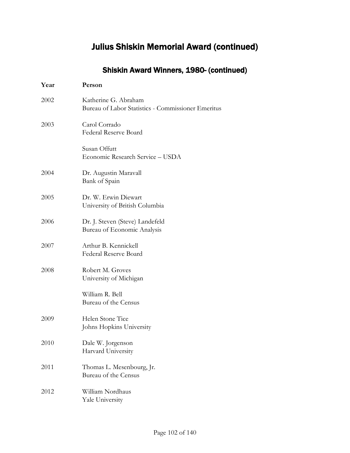### Shiskin Award Winners, 1980- (continued)

| Year | Person                                                                     |  |
|------|----------------------------------------------------------------------------|--|
| 2002 | Katherine G. Abraham<br>Bureau of Labor Statistics - Commissioner Emeritus |  |
| 2003 | Carol Corrado<br><b>Federal Reserve Board</b>                              |  |
|      | Susan Offutt<br>Economic Research Service - USDA                           |  |
| 2004 | Dr. Augustin Maravall<br>Bank of Spain                                     |  |
| 2005 | Dr. W. Erwin Diewart<br>University of British Columbia                     |  |
| 2006 | Dr. J. Steven (Steve) Landefeld<br>Bureau of Economic Analysis             |  |
| 2007 | Arthur B. Kennickell<br><b>Federal Reserve Board</b>                       |  |
| 2008 | Robert M. Groves<br>University of Michigan                                 |  |
|      | William R. Bell<br>Bureau of the Census                                    |  |
| 2009 | Helen Stone Tice<br>Johns Hopkins University                               |  |
| 2010 | Dale W. Jorgenson<br>Harvard University                                    |  |
| 2011 | Thomas L. Mesenbourg, Jr.<br>Bureau of the Census                          |  |
| 2012 | William Nordhaus<br>Yale University                                        |  |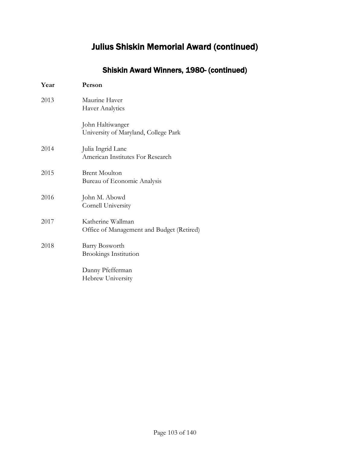### Shiskin Award Winners, 1980- (continued)

| Year | Person                                                         |  |
|------|----------------------------------------------------------------|--|
| 2013 | Maurine Haver<br>Haver Analytics                               |  |
|      | John Haltiwanger<br>University of Maryland, College Park       |  |
| 2014 | Julia Ingrid Lane<br>American Institutes For Research          |  |
| 2015 | <b>Brent Moulton</b><br>Bureau of Economic Analysis            |  |
| 2016 | John M. Abowd<br>Cornell University                            |  |
| 2017 | Katherine Wallman<br>Office of Management and Budget (Retired) |  |
| 2018 | Barry Bosworth<br><b>Brookings Institution</b>                 |  |
|      | Danny Pfefferman<br>Hebrew University                          |  |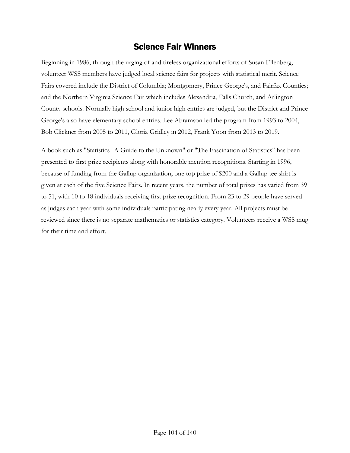### Science Fair Winners

Beginning in 1986, through the urging of and tireless organizational efforts of Susan Ellenberg, volunteer WSS members have judged local science fairs for projects with statistical merit. Science Fairs covered include the District of Columbia; Montgomery, Prince George's, and Fairfax Counties; and the Northern Virginia Science Fair which includes Alexandria, Falls Church, and Arlington County schools. Normally high school and junior high entries are judged, but the District and Prince George's also have elementary school entries. Lee Abramson led the program from 1993 to 2004, Bob Clickner from 2005 to 2011, Gloria Gridley in 2012, Frank Yoon from 2013 to 2019.

A book such as "Statistics--A Guide to the Unknown" or "The Fascination of Statistics" has been presented to first prize recipients along with honorable mention recognitions. Starting in 1996, because of funding from the Gallup organization, one top prize of \$200 and a Gallup tee shirt is given at each of the five Science Fairs. In recent years, the number of total prizes has varied from 39 to 51, with 10 to 18 individuals receiving first prize recognition. From 23 to 29 people have served as judges each year with some individuals participating nearly every year. All projects must be reviewed since there is no separate mathematics or statistics category. Volunteers receive a WSS mug for their time and effort.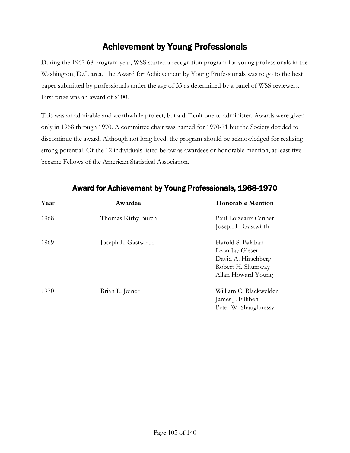### Achievement by Young Professionals

During the 1967-68 program year, WSS started a recognition program for young professionals in the Washington, D.C. area. The Award for Achievement by Young Professionals was to go to the best paper submitted by professionals under the age of 35 as determined by a panel of WSS reviewers. First prize was an award of \$100.

This was an admirable and worthwhile project, but a difficult one to administer. Awards were given only in 1968 through 1970. A committee chair was named for 1970-71 but the Society decided to discontinue the award. Although not long lived, the program should be acknowledged for realizing strong potential. Of the 12 individuals listed below as awardees or honorable mention, at least five became Fellows of the American Statistical Association.

| Year | Awardee             | <b>Honorable Mention</b>                                                                               |
|------|---------------------|--------------------------------------------------------------------------------------------------------|
| 1968 | Thomas Kirby Burch  | Paul Loizeaux Canner<br>Joseph L. Gastwirth                                                            |
| 1969 | Joseph L. Gastwirth | Harold S. Balaban<br>Leon Jay Gleser<br>David A. Hirschberg<br>Robert H. Shumway<br>Allan Howard Young |
| 1970 | Brian L. Joiner     | William C. Blackwelder<br>James J. Filliben<br>Peter W. Shaughnessy                                    |

#### Award for Achievement by Young Professionals, 1968-1970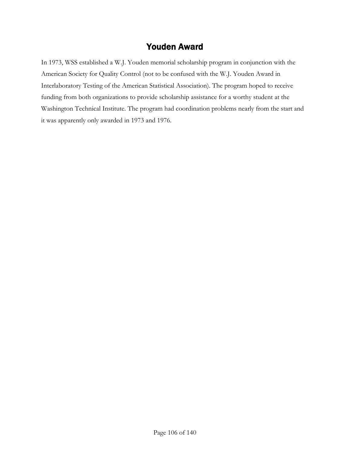### Youden Award

In 1973, WSS established a W.J. Youden memorial scholarship program in conjunction with the American Society for Quality Control (not to be confused with the W.J. Youden Award in Interlaboratory Testing of the American Statistical Association). The program hoped to receive funding from both organizations to provide scholarship assistance for a worthy student at the Washington Technical Institute. The program had coordination problems nearly from the start and it was apparently only awarded in 1973 and 1976.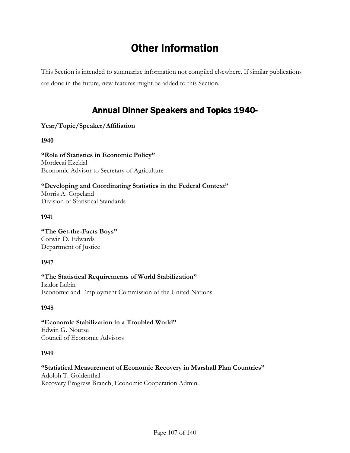# Other Information

This Section is intended to summarize information not compiled elsewhere. If similar publications are done in the future, new features might be added to this Section.

## Annual Dinner Speakers and Topics 1940-

#### **Year/Topic/Speaker/Affiliation**

**1940**

**"Role of Statistics in Economic Policy"** Mordecai Ezekial Economic Advisor to Secretary of Agriculture

**"Developing and Coordinating Statistics in the Federal Context"** Morris A. Copeland Division of Statistical Standards

#### **1941**

**"The Get-the-Facts Boys"** Corwin D. Edwards Department of Justice

#### **1947**

**"The Statistical Requirements of World Stabilization"** Isador Lubin Economic and Employment Commission of the United Nations

#### **1948**

**"Economic Stabilization in a Troubled World"** Edwin G. Nourse Council of Economic Advisors

#### **1949**

### **"Statistical Measurement of Economic Recovery in Marshall Plan Countries"**

Adolph T. Goldenthal Recovery Progress Branch, Economic Cooperation Admin.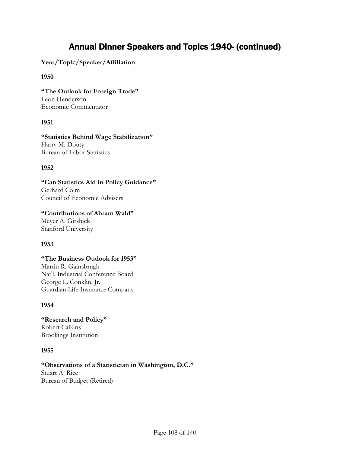### Annual Dinner Speakers and Topics 1940- (continued)

**Year/Topic/Speaker/Affiliation**

#### **1950**

**"The Outlook for Foreign Trade"** Leon Henderson Economic Commentator

#### **1951**

**"Statistics Behind Wage Stabilization"** Harry M. Douty Bureau of Labor Statistics

#### **1952**

**"Can Statistics Aid in Policy Guidance"** Gerhard Colm Council of Economic Advisers

#### **"Contributions of Abram Wald"**

Meyer A. Girshick Stanford University

#### **1953**

#### **"The Business Outlook for 1953"**

Martin R. Gainsbrugh Nat'l. Industrial Conference Board George L. Conklin, Jr. Guardian Life Insurance Company

#### **1954**

**"Research and Policy"** Robert Calkins Brookings Institution

#### **1955**

**"Observations of a Statistician in Washington, D.C."** Stuart A. Rice Bureau of Budget (Retired)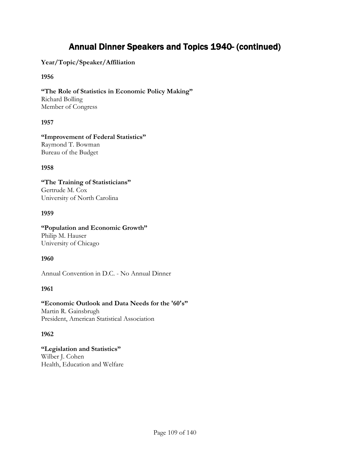**Year/Topic/Speaker/Affiliation**

## **1956**

**"The Role of Statistics in Economic Policy Making"** Richard Bolling Member of Congress

### **1957**

**"Improvement of Federal Statistics"** Raymond T. Bowman Bureau of the Budget

### **1958**

**"The Training of Statisticians"** Gertrude M. Cox University of North Carolina

### **1959**

## **"Population and Economic Growth"**

Philip M. Hauser University of Chicago

## **1960**

Annual Convention in D.C. - No Annual Dinner

## **1961**

**"Economic Outlook and Data Needs for the '60's"** Martin R. Gainsbrugh President, American Statistical Association

## **1962**

**"Legislation and Statistics"** Wilber J. Cohen Health, Education and Welfare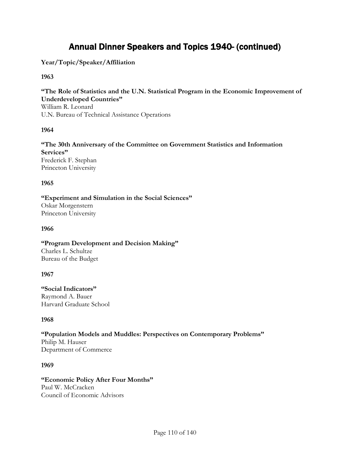**Year/Topic/Speaker/Affiliation**

## **1963**

**"The Role of Statistics and the U.N. Statistical Program in the Economic Improvement of Underdeveloped Countries"**

William R. Leonard U.N. Bureau of Technical Assistance Operations

### **1964**

**"The 30th Anniversary of the Committee on Government Statistics and Information Services"** Frederick F. Stephan Princeton University

### **1965**

**"Experiment and Simulation in the Social Sciences"** Oskar Morgenstern Princeton University

#### **1966**

**"Program Development and Decision Making"** Charles L. Schultze Bureau of the Budget

#### **1967**

**"Social Indicators"** Raymond A. Bauer Harvard Graduate School

## **1968**

**"Population Models and Muddles: Perspectives on Contemporary Problems"** Philip M. Hauser Department of Commerce

#### **1969**

## **"Economic Policy After Four Months"**

Paul W. McCracken Council of Economic Advisors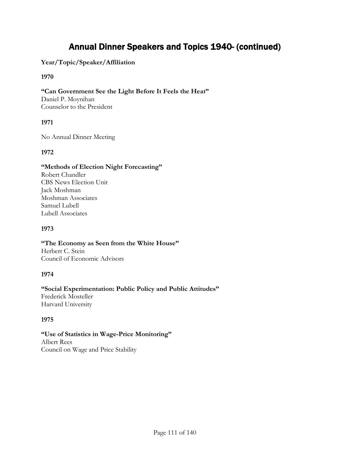## **Year/Topic/Speaker/Affiliation**

## **1970**

## **"Can Government See the Light Before It Feels the Heat"**

Daniel P. Moynihan Counselor to the President

## **1971**

No Annual Dinner Meeting

## **1972**

## **"Methods of Election Night Forecasting"**

Robert Chandler CBS News Election Unit Jack Moshman Moshman Associates Samuel Lubell Lubell Associates

## **1973**

#### **"The Economy as Seen from the White House"** Herbert C. Stein Council of Economic Advisors

## **1974**

#### **"Social Experimentation: Public Policy and Public Attitudes"** Frederick Mosteller

Harvard University

## **1975**

#### **"Use of Statistics in Wage-Price Monitoring"** Albert Rees Council on Wage and Price Stability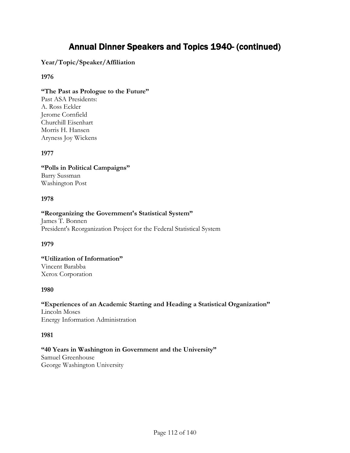## **Year/Topic/Speaker/Affiliation**

### **1976**

### **"The Past as Prologue to the Future"**

Past ASA Presidents: A. Ross Eckler Jerome Cornfield Churchill Eisenhart Morris H. Hansen Aryness Joy Wickens

### **1977**

**"Polls in Political Campaigns"** Barry Sussman Washington Post

#### **1978**

#### **"Reorganizing the Government's Statistical System"**

James T. Bonnen President's Reorganization Project for the Federal Statistical System

#### **1979**

**"Utilization of Information"** Vincent Barabba Xerox Corporation

#### **1980**

# **"Experiences of an Academic Starting and Heading a Statistical Organization"** Lincoln Moses

Energy Information Administration

#### **1981**

## **"40 Years in Washington in Government and the University"**

Samuel Greenhouse George Washington University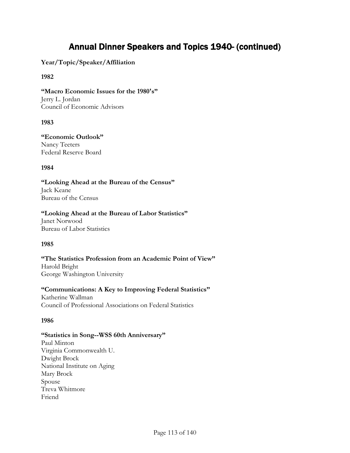**Year/Topic/Speaker/Affiliation**

## **1982**

**"Macro Economic Issues for the 1980's"** Jerry L. Jordan Council of Economic Advisors

### **1983**

**"Economic Outlook"** Nancy Teeters Federal Reserve Board

### **1984**

**"Looking Ahead at the Bureau of the Census"** Jack Keane Bureau of the Census

#### **"Looking Ahead at the Bureau of Labor Statistics"**

Janet Norwood Bureau of Labor Statistics

## **1985**

**"The Statistics Profession from an Academic Point of View"** Harold Bright George Washington University

## **"Communications: A Key to Improving Federal Statistics"**

Katherine Wallman Council of Professional Associations on Federal Statistics

## **1986**

#### **"Statistics in Song--WSS 60th Anniversary"**

Paul Minton Virginia Commonwealth U. Dwight Brock National Institute on Aging Mary Brock Spouse Treva Whitmore Friend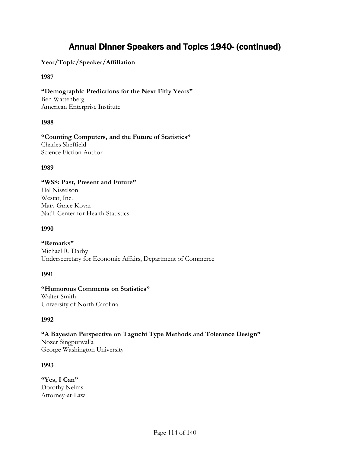## **Year/Topic/Speaker/Affiliation**

### **1987**

**"Demographic Predictions for the Next Fifty Years"** Ben Wattenberg American Enterprise Institute

### **1988**

**"Counting Computers, and the Future of Statistics"** Charles Sheffield Science Fiction Author

#### **1989**

## **"WSS: Past, Present and Future"**

Hal Nisselson Westat, Inc. Mary Grace Kovar Nat'l. Center for Health Statistics

#### **1990**

**"Remarks"** Michael R. Darby Undersecretary for Economic Affairs, Department of Commerce

#### **1991**

### **"Humorous Comments on Statistics"** Walter Smith University of North Carolina

## **1992**

**"A Bayesian Perspective on Taguchi Type Methods and Tolerance Design"** Nozer Singpurwalla George Washington University

## **1993**

**"Yes, I Can"** Dorothy Nelms Attorney-at-Law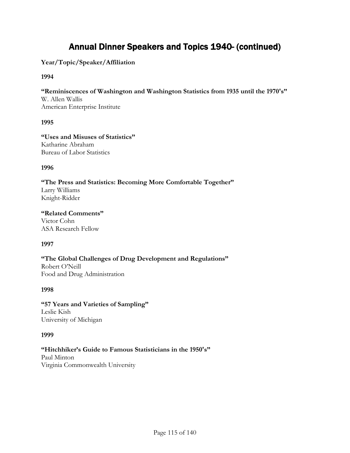**Year/Topic/Speaker/Affiliation**

## **1994**

**"Reminiscences of Washington and Washington Statistics from 1935 until the 1970's"** W. Allen Wallis American Enterprise Institute

### **1995**

**"Uses and Misuses of Statistics"** Katharine Abraham Bureau of Labor Statistics

#### **1996**

**"The Press and Statistics: Becoming More Comfortable Together"** Larry Williams Knight-Ridder

**"Related Comments"** Victor Cohn ASA Research Fellow

## **1997**

**"The Global Challenges of Drug Development and Regulations"** Robert O'Neill Food and Drug Administration

#### **1998**

**"57 Years and Varieties of Sampling"** Leslie Kish University of Michigan

#### **1999**

## **"Hitchhiker's Guide to Famous Statisticians in the 1950's"** Paul Minton

Virginia Commonwealth University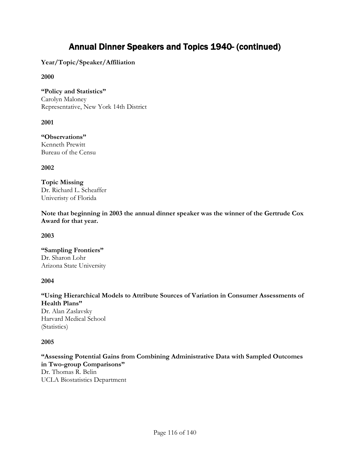**Year/Topic/Speaker/Affiliation**

### **2000**

**"Policy and Statistics"** Carolyn Maloney Representative, New York 14th District

**2001**

**"Observations"** Kenneth Prewitt Bureau of the Censu

**2002**

**Topic Missing** Dr. Richard L. Scheaffer Univeristy of Florida

**Note that beginning in 2003 the annual dinner speaker was the winner of the Gertrude Cox Award for that year.**

**2003**

**"Sampling Frontiers"** Dr. Sharon Lohr Arizona State University

#### **2004**

**"Using Hierarchical Models to Attribute Sources of Variation in Consumer Assessments of Health Plans"**

Dr. Alan Zaslavsky Harvard Medical School (Statistics)

#### **2005**

**"Assessing Potential Gains from Combining Administrative Data with Sampled Outcomes in Two-group Comparisons"** Dr. Thomas R. Belin UCLA Biostatistics Department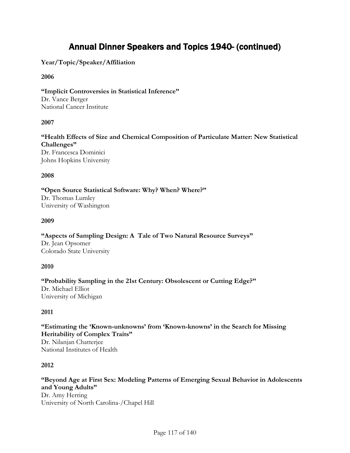**Year/Topic/Speaker/Affiliation**

## **2006**

**"Implicit Controversies in Statistical Inference"** Dr. Vance Berger National Cancer Institute

### **2007**

**"Health Effects of Size and Chemical Composition of Particulate Matter: New Statistical Challenges"** Dr. Francesca Dominici Johns Hopkins University

#### **2008**

**"Open Source Statistical Software: Why? When? Where?"** Dr. Thomas Lumley University of Washington

### **2009**

**"Aspects of Sampling Design: A Tale of Two Natural Resource Surveys"** Dr. Jean Opsomer Colorado State University

#### **2010**

**"Probability Sampling in the 21st Century: Obsolescent or Cutting Edge?"** Dr. Michael Elliot University of Michigan

## **2011**

**"Estimating the 'Known-unknowns' from 'Known-knowns' in the Search for Missing Heritability of Complex Traits"** Dr. Nilanjan Chatterjee National Institutes of Health

#### **2012**

**"Beyond Age at First Sex: Modeling Patterns of Emerging Sexual Behavior in Adolescents and Young Adults"** Dr. Amy Herring University of North Carolina-/Chapel Hill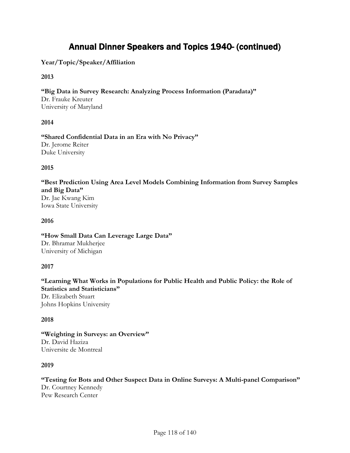## **Year/Topic/Speaker/Affiliation**

### **2013**

**"Big Data in Survey Research: Analyzing Process Information (Paradata)"** Dr. Frauke Kreuter University of Maryland

### **2014**

**"Shared Confidential Data in an Era with No Privacy"** Dr. Jerome Reiter Duke University

### **2015**

**"Best Prediction Using Area Level Models Combining Information from Survey Samples and Big Data"** Dr. Jae Kwang Kim Iowa State University

### **2016**

**"How Small Data Can Leverage Large Data"** Dr. Bhramar Mukherjee University of Michigan

## **2017**

**"Learning What Works in Populations for Public Health and Public Policy: the Role of Statistics and Statisticians"** Dr. Elizabeth Stuart Johns Hopkins University

## **2018**

**"Weighting in Surveys: an Overview"** Dr. David Haziza Universite de Montreal

#### **2019**

**"Testing for Bots and Other Suspect Data in Online Surveys: A Multi-panel Comparison"** Dr. Courtney Kennedy Pew Research Center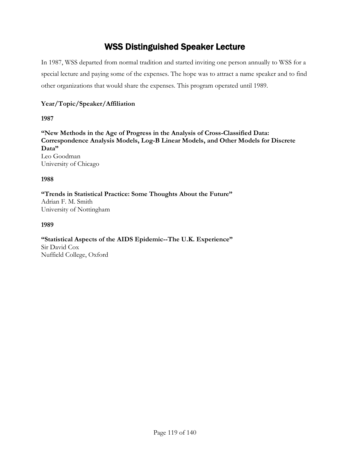# WSS Distinguished Speaker Lecture

In 1987, WSS departed from normal tradition and started inviting one person annually to WSS for a special lecture and paying some of the expenses. The hope was to attract a name speaker and to find other organizations that would share the expenses. This program operated until 1989.

## **Year/Topic/Speaker/Affiliation**

**1987**

**"New Methods in the Age of Progress in the Analysis of Cross-Classified Data: Correspondence Analysis Models, Log-B Linear Models, and Other Models for Discrete Data"** Leo Goodman University of Chicago

**1988**

**"Trends in Statistical Practice: Some Thoughts About the Future"** Adrian F. M. Smith University of Nottingham

**1989**

**"Statistical Aspects of the AIDS Epidemic--The U.K. Experience"** Sir David Cox Nuffield College, Oxford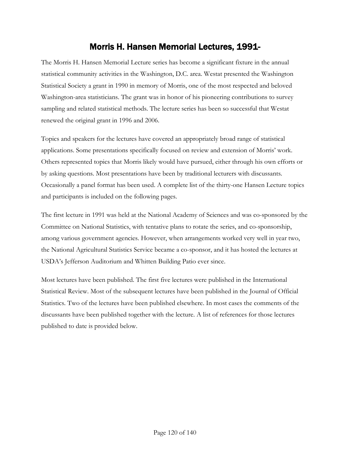## Morris H. Hansen Memorial Lectures, 1991-

The Morris H. Hansen Memorial Lecture series has become a significant fixture in the annual statistical community activities in the Washington, D.C. area. Westat presented the Washington Statistical Society a grant in 1990 in memory of Morris, one of the most respected and beloved Washington-area statisticians. The grant was in honor of his pioneering contributions to survey sampling and related statistical methods. The lecture series has been so successful that Westat renewed the original grant in 1996 and 2006.

Topics and speakers for the lectures have covered an appropriately broad range of statistical applications. Some presentations specifically focused on review and extension of Morris' work. Others represented topics that Morris likely would have pursued, either through his own efforts or by asking questions. Most presentations have been by traditional lecturers with discussants. Occasionally a panel format has been used. A complete list of the thirty-one Hansen Lecture topics and participants is included on the following pages.

The first lecture in 1991 was held at the National Academy of Sciences and was co-sponsored by the Committee on National Statistics, with tentative plans to rotate the series, and co-sponsorship, among various government agencies. However, when arrangements worked very well in year two, the National Agricultural Statistics Service became a co-sponsor, and it has hosted the lectures at USDA's Jefferson Auditorium and Whitten Building Patio ever since.

Most lectures have been published. The first five lectures were published in the International Statistical Review. Most of the subsequent lectures have been published in the Journal of Official Statistics. Two of the lectures have been published elsewhere. In most cases the comments of the discussants have been published together with the lecture. A list of references for those lectures published to date is provided below.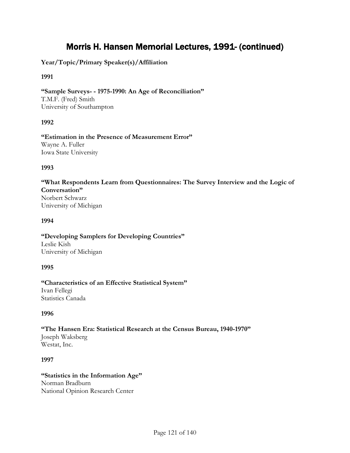**Year/Topic/Primary Speaker(s)/Affiliation**

## **1991**

**"Sample Surveys- - 1975-1990: An Age of Reconciliation"** T.M.F. (Fred) Smith University of Southampton

## **1992**

**"Estimation in the Presence of Measurement Error"** Wayne A. Fuller Iowa State University

### **1993**

**"What Respondents Learn from Questionnaires: The Survey Interview and the Logic of Conversation"** Norbert Schwarz University of Michigan

#### **1994**

**"Developing Samplers for Developing Countries"** Leslie Kish University of Michigan

## **1995**

**"Characteristics of an Effective Statistical System"** Ivan Fellegi Statistics Canada

## **1996**

**"The Hansen Era: Statistical Research at the Census Bureau, 1940-1970"** Joseph Waksberg Westat, Inc.

## **1997**

**"Statistics in the Information Age"** Norman Bradburn National Opinion Research Center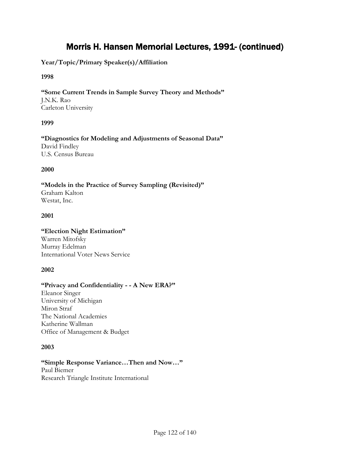## **Year/Topic/Primary Speaker(s)/Affiliation**

#### **1998**

**"Some Current Trends in Sample Survey Theory and Methods"** J.N.K. Rao Carleton University

### **1999**

**"Diagnostics for Modeling and Adjustments of Seasonal Data"** David Findley U.S. Census Bureau

#### **2000**

**"Models in the Practice of Survey Sampling (Revisited)"** Graham Kalton Westat, Inc.

### **2001**

## **"Election Night Estimation"**

Warren Mitofsky Murray Edelman International Voter News Service

#### **2002**

### **"Privacy and Confidentiality - - A New ERA?"**

Eleanor Singer University of Michigan Miron Straf The National Academies Katherine Wallman Office of Management & Budget

#### **2003**

## **"Simple Response Variance…Then and Now…"**

Paul Biemer Research Triangle Institute International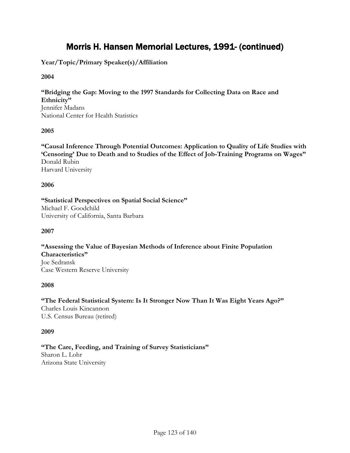**Year/Topic/Primary Speaker(s)/Affiliation**

### **2004**

**"Bridging the Gap: Moving to the 1997 Standards for Collecting Data on Race and Ethnicity"** Jennifer Madans National Center for Health Statistics

## **2005**

**"Causal Inference Through Potential Outcomes: Application to Quality of Life Studies with 'Censoring' Due to Death and to Studies of the Effect of Job-Training Programs on Wages"** Donald Rubin Harvard University

### **2006**

**"Statistical Perspectives on Spatial Social Science"** Michael F. Goodchild University of California, Santa Barbara

#### **2007**

**"Assessing the Value of Bayesian Methods of Inference about Finite Population Characteristics"** Joe Sedransk Case Western Reserve University

#### **2008**

**"The Federal Statistical System: Is It Stronger Now Than It Was Eight Years Ago?"** Charles Louis Kincannon U.S. Census Bureau (retired)

#### **2009**

**"The Care, Feeding, and Training of Survey Statisticians"** Sharon L. Lohr Arizona State University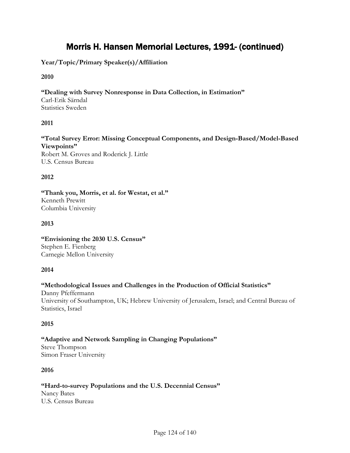## **Year/Topic/Primary Speaker(s)/Affiliation**

## **2010**

## **"Dealing with Survey Nonresponse in Data Collection, in Estimation"**

Carl-Erik Särndal Statistics Sweden

## **2011**

#### **"Total Survey Error: Missing Conceptual Components, and Design-Based/Model-Based Viewpoints"** Robert M. Groves and Roderick J. Little U.S. Census Bureau

### **2012**

**"Thank you, Morris, et al. for Westat, et al."** Kenneth Prewitt Columbia University

## **2013**

**"Envisioning the 2030 U.S. Census"** Stephen E. Fienberg Carnegie Mellon University

## **2014**

## **"Methodological Issues and Challenges in the Production of Official Statistics"**

Danny Pfeffermann University of Southampton, UK; Hebrew University of Jerusalem, Israel; and Central Bureau of Statistics, Israel

## **2015**

## **"Adaptive and Network Sampling in Changing Populations"**

Steve Thompson Simon Fraser University

## **2016**

## **"Hard-to-survey Populations and the U.S. Decennial Census"**

Nancy Bates U.S. Census Bureau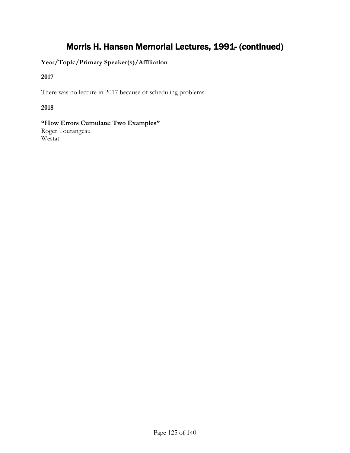**Year/Topic/Primary Speaker(s)/Affiliation**

**2017**

There was no lecture in 2017 because of scheduling problems.

## **2018**

**"How Errors Cumulate: Two Examples"** Roger Tourangeau Westat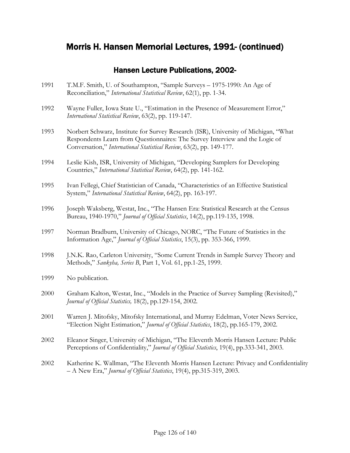## Hansen Lecture Publications, 2002-

- 1991 T.M.F. Smith, U. of Southampton, "Sample Surveys 1975-1990: An Age of Reconciliation," *International Statistical Review*, 62(1), pp. 1-34.
- 1992 Wayne Fuller, Iowa State U., "Estimation in the Presence of Measurement Error," *International Statistical Review*, 63(2), pp. 119-147.
- 1993 Norbert Schwarz, Institute for Survey Research (ISR), University of Michigan, "What Respondents Learn from Questionnaires: The Survey Interview and the Logic of Conversation," *International Statistical Review*, 63(2), pp. 149-177.
- 1994 Leslie Kish, ISR, University of Michigan, "Developing Samplers for Developing Countries," *International Statistical Review*, 64(2), pp. 141-162.
- 1995 Ivan Fellegi, Chief Statistician of Canada, "Characteristics of an Effective Statistical System," *International Statistical Review*, 64(2), pp. 163-197.
- 1996 Joseph Waksberg, Westat, Inc., "The Hansen Era: Statistical Research at the Census Bureau, 1940-1970," *Journal of Official Statistics*, 14(2), pp.119-135, 1998.
- 1997 Norman Bradburn, University of Chicago, NORC, "The Future of Statistics in the Information Age," *Journal of Official Statistics*, 15(3), pp. 353-366, 1999.
- 1998 J.N.K. Rao, Carleton University, "Some Current Trends in Sample Survey Theory and Methods," *Sankyha, Series B*, Part 1, Vol. 61, pp.1-25, 1999.
- 1999 No publication.
- 2000 Graham Kalton, Westat, Inc., "Models in the Practice of Survey Sampling (Revisited)," *Journal of Official Statistics,* 18(2), pp.129-154, 2002*.*
- 2001 Warren J. Mitofsky, Mitofsky International, and Murray Edelman, Voter News Service, "Election Night Estimation," *Journal of Official Statistics*, 18(2), pp.165-179, 2002.
- 2002 Eleanor Singer, University of Michigan, "The Eleventh Morris Hansen Lecture: Public Perceptions of Confidentiality," *Journal of Official Statistics*, 19(4), pp.333-341, 2003.
- 2002 Katherine K. Wallman, "The Eleventh Morris Hansen Lecture: Privacy and Confidentiality – A New Era," *Journal of Official Statistics*, 19(4), pp.315-319, 2003.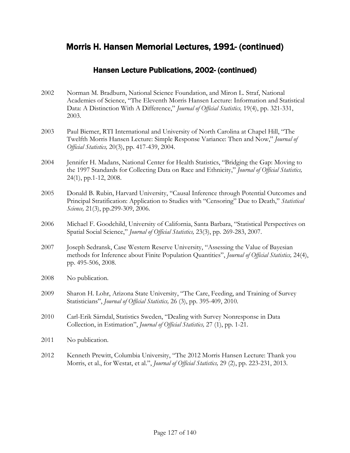## Hansen Lecture Publications, 2002- (continued)

- 2002 Norman M. Bradburn, National Science Foundation, and Miron L. Straf, National Academies of Science, "The Eleventh Morris Hansen Lecture: Information and Statistical Data: A Distinction With A Difference," *Journal of Official Statistics,* 19(4), pp. 321-331, 2003.
- 2003 Paul Biemer, RTI International and University of North Carolina at Chapel Hill, "The Twelfth Morris Hansen Lecture: Simple Response Variance: Then and Now," *Journal of Official Statistics,* 20(3), pp. 417-439, 2004.
- 2004 Jennifer H. Madans, National Center for Health Statistics, "Bridging the Gap: Moving to the 1997 Standards for Collecting Data on Race and Ethnicity," *Journal of Official Statistics,* 24(1), pp.1-12, 2008.
- 2005 Donald B. Rubin, Harvard University, "Causal Inference through Potential Outcomes and Principal Stratification: Application to Studies with "Censoring" Due to Death," *Statistical Science,* 21(3), pp.299-309, 2006.
- 2006 Michael F. Goodchild, University of California, Santa Barbara, "Statistical Perspectives on Spatial Social Science," *Journal of Official Statistics,* 23(3), pp. 269-283, 2007.
- 2007 Joseph Sedransk, Case Western Reserve University, "Assessing the Value of Bayesian methods for Inference about Finite Population Quantities", *Journal of Official Statistics,* 24(4), pp. 495-506, 2008.
- 2008 No publication.
- 2009 Sharon H. Lohr, Arizona State University, "The Care, Feeding, and Training of Survey Statisticians", *Journal of Official Statistics,* 26 (3), pp. 395-409, 2010.
- 2010 Carl-Erik Särndal, Statistics Sweden, "Dealing with Survey Nonresponse in Data Collection, in Estimation", *Journal of Official Statistics,* 27 (1), pp. 1-21.
- 2011 No publication.
- 2012 Kenneth Prewitt, Columbia University, "The 2012 Morris Hansen Lecture: Thank you Morris, et al., for Westat, et al.", *Journal of Official Statistics,* 29 (2), pp. 223-231, 2013.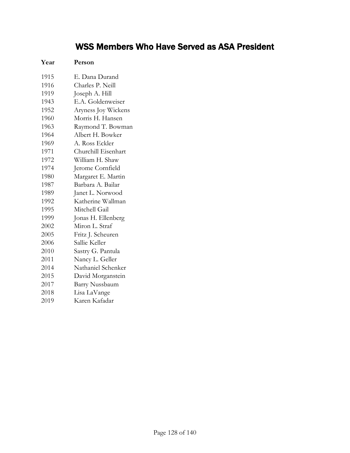# WSS Members Who Have Served as ASA President

| Year | Person                |  |
|------|-----------------------|--|
| 1915 | E. Dana Durand        |  |
| 1916 | Charles P. Neill      |  |
| 1919 | Joseph A. Hill        |  |
| 1943 | E.A. Goldenweiser     |  |
| 1952 | Aryness Joy Wickens   |  |
| 1960 | Morris H. Hansen      |  |
| 1963 | Raymond T. Bowman     |  |
| 1964 | Albert H. Bowker      |  |
| 1969 | A. Ross Eckler        |  |
| 1971 | Churchill Eisenhart   |  |
| 1972 | William H. Shaw       |  |
| 1974 | Jerome Cornfield      |  |
| 1980 | Margaret E. Martin    |  |
| 1987 | Barbara A. Bailar     |  |
| 1989 | Janet L. Norwood      |  |
| 1992 | Katherine Wallman     |  |
| 1995 | Mitchell Gail         |  |
| 1999 | Jonas H. Ellenberg    |  |
| 2002 | Miron L. Straf        |  |
| 2005 | Fritz J. Scheuren     |  |
| 2006 | Sallie Keller         |  |
| 2010 | Sastry G. Pantula     |  |
| 2011 | Nancy L. Geller       |  |
| 2014 | Nathaniel Schenker    |  |
| 2015 | David Morganstein     |  |
| 2017 | <b>Barry Nussbaum</b> |  |
| 2018 | Lisa LaVange          |  |
| 2019 | Karen Kafadar         |  |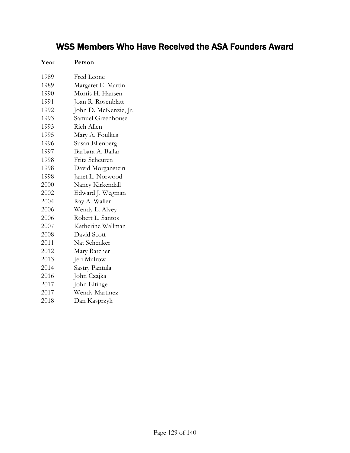# WSS Members Who Have Received the ASA Founders Award

| Year | Person                |
|------|-----------------------|
| 1989 | Fred Leone            |
| 1989 | Margaret E. Martin    |
| 1990 | Morris H. Hansen      |
| 1991 | Joan R. Rosenblatt    |
| 1992 | John D. McKenzie, Jr. |
| 1993 | Samuel Greenhouse     |
| 1993 | Rich Allen            |
| 1995 | Mary A. Foulkes       |
| 1996 | Susan Ellenberg       |
| 1997 | Barbara A. Bailar     |
| 1998 | Fritz Scheuren        |
| 1998 | David Morganstein     |
| 1998 | Janet L. Norwood      |
| 2000 | Nancy Kirkendall      |
| 2002 | Edward J. Wegman      |
| 2004 | Ray A. Waller         |
| 2006 | Wendy L. Alvey        |
| 2006 | Robert L. Santos      |
| 2007 | Katherine Wallman     |
| 2008 | David Scott           |
| 2011 | Nat Schenker          |
| 2012 | Mary Batcher          |
| 2013 | Jeri Mulrow           |
| 2014 | Sastry Pantula        |
| 2016 | John Czajka           |
| 2017 | John Eltinge          |
| 2017 | Wendy Martinez        |
| 2018 | Dan Kasprzyk          |
|      |                       |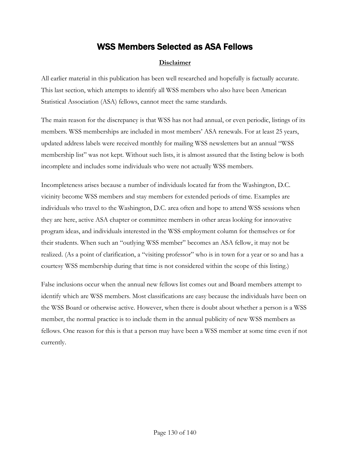## WSS Members Selected as ASA Fellows

## **Disclaimer**

All earlier material in this publication has been well researched and hopefully is factually accurate. This last section, which attempts to identify all WSS members who also have been American Statistical Association (ASA) fellows, cannot meet the same standards.

The main reason for the discrepancy is that WSS has not had annual, or even periodic, listings of its members. WSS memberships are included in most members' ASA renewals. For at least 25 years, updated address labels were received monthly for mailing WSS newsletters but an annual "WSS membership list" was not kept. Without such lists, it is almost assured that the listing below is both incomplete and includes some individuals who were not actually WSS members.

Incompleteness arises because a number of individuals located far from the Washington, D.C. vicinity become WSS members and stay members for extended periods of time. Examples are individuals who travel to the Washington, D.C. area often and hope to attend WSS sessions when they are here, active ASA chapter or committee members in other areas looking for innovative program ideas, and individuals interested in the WSS employment column for themselves or for their students. When such an "outlying WSS member" becomes an ASA fellow, it may not be realized. (As a point of clarification, a "visiting professor" who is in town for a year or so and has a courtesy WSS membership during that time is not considered within the scope of this listing.)

False inclusions occur when the annual new fellows list comes out and Board members attempt to identify which are WSS members. Most classifications are easy because the individuals have been on the WSS Board or otherwise active. However, when there is doubt about whether a person is a WSS member, the normal practice is to include them in the annual publicity of new WSS members as fellows. One reason for this is that a person may have been a WSS member at some time even if not currently.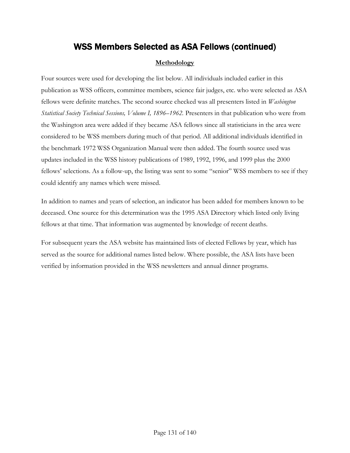## **Methodology**

Four sources were used for developing the list below. All individuals included earlier in this publication as WSS officers, committee members, science fair judges, etc. who were selected as ASA fellows were definite matches. The second source checked was all presenters listed in *Washington Statistical Society Technical Sessions, Volume I, 1896–1962.* Presenters in that publication who were from the Washington area were added if they became ASA fellows since all statisticians in the area were considered to be WSS members during much of that period. All additional individuals identified in the benchmark 1972 WSS Organization Manual were then added. The fourth source used was updates included in the WSS history publications of 1989, 1992, 1996, and 1999 plus the 2000 fellows' selections. As a follow-up, the listing was sent to some "senior" WSS members to see if they could identify any names which were missed.

In addition to names and years of selection, an indicator has been added for members known to be deceased. One source for this determination was the 1995 ASA Directory which listed only living fellows at that time. That information was augmented by knowledge of recent deaths.

For subsequent years the ASA website has maintained lists of elected Fellows by year, which has served as the source for additional names listed below. Where possible, the ASA lists have been verified by information provided in the WSS newsletters and annual dinner programs.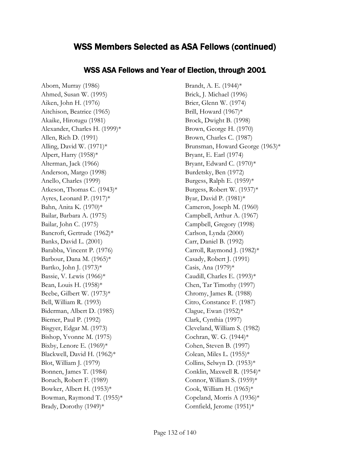## WSS ASA Fellows and Year of Election, through 2001

Aborn, Murray (1986) Ahmed, Susan W. (1995) Aiken, John H. (1976) Aitchison, Beatrice (1965) Akaike, Hirotugu (1981) Alexander, Charles H. (1999)\* Allen, Rich D. (1991) Alling, David W.  $(1971)^*$ Alpert, Harry (1958)\* Alterman, Jack (1966) Anderson, Margo (1998) Anello, Charles (1999) Atkeson, Thomas C. (1943)\* Ayres, Leonard P. (1917)\* Bahn, Anita K. (1970)\* Bailar, Barbara A. (1975) Bailar, John C. (1975) Bancroft, Gertrude (1962)\* Banks, David L. (2001) Barabba, Vincent P. (1976) Barbour, Dana M. (1965)\* Bartko, John J. (1973)\* Bassie, V. Lewis (1966)\* Bean, Louis H. (1958)\* Beebe, Gilbert W. (1973)\* Bell, William R. (1993) Biderman, Albert D. (1985) Biemer, Paul P. (1992) Bisgyer, Edgar M. (1973) Bishop, Yvonne M. (1975) Bixby, Lenore E. (1969)\* Blackwell, David H. (1962)\* Blot, William J. (1979) Bonnen, James T. (1984) Boruch, Robert F. (1989) Bowker, Albert H. (1953)\* Bowman, Raymond T. (1955)\* Brady, Dorothy (1949)\*

Brandt, A. E. (1944)\* Brick, J. Michael (1996) Brier, Glenn W. (1974) Brill, Howard (1967)\* Brock, Dwight B. (1998) Brown, George H. (1970) Brown, Charles C. (1987) Brunsman, Howard George (1963)\* Bryant, E. Earl (1974) Bryant, Edward C. (1970)\* Burdetsky, Ben (1972) Burgess, Ralph E. (1959)\* Burgess, Robert W. (1937)\* Byar, David P. (1981)\* Cameron, Joseph M. (1960) Campbell, Arthur A. (1967) Campbell, Gregory (1998) Carlson, Lynda (2000) Carr, Daniel B. (1992) Carroll, Raymond J. (1982)\* Casady, Robert J. (1991) Casis, Ana (1979)\* Caudill, Charles E. (1993)\* Chen, Tar Timothy (1997) Chromy, James R. (1988) Citro, Constance F. (1987) Clague, Ewan (1952)\* Clark, Cynthia (1997) Cleveland, William S. (1982) Cochran, W. G. (1944)\* Cohen, Steven B. (1997) Colean, Miles L.  $(1955)*$ Collins, Selwyn D. (1953)\* Conklin, Maxwell R. (1954)\* Connor, William S. (1959)\* Cook, William H.  $(1965)*$ Copeland, Morris A (1936)\* Cornfield, Jerome (1951)\*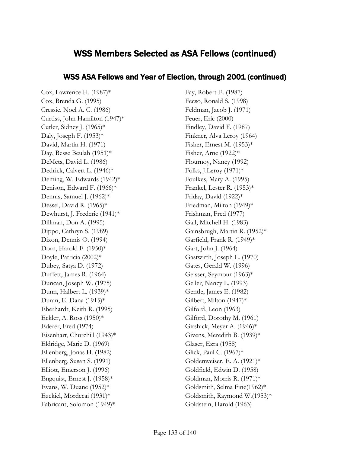## WSS ASA Fellows and Year of Election, through 2001 (continued)

Cox, Lawrence H. (1987)\* Cox, Brenda G. (1995) Cressie, Noel A. C. (1986) Curtiss, John Hamilton (1947)\* Cutler, Sidney J.  $(1965)^*$ Daly, Joseph F.  $(1953)^*$ David, Martin H. (1971) Day, Besse Beulah (1951)\* DeMets, David L. (1986) Dedrick, Calvert L. (1946)\* Deming, W. Edwards (1942)\* Denison, Edward F. (1966)\* Dennis, Samuel J. (1962)\* Dessel, David R. (1965)\* Dewhurst, J. Frederic (1941)\* Dillman, Don A. (1995) Dippo, Cathryn S. (1989) Dixon, Dennis O. (1994) Dorn, Harold F. (1950)\* Doyle, Patricia (2002)\* Dubey, Satya D. (1972) Duffett, James R. (1964) Duncan, Joseph W. (1975) Dunn, Halbert L. (1939)\* Duran, E. Dana (1915)\* Eberhardt, Keith R. (1995) Eckler, A. Ross (1950)\* Ederer, Fred (1974) Eisenhart, Churchill (1943)\* Eldridge, Marie D. (1969) Ellenberg, Jonas H. (1982) Ellenberg, Susan S. (1991) Elliott, Emerson J. (1996) Engquist, Ernest J. (1958)\* Evans, W. Duane (1952)\* Ezekiel, Mordecai (1931)\* Fabricant, Solomon (1949)\*

Fay, Robert E. (1987) Fecso, Ronald S. (1998) Feldman, Jacob J. (1971) Feuer, Eric (2000) Findley, David F. (1987) Finkner, Alva Leroy (1964) Fisher, Ernest M. (1953)\* Fisher, Arne (1922)\* Flournoy, Nancy (1992) Folks, J.Leroy (1971)\* Foulkes, Mary A. (1995) Frankel, Lester R. (1953)\* Friday, David (1922)\* Friedman, Milton (1949)\* Frishman, Fred (1977) Gail, Mitchell H. (1983) Gainsbrugh, Martin R. (1952)\* Garfield, Frank R. (1949)\* Gart, John J. (1964) Gastwirth, Joseph L. (1970) Gates, Gerald W. (1996) Geisser, Seymour (1963)\* Geller, Nancy L. (1993) Gentle, James E. (1982) Gilbert, Milton (1947)\* Gilford, Leon (1963) Gilford, Dorothy M. (1961) Girshick, Meyer A. (1946)\* Givens, Meredith B. (1939)\* Glaser, Ezra (1958) Glick, Paul C. (1967)\* Goldenweiser, E. A. (1921)\* Goldfield, Edwin D. (1958) Goldman, Morris R. (1971)\* Goldsmith, Selma Fine(1962)\* Goldsmith, Raymond W.(1953)\* Goldstein, Harold (1963)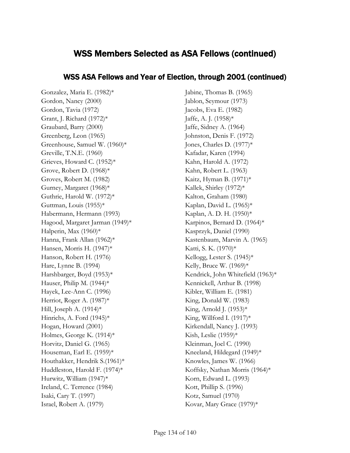## WSS ASA Fellows and Year of Election, through 2001 (continued)

Gonzalez, Maria E. (1982)\* Gordon, Nancy (2000) Gordon, Tavia (1972) Grant, J. Richard (1972)\* Graubard, Barry (2000) Greenberg, Leon (1965) Greenhouse, Samuel W. (1960)\* Greville, T.N.E. (1960) Grieves, Howard C. (1952)\* Grove, Robert D. (1968)\* Groves, Robert M. (1982) Gurney, Margaret (1968)\* Guthrie, Harold W. (1972)\* Guttman, Louis (1955)\* Habermann, Hermann (1993) Hagood, Margaret Jarman (1949)\* Halperin, Max (1960)\* Hanna, Frank Allan (1962)\* Hansen, Morris H. (1947)\* Hanson, Robert H. (1976) Hare, Lynne B. (1994) Harshbarger, Boyd (1953)\* Hauser, Philip M. (1944)\* Hayek, Lee-Ann C. (1996) Herriot, Roger A. (1987)\* Hill, Joseph A.  $(1914)*$ Hinrichs, A. Ford (1945)\* Hogan, Howard (2001) Holmes, George K. (1914)\* Horvitz, Daniel G. (1965) Houseman, Earl E. (1959)\* Houthakker, Hendrik S.(1961)\* Huddleston, Harold F. (1974)\* Hurwitz, William (1947)\* Ireland, C. Terrence (1984) Isaki, Cary T. (1997) Israel, Robert A. (1979)

Jabine, Thomas B. (1965) Jablon, Seymour (1973) Jacobs, Eva E. (1982) Jaffe, A. J. (1958)\* Jaffe, Sidney A. (1964) Johnston, Denis F. (1972) Jones, Charles D. (1977)\* Kafadar, Karen (1994) Kahn, Harold A. (1972) Kahn, Robert L. (1963) Kaitz, Hyman B. (1971)\* Kallek, Shirley (1972)\* Kalton, Graham (1980) Kaplan, David L. (1965)\* Kaplan, A. D. H. (1950)\* Karpinos, Bernard D. (1964)\* Kasprzyk, Daniel (1990) Kastenbaum, Marvin A. (1965) Katti, S. K. (1970)\* Kellogg, Lester S. (1945)\* Kelly, Bruce W. (1969)\* Kendrick, John Whitefield (1963)\* Kennickell, Arthur B. (1998) Kibler, William E. (1981) King, Donald W. (1983) King, Arnold J. (1953)\* King, Willford I. (1917)\* Kirkendall, Nancy J. (1993) Kish, Leslie (1959)\* Kleinman, Joel C. (1990) Kneeland, Hildegard (1949)\* Knowles, James W. (1966) Koffsky, Nathan Morris (1964)\* Korn, Edward L. (1993) Kott, Phillip S. (1996) Kotz, Samuel (1970) Kovar, Mary Grace (1979)\*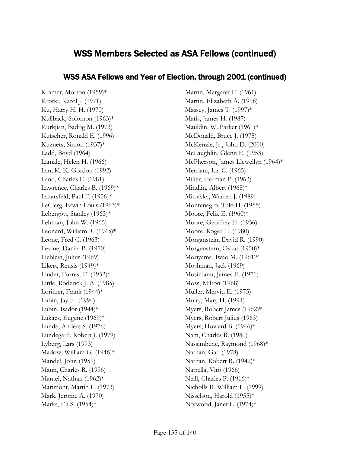## WSS ASA Fellows and Year of Election, through 2001 (continued)

Kramer, Morton (1959)\* Krotki, Karol J. (1971) Ku, Harry H. H. (1970) Kullback, Solomon (1963)\* Kurkjian, Badrig M. (1973) Kutscher, Ronald E. (1996) Kuznets, Simon (1937)\* Ladd, Boyd (1964) Lamale, Helen H. (1966) Lan, K. K. Gordon (1992) Land, Charles E. (1981) Lawrence, Charles B. (1969)\* Lazarsfeld, Paul F. (1956)\* LeClerg, Erwin Louis (1963)\* Lebergott, Stanley (1963)\* Lehman, John W. (1965) Leonard, William R. (1945)\* Leone, Fred C. (1963) Levine, Daniel B. (1970) Lieblein, Julius (1969) Likert, Rensis (1949)\* Linder, Forrest E. (1952)\* Little, Roderick J. A. (1985) Lorimer, Frank (1944)\* Lubin, Jay H. (1994) Lubin, Isador (1944)\* Lukacs, Eugene (1969)\* Lunde, Anders S. (1976) Lundegard, Robert J. (1979) Lyberg, Lars (1993) Madow, William G. (1946)\* Mandel, John (1959) Mann, Charles R. (1996) Mantel, Nathan (1962)\* Marimont, Martin L. (1973) Mark, Jerome A. (1970) Marks, Eli S. (1954)\*

Martin, Margaret E. (1961) Martin, Elizabeth A. (1998) Massey, James T. (1997)\* Matis, James H. (1987) Mauldin, W. Parker (1961)\* McDonald, Bruce J. (1975) McKenzie, Jr., John D. (2000) McLaughlin, Glenn E. (1953) McPherson, James Llewellyn (1964)\* Merriam, Ida C. (1965) Miller, Herman P. (1963) Mindlin, Albert (1968)\* Mitofsky, Warren J. (1989) Montenegro, Tulo H. (1955) Moore, Felix E. (1960)\* Moore, Geoffrey H. (1956) Moore, Roger H. (1980) Morganstein, David R. (1990) Morgenstern, Oskar (1950)\* Moriyama, Iwao M. (1961)\* Moshman, Jack (1969) Mosimann, James E. (1971) Moss, Milton (1968) Muller, Mervin E. (1975) Mulry, Mary H. (1994) Myers, Robert James (1962)\* Myers, Robert Julius (1963) Myers, Howard B. (1946)\* Nam, Charles B. (1980) Nassimbene, Raymond (1968)\* Nathan, Gad (1978) Nathan, Robert R. (1942)\* Natrella, Vito (1966) Neill, Charles P. (1916)\* Nicholls II, William L. (1999) Nisselson, Harold (1955)\* Norwood, Janet L. (1974)\*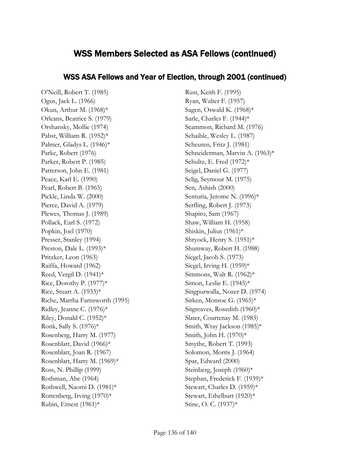## WSS ASA Fellows and Year of Election, through 2001 (continued)

O'Neill, Robert T. (1985) Ogus, Jack L. (1966) Okun, Arthur M. (1968)\* Orleans, Beatrice S. (1979) Orshansky, Mollie (1974) Pabst, William R. (1952)\* Palmer, Gladys L. (1946)\* Parke, Robert (1976) Parker, Robert P. (1985) Patterson, John E. (1981) Peace, Karl E. (1990) Pearl, Robert B. (1965) Pickle, Linda W. (2000) Pierce, David A. (1979) Plewes, Thomas J. (1989) Pollack, Earl S. (1972) Popkin, Joel (1970) Presser, Stanley (1994) Preston, Dale L. (1993)\* Pritzker, Leon (1963) Raiffa, Howard (1962) Reed, Vergil D. (1941)\* Rice, Dorothy P. (1977)\* Rice, Stuart A. (1933)\* Riche, Martha Farnsworth (1995) Ridley, Jeanne C. (1976)\* Riley, Donald C. (1952)\* Ronk, Sally S. (1976)\* Rosenberg, Harry M. (1977) Rosenblatt, David (1966)\* Rosenblatt, Joan R. (1967) Rosenblatt, Harry M. (1969)\* Ross, N. Phillip (1999) Rothman, Abe (1964) Rothwell, Naomi D. (1981)\* Rottenberg, Irving (1970)\* Rubin, Ernest (1961)\*

Rust, Keith F. (1995) Ryan, Walter F. (1957) Sagen, Oswald K. (1968)\* Sarle, Charles F. (1944)\* Scammon, Richard M. (1976) Schaible, Wesley L. (1987) Scheuren, Fritz J. (1981) Schneiderman, Marvin A. (1963)\* Schultz, E. Fred (1972)\* Seigel, Daniel G. (1977) Selig, Seymour M. (1975) Sen, Ashish (2000) Senturia, Jerome N. (1996)\* Serfling, Robert J. (1973) Shapiro, Sam (1967) Shaw, William H. (1958) Shiskin, Julius (1961)\* Shryock, Henry S. (1951)\* Shumway, Robert H. (1988) Siegel, Jacob S. (1973) Siegel, Irving H.  $(1959)*$ Simmons, Walt R.  $(1962)^*$ Simon, Leslie E. (1945)\* Singpurwalla, Nozer D. (1974) Sirken, Monroe G. (1965)\* Sitgreaves, Rosedith (1960)\* Slater, Courtenay M. (1983) Smith, Wray Jackson (1985)\* Smith, John H. (1970)\* Smythe, Robert T. (1993) Solomon, Morris J. (1964) Spar, Edward (2000) Steinberg, Joseph (1960)\* Stephan, Frederick F. (1939)\* Stewart, Charles D. (1959)\* Stewart, Ethelburt (1920)\* Stine, O. C. (1937)\*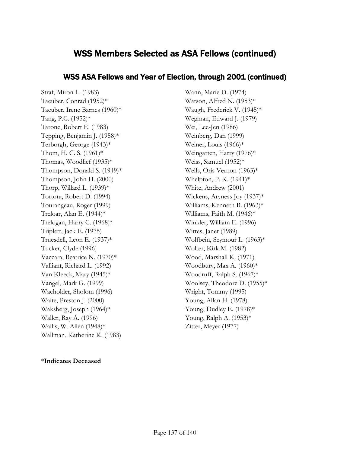## WSS ASA Fellows and Year of Election, through 2001 (continued)

Straf, Miron L. (1983) Taeuber, Conrad (1952)\* Taeuber, Irene Barnes (1960)\* Tang, P.C. (1952)\* Tarone, Robert E. (1983) Tepping, Benjamin J. (1958)\* Terborgh, George (1943)\* Thom, H. C. S. (1961)\* Thomas, Woodlief (1935)\* Thompson, Donald S. (1949)\* Thompson, John H. (2000) Thorp, Willard L. (1939)\* Tortora, Robert D. (1994) Tourangeau, Roger (1999) Treloar, Alan E. (1944)\* Trelogan, Harry C. (1968)\* Triplett, Jack E. (1975) Truesdell, Leon E. (1937)\* Tucker, Clyde (1996) Vaccara, Beatrice N. (1970)\* Valliant, Richard L. (1992) Van Kleeck, Mary (1945)\* Vangel, Mark G. (1999) Wacholder, Sholom (1996) Waite, Preston J. (2000) Waksberg, Joseph (1964)\* Waller, Ray A. (1996) Wallis, W. Allen (1948)\* Wallman, Katherine K. (1983)

Watson, Alfred N. (1953)\* Waugh, Frederick V. (1945)\* Wegman, Edward J. (1979) Wei, Lee-Jen (1986) Weinberg, Dan (1999) Weiner, Louis (1966)\* Weingarten, Harry (1976)\* Weiss, Samuel (1952)\* Wells, Oris Vernon (1963)\* Whelpton, P. K. (1941)\* White, Andrew (2001) Wickens, Aryness Joy (1937)\* Williams, Kenneth B. (1963)\* Williams, Faith M. (1946)\* Winkler, William E. (1996) Wittes, Janet (1989) Wolfbein, Seymour L. (1963)\* Wolter, Kirk M. (1982) Wood, Marshall K. (1971) Woodbury, Max A. (1960)\* Woodruff, Ralph S. (1967)\* Woolsey, Theodore D. (1955)\* Wright, Tommy (1995) Young, Allan H. (1978) Young, Dudley E. (1978)\* Young, Ralph A. (1953)\* Zitter, Meyer (1977)

Wann, Marie D. (1974)

#### \***Indicates Deceased**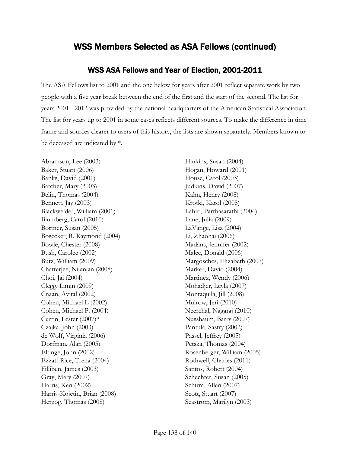## WSS ASA Fellows and Year of Election, 2001-2011

The ASA Fellows list to 2001 and the one below for years after 2001 reflect separate work by two people with a five year break between the end of the first and the start of the second. The list for years 2001 - 2012 was provided by the national headquarters of the American Statistical Association. The list for years up to 2001 in some cases reflects different sources. To make the difference in time frame and sources clearer to users of this history, the lists are shown separately. Members known to be deceased are indicated by \*.

Abramson, Lee (2003) Baker, Stuart (2006) Banks, David (2001) Batcher, Mary (2003) Belin, Thomas (2004) Bennett, Jay (2003) Blackwelder, William (2001) Blumberg, Carol (2010) Bortner, Susan (2005) Bosecker, R. Raymond (2004) Bowie, Chester (2008) Bush, Carolee (2002) Butz, William (2009) Chatterjee, Nilanjan (2008) Choi, Jai (2004) Clegg, Limin (2009) Cnaan, Avital (2002) Cohen, Michael L (2002) Cohen, Michael P. (2004) Curtin, Lester (2007)\* Czajka, John (2003) de Wolf, Virginia (2006) Dorfman, Alan (2005) Eltinge, John (2002) Ezzati-Rice, Trena (2004) Filliben, James (2003) Gray, Mary (2007) Harris, Ken (2002) Harris-Kojetin, Brian (2008) Herzog, Thomas (2008)

Hinkins, Susan (2004) Hogan, Howard (2001) House, Carol (2003) Judkins, David (2007) Kahn, Henry (2008) Krotki, Karol (2008) Lahiri, Parthasarathi (2004) Lane, Julia (2009) LaVange, Lisa (2004) Li, Zhaohai (2006) Madans, Jennifer (2002) Malec, Donald (2006) Margosches, Elizabeth (2007) Marker, David (2004) Martinez, Wendy (2006) Mohadjer, Leyla (2007) Montaquila, Jill (2008) Mulrow, Jeri (2010) Neerchal, Nagaraj (2010) Nussbaum, Barry (2007) Pantula, Sastry (2002) Passel, Jeffrey (2005) Petska, Thomas (2004) Rosenberger, William (2005) Rothwell, Charles (2011) Santos, Robert (2004) Schechter, Susan (2005) Schirm, Allen (2007) Scott, Stuart (2007) Seastrom, Marilyn (2003)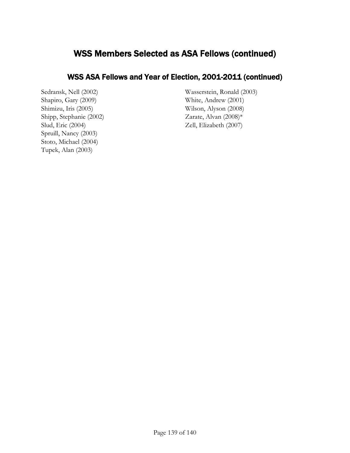# WSS ASA Fellows and Year of Election, 2001-2011 (continued)

Sedransk, Nell (2002) Shapiro, Gary (2009) Shimizu, Iris (2005) Shipp, Stephanie (2002) Slud, Eric (2004) Spruill, Nancy (2003) Stoto, Michael (2004) Tupek, Alan (2003)

Wasserstein, Ronald (2003) White, Andrew (2001) Wilson, Alyson (2008) Zarate, Alvan (2008)\* Zell, Elizabeth (2007)